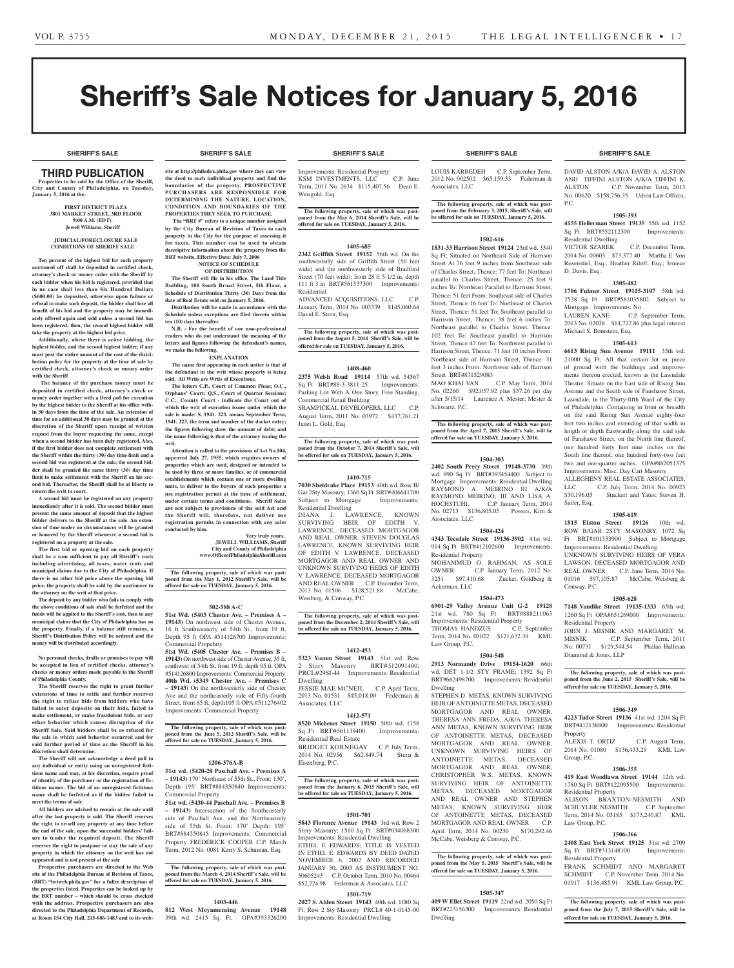# Sheriff's Sale Notices for January 5, 2016

**SHERIFF'S SALE SHERIFF'S SALE SHERIFF'S SALE SHERIFF'S SALE SHERIFF'S SALE**

## **SHERIFF'S SALE SHERIFF'S SALE SHERIFF'S SALE SHERIFF'S SALE SHERIFF'S SALE**

## THIRD PUBLICATION

**Properties to be sold by the Office of the Sheriff, City and County of Philadelphia, on Tuesday, January 5, 2016 at the:** 

#### **FIRST DISTRICT PLAZA 3801 MARKET STREET, 3RD FLOOR 9:00 A.M. (EDT). Jewell Williams, Sheriff**

#### **JUDICIAL/FORECLOSURE SALE CONDITIONS OF SHERIFF SALE**

**Ten percent of the highest bid for each property auctioned off shall be deposited in certified check, attorney's check or money order with the Sheriff by each bidder when his bid is registered, provided that in no case shall less than Six Hundred Dollars (\$600.00) be deposited, otherwise upon failure or refusal to make such deposit, the bidder shall lose all benefit of his bid and the property may be immediately offered again and sold unless a second bid has been registered, then, the second highest bidder will take the property at the highest bid price.**

**Additionally, where there is active bidding, the highest bidder, and the second highest bidder, if any must post the entire amount of the cost of the distribution policy for the property at the time of sale by certified check, attorney's check or money order with the Sheriff**

 **The balance of the purchase money must be deposited in certified check, attorney's check or money order together with a Deed poll for execution by the highest bidder to the Sheriff at his office within 30 days from the time of the sale. An extension of time for an additional 30 days may be granted at the discretion of the Sheriff upon receipt of written request from the buyer requesting the same, except when a second bidder has been duly registered. Also, if the first bidder does not complete settlement with the Sheriff within the thirty (30) day time limit and a second bid was registered at the sale, the second bidder shall be granted the same thirty (30) day time limit to make settlement with the Sheriff on his second bid. Thereafter, the Sheriff shall be at liberty to return the writ to court.**

**A second bid must be registered on any property immediately after it is sold. The second bidder must present the same amount of deposit that the highest bidder delivers to the Sheriff at the sale. An extension of time under no circumstances will be granted or honored by the Sheriff whenever a second bid is registered on a property at the sale.** 

**The first bid or opening bid on each property shall be a sum sufficient to pay all Sheriff's costs including advertising, all taxes, water rents and municipal claims due to the City of Philadelphia. If there is no other bid price above the opening bid price, the property shall be sold by the auctioneer to the attorney on the writ at that price.**

**The deposit by any bidder who fails to comply with the above conditions of sale shall be forfeited and the funds will be applied to the Sheriff's cost, then to any municipal claims that the City of Philadelphia has on the property. Finally, if a balance still remains, a Sheriff's Distribution Policy will be ordered and the money will be distributed accordingly.**

### **No personal checks, drafts or promises to pay will be accepted in lieu of certified checks, attorney's checks or money orders made payable to the Sheriff of Philadelphia County.**

**The Sheriff reserves the right to grant further extensions of time to settle and further reserves the right to refuse bids from bidders who have failed to enter deposits on their bids, failed to make settlement, or make fraudulent bids, or any other behavior which causes disruption of the Sheriff Sale. Said bidders shall be so refused for the sale in which said behavior occurred and for said further period of time as the Sheriff in his discretion shall determine.**

**The Sheriff will not acknowledge a deed poll to any individual or entity using an unregistered fictitious name and may, at his discretion, require proof of identity of the purchaser or the registration of fictitious names. The bid of an unregistered fictitious name shall be forfeited as if the bidder failed to meet the terms of sale.**

**All bidders are advised to remain at the sale until after the last property is sold. The Sheriff reserves the right to re-sell any property at any time before the end of the sale, upon the successful bidders' failure to tender the required deposit. The Sheriff reserves the right to postpone or stay the sale of any property in which the attorney on the writ has not appeared and is not present at the sale**

**Prospective purchasers are directed to the Web site of the Philadelphia Bureau of Revision of Taxes, (BRT) "brtweb.phila.gov" for a fuller description of the properties listed. Properties can be looked up by the BRT number – which should be cross checked with the address. Prospective purchasers are also directed to the Philadelphia Department of Records, at Room 154 City Hall, 215-686-1483 and to its web-**

**site at http://philadox.phila.gov where they can view the deed to each individual property and find the boundaries of the property. PROSPECTIVE PURCHASERS ARE RESPONSIBLE FOR DETERMINING THE NATURE, LOCATION, CONDITION AND BOUNDARIES OF THE** 

**PROPERTIES THEY SEEK TO PURCHASE. The "BRT #" refers to a unique number assigned by the City Bureau of Revision of Taxes to each property in the City for the purpose of assessing it for taxes. This number can be used to obtain descriptive information about the property from the BRT website. Effective Date: July 7, 2006**

#### **NOTICE OF SCHEDULE OF DISTRIBUTION**

**The Sheriff will file in his office, The Land Title Building, 100 South Broad Street, 5th Floor, a Schedule of Distribution Thirty (30) Days from the date of Real Estate sold on January 5, 2016. Distribution will be made in accordance with the** 

**Schedule unless exceptions are filed thereto within ten (10) days thereafter. N.B. - For the benefit of our non-professional** 

**readers who do not understand the meaning of the letters and figures following the defendant's names, we make the following. EXPLANATION**

**The name first appearing in each notice is that of the defendant in the writ whose property is being sold. All Writs are Writs of Executions.**

**The letters C.P., Court of Common Pleas; O.C., Orphans' Court; Q.S., Court of Quarter Sessions; C.C., County Court - indicate the Court out of which the writ of execution issues under which the sale is made: S. 1941. 223. means September Term, 1941. 223, the term and number of the docket entry; the figures following show the amount of debt; and the name following is that of the attorney issuing the writ.**

**Attention is called to the provisions of Act No.104, approved July 27, 1955, which requires owners of properties which are used, designed or intended to be used by three or more families, or of commercial establishments which contain one or more dwelling units, to deliver to the buyers of such properties a use registration permit at the time of settlement, under certain terms and conditions. Sheriff Sales are not subject to provisions of the said Act and the Sheriff will, therefore, not deliver use registration permits in connection with any sales conducted by him.**

> **Very truly yours, JEWELL WILLIAMS, Sheriff City and County of Philadelphia www.OfficeofPhiladelphiaSheriff.com**

**The following property, sale of which was post-poned from the May 1, 2012 Sheriff's Sale, will be offered for sale on TUESDAY, January 5, 2016.**

## **502-588 A-C**

**51st Wd. (5403 Chester Ave. – Premises A – 19143)** On northwest side of Chester Avenue, 16 ft Southwesterly of 54th St., front 19 ft, Depth 95 ft OPA #514126700 Improvements: Commercial Propehrty

**51st Wd. (5405 Chester Ave. – Premises B – 19143)** On northwest side of Chester Avenue, 35 ft, southwest of 54th St, front 19 ft, depth 95 ft. OPA #514126800 Improvements: Commercial Property **40th Wd. (5349 Chester Ave. – Premises C – 19143)** On the northwesterly side of Chester Ave and the northeasterly side of Fifty-fourth Street, front 65 ft, depth105 ft OPA #511276402 Improvements: Commercial Property

**The following property, sale of which was post-poned from the June 5, 2012 Sheriff's Sale, will be offered for sale on TUESDAY, January 5, 2016.**

## **1206-376A-B**

**51st wd. (5420-28 Paschall Ave. - Premises A – 19143)** 170' Northeast of 55th St., Front: 130', Depth 195' BRT#884350840 Improvements: Commercial Property

**51st wd. (5430-44 Paschall Ave. – Premises B – 19143)** Intersection of the Southeasterly side of Paschall Ave. and the Northeasterly side of 55th St. Front: 170' Depth: 195' BRT#884350845 Improvements: Commercial Property FREDERICK COOPER C.P. March Term, 2012 No. 0081 Kerry S. Schuman, Esq.

# **The following property, sale of which was post-poned from the March 4, 2014 Sheriff's Sale, will be offered for sale on TUESDAY, January 5, 2016.**

## **1403-446**

**812 West Moyamensing Avenue 19148**  39th wd. 2415 Sq. Ft. OPA#393326200

Improvements: Residential Property KSM INVESTMENTS, LLC C.P. June Term, 2011 No. 2634 \$115,407.56 Dean E. Weisgold, Esq.

**The following property, sale of which was post-poned from the May 6, 2014 Sheriff's Sale, will be offered for sale on TUESDAY, January 5, 2016.**

## **1405-685**

**2342 Griffith Street 19152** 56th wd. On the southwesterly side of Griffith Street (50 feet wide) and the northwesterly side of Bradford Street (70 feet wide); front 28 ft 5-1/2 in, depth 111 ft 3 in BRT#561537300 Improvements: Residential

ADVANCED ACQUISITIONS, LLC C.P. January Term, 2014 No. 003339 \$145,060.64 David E. Stern, Esq.

**The following property, sale of which was post-poned from the August 5, 2014 Sheriff's Sale, will be offered for sale on TUESDAY, January 5, 2016.**

## **1408-460**

**2375 Welsh Road 19114** 57th wd. 54567 Sq Ft BRT#88-3-3811-25 Improvements: Parking Lot With A One Story, Free Standing, Commercial Retail Building SRAMPICKAL DEVELOPERS, LLC C.P. August Term, 2011 No. 03972 \$437,761.21 Janet L. Gold, Esq.

**The following property, sale of which was post-poned from the October 7, 2014 Sheriff's Sale, will be offered for sale on TUESDAY, January 5, 2016.**

#### **1410-715**

**7030 Sheldrake Place 19153** 40th wd. Row B/ Gar 2Sty Masonry; 1360 Sq Ft BRT#406641700 Subject to Mortgage Improvements: Residential Dwelling

DIANA J. LAWRENCE, KNOWN SURVIVING HEIR OF EDITH V. LAWRENCE, DECEASED MORTGAGOR AND REAL OWNER, STEVEN DOUGLAS LAWRENCE, KNOWN SURVIVING HEIR OF EDITH V. LAWRENCE, DECEASED MORTGAGOR AND REAL OWNER AND UNKNOWN SURVIVING HEIRS OF EDITH V. LAWRENCE, DECEASED MORTGAGOR AND REAL OWNER C.P. December Term, 2013 No. 01506 \$128,521.88 McCabe, Weisberg, & Conway, P.C.

**The following property, sale of which was post-poned from the December 2, 2014 Sheriff's Sale, will be offered for sale on TUESDAY, January 5, 2016.**

## **1412-453**

**5323 Yocum Street 19143** 51st wd. Row 2 Story Masonry BRT#512091400; PRCL#29SI-44 Improvements: Residential Dwelling JESSIE MAE MCNEIL C.P. April Term,

2013 No. 01531 \$45,018.00 Federman & Associates, LLC **1412-571**

**8520 Michener Street 19150** 50th wd. 1158 Sq Ft BRT#501139400 Improvements: Residential Real Estate BRIDGET KORNEGAY C.P. July Term,<br>2014 No. 02956 \$62,849.74 Stern & 2014 No. 02956 \$62,849.74 Stern &

Eisenberg, P.C.

### **The following property, sale of which was postponed from the January 6, 2015 Sheriff's Sale, will be offered for sale on TUESDAY, January 5, 2016.**

## **1501-701**

**5843 Florence Avenue 19143** 3rd wd. Row 2 Story Masonry; 1510 Sq Ft BRT#034068300 Improvements: Residential Dwelling ETHEL E EDWARDS; TITLE IS VESTED IN ETHEL E. EDWARDS BY DEED DATED NOVEMBER 6, 2002 AND RECORDED JANUARY 30, 2003 AS INSTRUMENT NO. 50605243 C.P. October Term, 2010 No. 00464 \$52,224.98 Federman & Associates, LLC

## **1501-719**

**2027 S. Alden Street 19143** 40th wd. 1080 Sq Ft; Row 2 Sty Masonry PRCL# 40-1-0145-00 Improvements: Residential Dwelling

LOUIS KARBEDEH C.P. September Term, 2012 No. 002502 \$65,159.53 Federman & Associates, LLC

**The following property, sale of which was postponed from the February 3, 2015, Sheriff's Sale, will be offered for sale on TUESDAY, January 5, 2016.**

## **1502-616**

**1831-33 Harrison Street 19124** 23rd wd. 3340 Sq Ft; Situated on Northeast Side of Harrison Street At 76 feet 9 inches from Southeast side of Charles Street, Thence: 77 feet To: Northeast parallel to Charles Street, Thence: 25 feet 9 inches To: Northeast Parallel to Harrison Street, Thence: 51 feet From: Southeast side of Charles Street, Thence 16 feet To: Northeast of Charles Street, Thence: 51 feet To: Southeast parallel to Harrison Street, Thence: 38 feet 6 inches To: Northeast parallel to Charles Street, Thence: 102 feet To: Southeast parallel to Harrison Street, Thence 47 feet To: Northwest parallel to Harrison Street, Thence: 71 feet 10 inches From: Northeast side of Harrison Street, Thence: 31 feet 3 inches From: Northwest side of Harrison Street BRT#871529080

MAO KHAI VAN C.P. May Term, 2014 No. 02260 \$92,057.92 plus \$37.26 per day after 5/15/14 Laurence A. Mester; Mester & Schwartz, P.C.

## **The following property, sale of which was postponed from the April 7, 2015 Sheriff's Sale, will be offered for sale on TUESDAY, January 5, 2016.**

## **1504-303**

**2402 South Percy Street 19148-3730** 39th wd. 990 Sq Ft BRT#393454400 Subject to Mortgage Improvements: Residential Dwelling RAYMOND A. MEIRINO III A/K/A RAYMOND MEIRINO, III AND LISA A. HOCHSTUHL C.P. January Term, 2014 No. 02713 \$136,805.05 Powers, Kirn & Associates, LLC

## **1504-424**

**4343 Teesdale Street 19136-3902** 41st wd. 914 Sq Ft BRT#412102600 Improvements: Residential Property MOHAMMUD O. RAHMAN, AS SOLE<br>OWNER C.P. January Term, 2012 No. OWNER C.P. January Term, 2012 No.<br>3251 \$97,410.68 Zucker, Goldberg & Zucker, Goldberg & Ackerman, LLC

## **1504-473**

**6901-29 Valley Avenue Unit G-2 19128**  21st wd. 780 Sq Ft Improvements: Residential Property<br>THOMAS HANDZUS C.P. September THOMAS HANDZUS Term, 2014 No. 03022 \$121,632.39 KML Law Group, P.C.

## **1504-548**

**2913 Normandy Drive 19154-1620** 66th wd. DET 1-1/2 STY FRAME; 1392 Sq Ft BRT#662498700 Improvements: Residential Dwelling STEPHEN D. METAS, KNOWN SURVIVING HEIR OF ANTOINETTE METAS, DECEASED MORTGAGOR AND REAL OWNER, THERESA ANN FREDA, A/K/A THERESA ANN METAS, KNOWN SURVIVING HEIR OF ANTOINETTE METAS, DECEASED MORTGAGOR AND REAL OWNER, UNKNOWN SURVIVING HEIRS OF ANTOINETTE METAS, DECEASED MORTGAGOR AND REAL OWNER, CHRISTOPHER W.S. METAS, KNOWN SURVIVING HEIR OF ANTOINETTE METAS, DECEASED MORTGAGOR AND REAL OWNER AND STEPHEN METAS, KNOWN SURVIVING HEIR OF ANTOINETTE METAS, DECEASED MORTGAGOR AND REAL OWNER C.P. April Term, 2014 No. 00230 \$170,292.46 McCabe, Weisberg & Conway, P.C.

## **The following property, sale of which was postponed from the May 5, 2015 Sheriff's Sale, will be offered for sale on TUESDAY, January 5, 2016.**

## **1505-347**

**409 W Ellet Street 19119** 22nd wd. 2050 Sq Ft BRT#223156300 Improvements: Residential Dwelling

DAVID ALSTON A/K/A DAVID A. ALSTON AND TIFFINI ALSTON A/K/A TIFFINI K. ALSTON C.P. November Term, 2013 No. 00620 \$158,756.35 Udren Law Offices, P.C.

## **1505-393**

**4155 Hellerman Street 19135** 55th wd. 1152 Sq Ft BRT#552112300 Improvements: Residential Dwelling

VICTOR SZAREK C.P. December Term, 2014 No. 00603 \$73,377.40 Martha E. Von Rosenstiel, Esq.; Heather Riloff, Esq.; Jeniece D. Davis, Esq.

## **1505-482**

**1706 Fulmer Street 19115-3107** 58th wd. 2538 Sq Ft BRT#581035802 Subject to Mortgage Improvements: No<br>LAUREN KANE C.P. C.P. September Term,

2013 No. 02038 \$14,722.86 plus legal interest Michael S. Bomstein, Esq.

## **1505-613**

**6613 Rising Sun Avenue 19111** 35th wd. 21000 Sq Ft; All that certain lot or piece of ground with the buildings and improvements thereon erected, known as the Lawndale Theatre. Situate on the East side of Rising Sun Avenue and the South side of Fanshawe Street, Lawndale, in the Thirty-fifth Ward of the City of Philadelphia. Containing in front or breadth on the said Rising Sun Avenue eighty-four feet two inches and extending of that width in length or depth Eastwardly along the said side of Fanshawe Street, on the North line thereof, one hundred forty feet nine inches on the South line thereof, one hundred forty-two feet two and one-quarter inches. OPA#882051375 Improvements: Misc. Day Cart Masonry

ALLEGHENY REAL ESTATE ASSOCIATES, LLC C.P. July Term, 2014 No. 00923 \$30,196.05 Stuckert and Yates; Steven H. Sailer, Esq.

## **1505-619**

**1815 Elston Street 19126** 10th wd. ROW B/GAR 2STY MASONRY: 1072 Sq Ft BRT#101333900 Subject to Mortgage Improvements: Residential Dwelling

UNKNOWN SURVIVING HEIRS OF VERA LAWSON, DECEASED MORTGAGOR AND REAL OWNER C.P. June Term, 2014 No. 01016 \$97,105.87 McCabe, Weisberg & Conway, P.C.

## **1505-628**

**7148 Vandike Street 19135-1333** 65th wd. 1260 Sq Ft OPA#651269000 Improvements: Residential Property JOHN J. MISNIK AND MARGARET M. MISNIK C.P. September Term, 2011

No. 00731 \$129,544.54 Phelan Hallinan Diamond & Jones, LLP

## **The following property, sale of which was postponed from the June 2, 2015 Sheriff's Sale, will be offered for sale on TUESDAY, January 5, 2016.**

**1506-349 4223 Tudor Street 19136** 41st wd. 1204 Sq Ft BRT#412138800 Improvements: Residential

ALEXIS T. ORTIZ C.P. August Term, 2014 No. 01080 \$136,433.29 KML Law

**1506-355 419 East Woodlawn Street 19144** 12th wd. 1780 Sq Ft BRT#122095500 Improvements:

ALISON BRAXTON-NESMITH AND SCHUYLER NESMITH C.P. September Term, 2014 No. 03185 \$173,240.87 KML

**1506-366 2408 East York Street 19125** 31st wd. 2709 Sq Ft BRT#313148100 Improvements:

FRANK SCHMIDT AND MARGARET SCHMIDT C.P. November Term, 2014 No. 01917 \$136,485.91 KML Law Group, P.C.

**The following property, sale of which was postponed from the July 7, 2015 Sheriff's Sale, will be offered for sale on TUESDAY, January 5, 2016.**

Property

Group, P.C.

Residential Property

Law Group, P.C.

Residential Property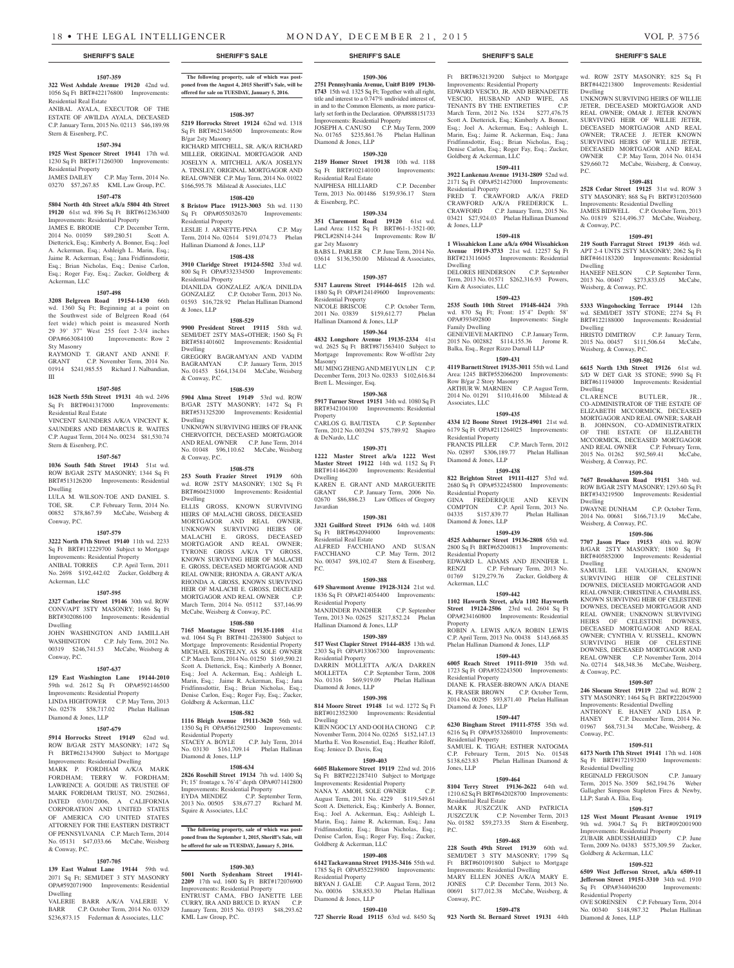## **1507-359**

**322 West Ashdale Avenue 19120** 42nd wd. 1056 Sq Ft BRT#422176800 Improvements: Residential Real Estate ANIBAL AYALA, EXECUTOR OF THE ESTATE OF AWILDA AYALA, DECEASED

C.P. January Term, 2015 No. 02113 \$46,189.98 Stern & Eisenberg, P.C.

## **1507-394**

**1925 West Spencer Street 19141** 17th wd. 1230 Sq Ft BRT#171260300 Improvements: Residential Property JAMES DAILEY C.P. May Term, 2014 No. 03270 \$57,267.85 KML Law Group, P.C.

## **1507-478**

**5804 North 4th Street a/k/a 5804 4th Street 19120** 61st wd. 896 Sq Ft BRT#612363400 Improvements: Residential Property

JAMES E. BRODIE C.P. December Term, 2014 No. 01059 \$89,280.51 Scott A. Dietterick, Esq.; Kimberly A. Bonner, Esq.; Joel A. Ackerman, Esq.; Ashleigh L. Marin, Esq.; Jaime R. Ackerman, Esq.; Jana Fridfinnsdottir, Esq.; Brian Nicholas, Esq.; Denise Carlon, Esq.; Roger Fay, Esq.; Zucker, Goldberg & Ackerman, LLC

## **1507-498**

**3208 Belgreen Road 19154-1430** 66th wd. 1360 Sq Ft; Beginning at a point on the Southwest side of Belgreen Road (64 feet wide) which point is measured North 29 39' 37" West 255 feet 2-3/4 inches<br>OPA#663084100 Improvements: Row 2 Improvements: Row 2 Sty Masonry

RAYMOND T. GRANT AND ANNE F. GRANT C.P. November Term, 2014 No. 01914 \$241,985.55 Richard J. Nalbandian, III

## **1507-505**

**1628 North 55th Street 19131** 4th wd. 2496 Sq Ft BRT#041317000 Improvements: Residential Real Estate

VINCENT SAUNDERS A/K/A VINCENT K. SAUNDERS AND DEMARCUS R. WAITES C.P. August Term, 2014 No. 00234 \$81,530.74 Stern & Eisenberg, P.C.

## **1507-567**

**1036 South 54th Street 19143** 51st wd. ROW B/GAR 2STY MASONRY; 1344 Sq Ft BRT#513126200 Improvements: Residential Dwelling

LULA M. WILSON-TOE AND DANIEL S. TOE, SR. C.P. February Term, 2014 No. 00852 \$78,867.59 McCabe, Weisberg & Conway, P.C.

## **1507-579**

**3222 North 17th Street 19140** 11th wd. 2233 Sq Ft BRT#112229700 Subject to Mortgage Improvements: Residential Property ANIBAL TORRES C.P. April Term, 2011 No. 2698 \$192,442.02 Zucker, Goldberg & Ackerman, LLC

#### **1507-595**

**2327 Catherine Street 19146** 30th wd. ROW CONV/APT 3STY MASONRY; 1686 Sq Ft BRT#302086100 Improvements: Residential Dwelling JOHN WASHINGTON AND JAMILLAH

WASHINGTON C.P. July Term, 2012 No. 00319 \$246,741.53 McCabe, Weisberg & Conway, P.C.

## **1507-637**

**129 East Washington Lane 19144-2010**  59th wd. 2612 Sq Ft OPA#592146500 Improvements: Residential Property

LINDA HIGHTOWER C.P. May Term, 2013 No. 02578 \$58,717.02 Phelan Hallinan Diamond & Jones, LLP

## **1507-679**

**5914 Horrocks Street 19149** 62nd wd. ROW B/GAR 2STY MASONRY; 1472 Sq Ft BRT#621343900 Subject to Mortgage

Improvements: Residential Dwelling MARK P. FORDHAM A/K/A MARK FORDHAM; TERRY W. FORDHAM; LAWRENCE A. GOUDIE AS TRUSTEE OF MARK FORDHAM TRUST, NO. 2502861, DATED 03/01/2006, A CALIFORNIA CORPORATION AND UNITED STATES OF AMERICA C/O UNITED STATES ATTORNEY FOR THE EASTERN DISTRICT OF PENNSYLVANIA C.P. March Term, 2014 No. 05131 \$47,033.66 McCabe, Weisberg & Conway, P.C.

#### **1507-705**

**139 East Walnut Lane 19144** 59th wd. 2071 Sq Ft; SEMI/DET 3 STY MASONRY OPA#592071900 Improvements: Residential Dwelling

VALERIE BARR A/K/A VALERIE V. BARR C.P. October Term, 2014 No. 03329 \$236,873.15 Federman & Associates, LLC

**The following property, sale of which was postponed from the August 4, 2015 Sheriff's Sale, will be offered for sale on TUESDAY, January 5, 2016.**

#### **1508-397 5219 Horrocks Street 19124** 62nd wd. 1318

Sq Ft BRT#621346500 Improvements: Row B/gar 2sty Masonry RICHARD MITCHELL, SR. A/K/A RICHARD

MILLER, ORIGINAL MORTGAGOR AND JOSELYN A. MITCHELL A/K/A JOSELYN A. TINSLEY, ORIGINAL MORTGAGOR AND REAL OWNER C.P. May Term, 2014 No. 01022 \$166,595.78 Milstead & Associates, LLC

## **1508-420**

**8 Bristow Place 19123-3003** 5th wd. 1130 Sq Ft OPA#055032670 Improvements: Residential Property

## LESLIE J. ARNETTE-PINA C.P. May Term, 2014 No. 02614 \$191,074.73 Phelan Hallinan Diamond & Jones, LLP **1508-438**

**3910 Claridge Street 19124-5502** 33rd wd. 800 Sq Ft OPA#332334500 Improvements: Residential Property DIANILDA GONZALEZ A/K/A DINILDA GONZALEZ C.P. October Term, 2013 No.

01593 \$16,728.92 Phelan Hallinan Diamond & Jones, LLP **1508-529**

**9900 President Street 19115** 58th wd. SEMI/DET 2STY MAS+OTHER; 1560 Sq Ft BRT#581401602 Improvements: Residential Dwelling GREGORY BAGRAMYAN AND VADIM BAGRAMYAN C.P. January Term, 2015 No. 01453 \$164,134.04 McCabe, Weisberg & Conway, P.C.

## **1508-539**

**5904 Alma Street 19149** 53rd wd. ROW B/GAR 2STY MASONRY; 1472 Sq Ft BRT#531325200 Improvements: Residential Dwelling UNKNOWN SURVIVING HEIRS OF FRANK CHERVOITCH, DECEASED MORTGAGOR AND REAL OWNER C.P. June Term, 2014 No. 01048 \$96,110.62 McCabe, Weisberg & Conway, P.C.

**1508-578**

**253 South Frazier Street 19139** 60th wd. ROW 2STY MASONRY; 1302 Sq Ft BRT#604231000 Improvements: Residential Dwelling

ELLIS GROSS, KNOWN SURVIVING HEIRS OF MALACHI GROSS, DECEASED MORTGAGOR AND REAL OWNER, UNKNOWN SURVIVING HEIRS OF MALACHI E. GROSS, DECEASED MORTGAGOR AND REAL OWNER; TYRONE GROSS A/K/A TY GROSS, KNOWN SURVIVING HEIR OF MALACHI E. GROSS, DECEASED MORTGAGOR AND REAL OWNER; RHONDA A. GRANT A/K/A RHONDA A. GROSS, KNOWN SURVIVING HEIR OF MALACHI E. GROSS, DECEAED MORTGAGOR AND REAL OWNER C.P. March Term, 2014 No. 05112 \$37,146.99 McCabe, Weisberg & Conway, P.C.

## **1508-580**

**7165 Montague Street 19135-1108** 41st wd. 1064 Sq Ft BRT#41-2263800 Subject to Mortgage Improvements: Residential Property MICHAEL KOSTELNY, AS SOLE OWNER C.P. March Term, 2014 No. 01250 \$169,590.21 Scott A. Dietterick, Esq.; Kimberly A Bonner, Esq.; Joel A. Ackerman, Esq.; Ashleigh L. Marin, Esq.; Jaime R. Ackerman, Esq.; Jana Fridfinnsdottir, Esq.; Brian Nicholas, Esq.; Denise Carlon, Esq.; Roger Fay, Esq.; Zucker, Goldberg & Ackerman, LLC

## **1508-582**

**1116 Bleigh Avenue 19111-3620** 56th wd. 1350 Sq Ft OPA#561292500 Improvements: Residential Property STACEY A. BOYLE C.P. July Term, 2014

No. 03130 \$161,709.14 Phelan Hallinan Diamond & Jones, LLP

**1508-634 2826 Rosehill Street 19134** 7th wd. 1400 Sq Ft; 15' frontage x. 76'4" depth OPA#071412800 Improvements: Residential Property<br>EYDA MENDEZ C.P. Septen C.P. September Term, 2013 No. 00505 \$38,677.27 Richard M. Squire & Associates, LLC

## **The following property, sale of which was postponed from the September 1, 2015, Sheriff's Sale, will**

# **be offered for sale on TUESDAY, January 5, 2016.**

## **1509-303**

**5001 North Sydenham Street 19141- 2209** 17th wd. 1600 Sq Ft BRT#172076900 Improvements: Residential Property ENTRUST CAMA, FBO JANETTE LEE CURRY, IRA AND BRUCE D. RYAN C.P. January Term, 2015 No. 03193 \$48,293.62 KML Law Group, P.C.

**SHERIFF'S SALE SHERIFF'S SALE SHERIFF'S SALE SHERIFF'S SALE SHERIFF'S SALE**

## **1509-306**

**2751 Pennsylvania Avenue, Unit# B109 19130- 1743** 15th wd. 1325 Sq Ft; Together with all right, title and interest to a 0.747% undivided interest of, in and to the Common Elements, as more particularly set forth in the Declaration. OPA#888151733 Improvements: Residential Property JOSEPH A. CANUSO C.P. May Term, 2009 No. 01765 \$235,861.76 Phelan Hallinan Diamond & Jones, LLP

## **1509-320**

**2159 Homer Street 19138** 10th wd. 1188 Sq Ft BRT#102140100 Improvements: Residential Real Estate NAIPHESA HILLIARD C.P. December Term, 2013 No. 001486 \$159,936.17 Stern & Eisenberg, P.C.

## **1509-334**

**351 Claremont Road 19120** 61st wd. Land Area: 1152 Sq Ft BRT#61-1-3521-00; PRCL#28N14-244 Improvements: Row B/ gar 2sty Masonry BABS L. PARLER C.P. June Term, 2014 No. 03614 \$136,350.00 Milstead & Associates, LLC

## **1509-357**

**5317 Laurens Street 19144-4615** 12th wd. 1880 Sq Ft OPA#124149600 Improvements: Residential Property NICOLE BRISCOE C.P. October Term, 2011 No. 03839 \$159,612.77 Phelan Hallinan Diamond & Jones, LLP

**1509-364 4832 Longshore Avenue 19135-2334** 41st wd. 2625 Sq Ft BRT#871563410 Subject to Mortgage Improvements: Row W-off/str 2sty Masonry MU MING ZHENG AND MEI YUN LIN C.P.

December Term, 2013 No. 02833 \$102,616.84 Brett L. Messinger, Esq. **1509-368**

**5917 Turner Street 19151** 34th wd. 1080 Sq Ft BRT#342104100 Improvements: Residential Property

CARLOS G. BAUTISTA C.P. September Term, 2012 No. 003294 \$75,789.92 Shapiro & DeNardo, LLC

## **1509-371**

**1222 Master Street a/k/a 1222 West Master Street 19122** 14th wd. 1152 Sq Ft BRT#141464200 Improvements: Residential Dwelling KAREN E. GRANT AND MARGUERITE<br>GRANT C.P. January Term, 2006 No. C.P. January Term, 2006 No. 02670 \$86,886.23 Law Offices of Gregory Javardian

## **1509-381**

**3321 Guilford Street 19136** 64th wd. 1408<br>
Sq Ft BRT#642094000 Improvements: Sq Ft BRT#642094000 Residential Real Estate ALFRED FACCHIANO AND SUSAN

FACCHIANO C.P. May Term, 2012 No. 00347 \$98,102.47 Stern & Eisenberg, P.C.

## **1509-388**

**619 Shawmont Avenue 19128-3124** 21st wd. 1836 Sq Ft OPA#214054400 Improvements: Residential Property MANJINDER PANDHER C.P. September

Term, 2013 No. 02625 \$217,852.24 Phelan Hallinan Diamond & Jones, LLP **1509-389**

**517 West Clapier Street 19144-4835** 13th wd. 2303 Sq Ft OPA#133067300 Improvements: Residential Property

DARRIN MOLLETTA A/K/A DARREN MOLLETTA C.P. September Term, 2008 No. 01316 \$69,919.09 Phelan Hallinan Diamond & Jones, LLP

## **1509-398**

**814 Moore Street 19148** 1st wd. 1272 Sq Ft BRT#012352300 Improvements: Residential Dwelling

KIEN NGOC LY AND OOI HA CHONG C.P. November Term, 2014 No. 02265 \$152,147.13 Martha E. Von Rosenstiel, Esq.; Heather Riloff, Esq; Jeniece D. Davis, Esq

## **1509-403**

**6605 Blakemore Street 19119** 22nd wd. 2016 Sq Ft BRT#221287410 Subject to Mortgage Improvements: Residential Property NANA Y. AMOH, SOLE OWNER C.P. August Term, 2011 No. 4229 \$119,549.61 Scott A. Dietterick, Esq.; Kimberly A. Bonne Esq.; Joel A. Ackerman, Esq.; Ashleigh L. Marin, Esq.; Jaime R. Ackerman, Esq.; Jana Fridfinnsdottir, Esq.; Brian Nicholas, Esq.; Denise Carlon, Esq.; Roger Fay, Esq.; Zucker, Goldberg & Ackerman, LLC

## **1509-408**

**6142 Tackawanna Street 19135-3416** 55th wd. 1785 Sq Ft OPA#552239800 Improvements: Residential Property

BRYAN J. GALIE C.P. August Term, 2012 No. 00036 \$38,853.30 Phelan Hallinan Diamond & Jones, LLP

## **1509-410**

**727 Sherrie Road 19115** 63rd wd. 8450 Sq

wd. ROW 2STY MASONRY; 825 Sq Ft BRT#442213800 Improvements: Residential

UNKNOWN SURVIVING HEIRS OF WILLIE JETER, DECEASED MORTGAGOR AND REAL OWNER; OMAR J. JETER KNOWN SURVIVING HEIR OF WILLIE JETER, DECEASED MORTGAGOR AND REAL OWNER; TRACEE J. JETER KNOWN SURVIVING HEIRS OF WILLIE JETER, DECEASED MORTGAGOR AND REAL OWNER C.P. May Term, 2014 No. 01434 \$29,660.72 McCabe, Weisberg, & Conway,

**1509-481 2528 Cedar Street 19125** 31st wd. ROW 3 STY MASONRY; 868 Sq Ft BRT#312035600 Improvements: Residential Dwelling JAMES BIDWELL C.P. October Term, 2013 No. 01819 \$214,496.37 McCabe, Weisberg,

**1509-491 219 South Farragut Street 19139** 46th wd. APT 2-4 UNTS 2STY MASONRY; 2062 Sq Ft BRT#461183200 Improvements: Residential

HANEEF NELSON C.P. September Term, 2013 No. 00467 \$273,833.05 McCabe,

**1509-492 5333 Wingohocking Terrace 19144** 12th wd. SEMI/DET 3STY STONE: 2274 Sq Ft BRT#122188000 Improvements: Residential

HRISTO DIMITROV C.P. January Term, 2015 No. 00457 \$111,506.64 McCabe,

**1509-502 6615 North 13th Street 19126** 61st wd. S/D W DET GAR 3S STONE; 5990 Sq Ft BRT#611194000 Improvements: Residential

CLARENCE BUTLER, JR., CO-ADMINISTRATOR OF THE ESTATE OF ELIZABETH MCCORMICK, DECEASED MORTGAGOR AND REAL OWNER; SARAH B. JOHNSON, CO-ADMINISTRATRIX OF THE ESTATE OF ELIZABETH MCCORMICK, DECEASED MORTGAGOR AND REAL OWNER C.P. February Term, 2015 No. 01262 \$92,569.41 McCabe,

**1509-504 7657 Brookhaven Road 19151** 34th wd. ROW B/GAR 2STY MASONRY; 1293.60 Sq Ft BRT#343219500 Improvements: Residential

DWAYNE DUNHAM C.P. October Term, 2014 No. 00681 \$166,713.19 McCabe,

**1509-506 7707 Jason Place 19153** 40th wd. ROW B/GAR 2STY MASONRY; 1800 Sq Ft BRT#405852000 Improvements: Residential

SAMUEL LEE VAUGHAN, KNOWN SURVIVING HEIR OF CELESTINE DOWNES, DECEASED MORTGAGOR AND REAL OWNER; CHRISTINE A. CHAMBLISS, KNOWN SURVIVING HEIR OF CELESTINE DOWNES, DECEASED MORTGAGOR AND REAL OWNER; UNKNOWN SURVIVING HEIRS OF CELESTINE DOWNES, DECEASED MORTGAGOR AND REAL OWNER; CYNTHIA V. RUSSELL, KNOWN SURVIVING HEIR OF CELESTINE DOWNES, DECEASED MORTGAGOR AND REAL OWNER C.P. November Term, 2014 No. 02714 \$48,348.36 McCabe, Weisberg,

**1509-507 246 Slocum Street 19119** 22nd wd. ROW 2 STY MASONRY; 1464 Sq Ft BRT#222045900 Improvements: Residential Dwelling ANTHONY E. HANEY AND LISA P. HANEY C.P. December Term, 2014 No. 01967 \$68,731.34 McCabe, Weisberg, &

**1509-511 6173 North 17th Street 19141** 17th wd. 1408 Sq Ft BRT#172193200 Improvements:

REGINALD FERGUSON C.P. January Term, 2015 No. 3509 \$62,194.76 Weber Gallagher Simpson Stapleton Fires & Newby,

**1509-517 125 West Mount Pleasant Avenue 19119**  9th wd. 3904.7 Sq Ft BRT#092001900 Improvements: Residential Property ZUBAIR ABDUSSHAHEED C.P. June Term, 2009 No. 04383 \$575,309.59 Zucker,

**1509-522 6509 West Jefferson Street, a/k/a 6509-11 Jefferson Street 19151-3310** 34th wd. 1910<br>Sq Ft OPA#344046200 Improvements:

OVE SORENSEN C.P. February Term, 2014 No. 00340 \$148,987.32 Phelan Hallinan

Dwelling

P.C.

& Conway, P.C.

Weisberg, & Conway, P.C.

Weisberg, & Conway, P.C.

Weisberg, & Conway, P.C.

Weisberg, & Conway, P.C.

Dwelling

Dwelling

Dwelling

Dwelling

Dwelling

& Conway, P.C.

Conway, P.C.

Residential Dwelling

LLP; Sarah A. Elia, Esq.

Goldberg & Ackerman, LLC

Sq Ft OPA#344046200 Residential Property

Diamond & Jones, LLP

Ft BRT#632139200 Subject to Mortgage Improvements: Residential Property EDWARD VESCIO, JR. AND BERNADETTE VESCIO, HUSBAND AND WIFE, AS TENANTS BY THE ENTIRETIES C.P. March Term, 2012 No. 1524 \$277,476.75 Scott A. Dietterick, Esq.; Kimberly A. Bonner, Esq.; Joel A. Ackerman, Esq.; Ashleigh L. Marin, Esq.; Jaime R. Ackerman, Esq.; Jana Fridfinnsdottir, Esq.; Brian Nicholas, Esq.; Denise Carlon, Esq.; Roger Fay, Esq.; Zucker, Goldberg & Ackerman, LLC

## **1509-411**

**3922 Lankenau Avenue 19131-2809** 52nd wd. 2171 Sq Ft OPA#521427000 Improvements: Residential Property FRED T. CRAWFORD A/K/A FRED

CRAWFORD A/K/A FREDERICK L. CRAWFORD C.P. January Term, 2015 No. 03421 \$27,924.03 Phelan Hallinan Diamond & Jones, LLP **1509-418**

## **1 Wissahickon Lane a/k/a 6904 Wissahickon**

**Avenue 19119-3733** 21st wd. 12257 Sq Ft BRT#213116045 Improvements: Residential Dwelling DELORES HENDERSON C.P. September Term, 2013 No. 01571 \$262,316.93 Powers,

Kirn & Associates, LLC

Family Dwelling

Associates, LLC

Residential Property

Diamond & Jones, LLP

Residential Property

Diamond & Jones, LLP

Residential Property

Ackerman, LLC

Residential Property

Diamond & Jones, LLP

Residential Property

Residential Real Estate

Jones, LLP

 $PC$ .

Conway, P.C.

Property

Row B/gar 2 Story Masonry

**1509-423 2535 South 10th Street 19148-4424** 39th wd. 870 Sq Ft; Front: 15'4" Depth: 58'<br>OPA#393492800 Improvements: Single

GENEVIEVE MARTINO C.P. January Term, 2015 No. 002882 \$114,155.36 Jerome R. Balka, Esq., Reger Rizzo Darnall LLP **1509-431 4119 Barnett Street 19135-3011** 55th wd. Land Area: 1245 BRT#552066200 Improvements:

ARTHUR W. MARNIEN C.P. August Term, 2014 No. 01291 \$110,416.00 Milstead &

**1509-435 4334 1/2 Boone Street 19128-4901** 21st wd. 6179 Sq Ft OPA#211264025 Improvements:

FRANCIS PILLER C.P. March Term, 2012 No. 02897 \$306,189.77 Phelan Hallinan

**1509-438 822 Brighton Street 19111-4127** 53rd wd. 2680 Sq Ft OPA#532245800 Improvements:

GINA FREDERIQUE AND KEVIN COMPTON C.P. April Term, 2013 No. 04335 \$157,839.77 Phelan Hallinan

**1509-439 4525 Ashburner Street 19136-2808** 65th wd. 2800 Sq Ft BRT#652040813 Improvements:

EDWARD L. ADAMS AND JENNIFER L. RENZI C.P. February Term, 2013 No. 01769 \$129,279.76 Zucker, Goldberg &

**1509-442 1102 Haworth Street, a/k/a 1102 Hayworth Street 19124-2506** 23rd wd. 2604 Sq Ft OPA#234160800 Improvements: Residential

ROBIN A. LEWIS A/K/A ROBIN LEWIS C.P. April Term, 2013 No. 00438 \$143,668.85 Phelan Hallinan Diamond & Jones, LLP **1509-443 6005 Reach Street 19111-5910** 35th wd. 1723 Sq Ft OPA#352243500 Improvements:

DIANE K. FRASER-BROWN A/K/A DIANE K. FRASER BROWN C.P. October Term. 2014 No. 00295 \$93,871.40 Phelan Hallinan

**1509-447 6230 Bingham Street 19111-5755** 35th wd. 6216 Sq Ft OPA#353268010 Improvements:

SAMUEL K. TIGAH; ESTHER NATOGMA C.P. February Term, 2015 No. 01548 \$138,623.83 Phelan Hallinan Diamond &

**1509-464 8104 Terry Street 19136-2622** 64th wd. 1210.62 Sq Ft BRT#642028700 Improvements:

MARK JUSZCZUK AND PATRICIA

No. 01582 \$59,273.35 Stern & Eisenberg,

**1509-468 228 South 49th Street 19139** 60th wd. SEMI/DET 3 STY MASONRY; 1799 Sq Ft BRT#601091800 Subject to Mortgage Improvements: Residential Dwelling MARY ELLEN JONES A/K/A MARY E. JONES C.P. December Term, 2013 No. 00691 \$177,012.38 McCabe, Weisberg, &

**1509-478 923 North St. Bernard Street 19131** 44th

C.P. November Term, 2013

Improvements: Single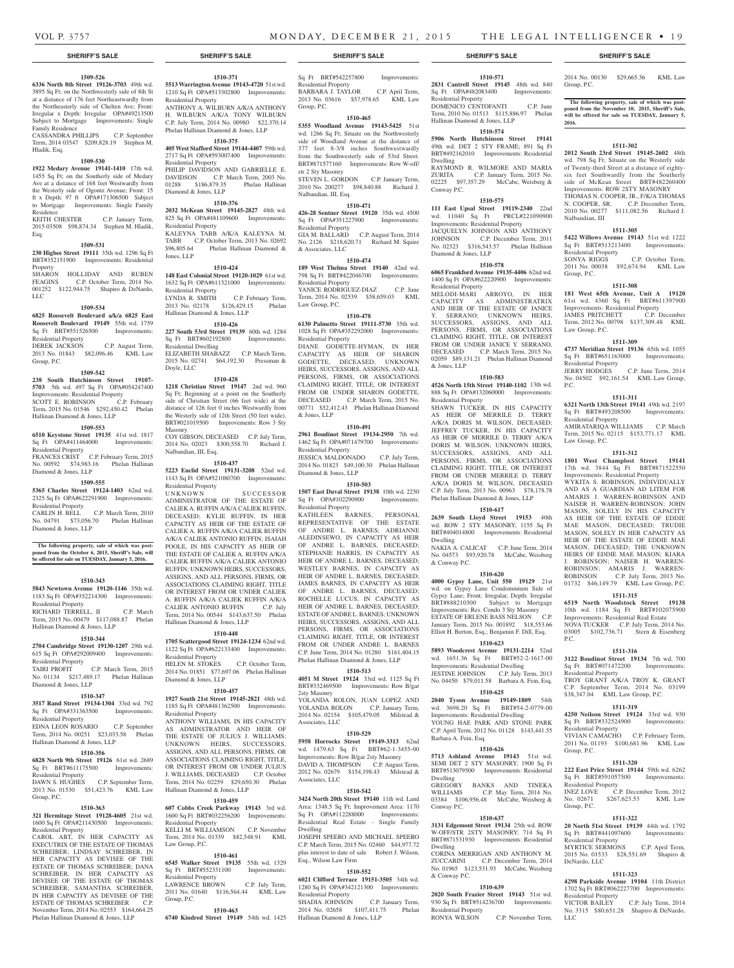## **1509-526**

**6336 North 8th Street 19126-3703** 49th wd. 3895 Sq Ft; on the Northwesterly side of 8th St at a distance of 176 feet Northeastwardly from the Northeasterly side of Chelten Ave; Front: Irregular x Depth: Irregular OPA#49213500 Subject to Mortgage Improvements: Single Family Residence

CASSANDRA PHILLIPS C.P. September Term, 2014 03547 \$209,828.19 Stephen M. Hladik, Esq.

#### **1509-530**

**1922 Medary Avenue 19141-1410** 17th wd. 1455 Sq Ft; on the Southerly side of Medary Ave at a distance of 168 feet Westwardly from the Westerly side of Ogontz Avenue; Front: 15 ft x Depth: 97 ft OPA#171306500 Subject to Mortgage Improvements: Single Family Residence<br>KEITH CHESTER

C.P. January Term, 2015 03508 \$98,874.34 Stephen M. Hladik, Esq.

#### **1509-531**

**230 Higbee Street 19111** 35th wd. 1296 Sq Ft BRT#352151900 Improvements: Residential Property

SHARON HOLLIDAY AND RUBEN FEAGINS C.P. October Term, 2014 No. 001252 \$122,944.75 Shapiro & DeNardo, LLC

#### **1509-534**

**6825 Roosevelt Boulevard a/k/a 6825 East Roosevelt Boulevard 19149** 55th wd. 1759

## Sq Ft BRT#551526500 Improvements: Residential Property

DEREK JACKSON C.P. August Term, 2013 No. 01843 \$82,096.46 KML Law Group, P.C.

#### **1509-542**

**238 South Hutchinson Street 19107- 5703** 5th wd. 497 Sq Ft OPA#054247400 Improvements: Residential Property<br>SCOTT E. ROBINSON C.P. February SCOTT E. ROBINSON Term, 2015 No. 01546 \$292,450.42 Phelan Hallinan Diamond & Jones, LLP

## **1509-553**

**6510 Keystone Street 19135** 41st wd. 1817 Sq Ft OPA#411464000 Improvements: Residential Property FRANCES CRIST C.P. February Term, 2015 No. 00592 \$74,983.16 Phelan Hallinan

## Diamond & Jones, LLP

## **1509-555**

**5365 Charles Street 19124-1403** 62nd wd. 2325 Sq Ft OPA#622291900 Improvements: Residential Property<br>CARLIN H. BELL C.P. March Term, 2010

No. 04791 \$73,056.70 Phelan Hallinan Diamond & Jones, LLP

### **The following property, sale of which was postponed from the October 6, 2015, Sheriff's Sale, will be offered for sale on TUESDAY, January 5, 2016.**

## **1510-343**

**5843 Newtown Avenue 19120-1146** 35th wd. 1183 Sq Ft OPA#352214300 Improvements: Residential Property

RICHARD TERRELL, II C.P. March Term, 2015 No. 00479 \$117,088.87 Phelan Hallinan Diamond & Jones, LLP

## **1510-344**

**2704 Cambridge Street 19130-1207** 29th wd. 615 Sq Ft OPA#292009400 Improvements: Residential Property<br>TAIRI PROFIT

C.P. March Term, 2015 No. 01134 \$217,489.17 Phelan Hallinan Diamond & Jones, LLP

#### **1510-347**

**3517 Rand Street 19134-1304** 33rd wd. 792 Sq Ft OPA#331363500 Improvements: Residential Property

EDNA LEON ROSARIO C.P. September Term, 2014 No. 00251 \$23,033.58 Phelan Hallinan Diamond & Jones, LLP

## **1510-356**

**6828 North 9th Street 19126** 61st wd. 2689 Sq Ft BRT#611175500 Improvements: Residential Property

DAWN S. HUGHES C.P. September Term, 2013 No. 01530 \$51,423.76 KML Law Group, P.C.

#### **1510-363**

**321 Hermitage Street 19128-4605** 21st wd. 1600 Sq Ft OPA#211430500 Improvements: Residential Property

CAROL ABT, IN HER CAPACITY AS EXECUTRIX OF THE ESTATE OF THOMAS SCHREIBER; LINDSAY SCHREIBER, IN HER CAPACITY AS DEVISEE OF THE ESTATE OF THOMAS SCHREIBER; DANA SCHREIBER, IN HER CAPACITY AS DEVISEE OF THE ESTATE OF THOMAS SCHREIBER; SAMANTHA SCHREIBER, IN HER CAPACITY AS DEVISEE OF THE ESTATE OF THOMAS SCHREIBER November Term, 2014 No. 02553 \$164,664.25 Phelan Hallinan Diamond & Jones, LLP

## **1510-371**

**5513 Warrington Avenue 19143-4720** 51st wd. 1210 Sq Ft OPA#513302800 Improvements: Residential Property ANTHONY A. WILBURN A/K/A ANTHONY H. WILBURN A/K/A TONY WILBURN C.P. July Term, 2014 No. 00980 \$22,370.14

Phelan Hallinan Diamond & Jones, LLP **1510-375 405 West Stafford Street 19144-4407** 59th wd. 2717 Sq Ft OPA#593007400 Improvements:

Residential Property PHILIP DAVIDSON AND GABRIELLE E. DAVIDSON C.P. March Term, 2003 No. 01288 \$186,879.35 Phelan Hallinan Diamond & Jones, LLP

## **1510-376**

**2032 McKean Street 19145-2827** 48th wd. 825 Sq Ft OPA#481109600 Improvements: Residential Property KALEYNA TABB A/K/A KALEYNA M. TABB C.P. October Term, 2013 No. 02692<br>\$96,805.64 Phelan Hallinan Diamond & Phelan Hallinan Diamond & Jones, LLP

## **1510-424**

**148 East Colonial Street 19120-1029** 61st wd. 1632 Sq Ft OPA#611321000 Improvements: Residential Property<br>LYNDA R. SMITH C.P. February Term, 2013 No. 02178 \$126,429.15 Phelan Hallinan Diamond & Jones, LLP

#### **1510-426**

**227 South 53rd Street 19139** 60th wd. 1284 Sq Ft BRT#602192800 Residential Dwelling ELIZABETH SHABAZZ C.P. March Term, 2015 No. 02741 \$64,192.30 Pressman & Doyle, LLC

## **1510-428**

**1218 Christian Street 19147** 2nd wd. 960 Sq Ft; Beginning at a point on the Southerly side of Christian Street (66 feet wide) at the distance of 126 feet 0 inches Westwardly from the Westerly side of 12th Street (50 feet wide). BRT#021019500 Improvements: Row 3 Sty Masonry

COY GIBSON, DECEASED C.P. July Term, 2014 No. 02023 \$300,558.70 Richard J. Nalbandian, III, Esq.

## **1510-437**

**5223 Euclid Street 19131-3208** 52nd wd. 1143 Sq Ft OPA#521080700 Improvements: Residential Property UNKNOWN SUCCESSOR ADMINISTRATOR OF THE ESTATE OF CALIEK A. RUFFIN A/K/A CALIEK RUFFIN, DECEASED; KYLIE RUFFIN, IN HER CAPACITY AS HEIR OF THE ESTATE OF CALIEK A. RUFFIN A/K/A CALIEK RUFFIN A/K/A CALIEK ANTONIO RUFFIN; ISAIAH POOLE, IN HIS CAPACITY AS HEIR OF THE ESTATE OF CALIEK A. RUFFIN A/K/A CALIEK RUFFIN A/K/A CALIEK ANTONIO RUFFIN; UNKNOWN HEIRS, SUCCESSORS, ASSIGNS, AND ALL PERSONS, FIRMS, OR ASSOCIATIONS CLAIMING RIGHT, TITLE

OR INTEREST FROM OR UNDER CALIEK A. RUFFIN A/K/A CALIEK RUFFIN A/K/A CALIEK ANTONIO RUFFIN C.P. July Term, 2014 No. 00544 \$143,637.50 Phelan Hallinan Diamond & Jones, LLP

## **1510-448**

**1705 Scattergood Street 19124-1234** 62nd wd. 1122 Sq Ft OPA#622133400 Improvements: Residential Property HELEN M. STOKES C.P. October Term, 2014 No. 01851 \$77,697.06 Phelan Hallinan Diamond & Jones, LLP

## **1510-457**

**1927 South 21st Street 19145-2821** 48th wd. 1185 Sq Ft OPA#481362500 Improvements: Residential Property ANTHONY WILLIAMS, IN HIS CAPACITY AS ADMINSTRATOR AND HEIR OF THE ESTATE OF JULIUS J. WILLIAMS; UNKNOWN HEIRS, SUCCESSORS, ASSIGNS, AND ALL PERSONS, FIRMS, OR ASSOCIATIONS CLAIMING RIGHT, TITLE,

OR INTEREST FROM OR UNDER JULIUS J. WILLIAMS, DECEASED C.P. October Term, 2014 No. 02259 \$29,650.30 Phelan Hallinan Diamond & Jones, LLP

## **1510-459**

**607 Cobbs Creek Parkway 19143** 3rd wd. 1600 Sq Ft BRT#032256200 Improvements: Residential Property KELLI M. WILLIAMSON C.P. November Term, 2014 No. 01339 \$82,548.91 KML Law Group, P.C.

### **1510-461**

**6545 Walker Street 19135** 55th wd. 1329 Sq Ft BRT#552331100 Improvements: Residential Property

LAWRENCE BROWN C.P. July Term, 2011 No. 01640 \$116,564.44 KML Law

## **1510-463**

Group, P.C.

**6740 Kindred Street 19149** 54th wd. 1425

## **SHERIFF'S SALE SHERIFF'S SALE SHERIFF'S SALE SHERIFF'S SALE SHERIFF'S SALE**

Sq Ft BRT#542257800 Improvements: Residential Property BARBARA J. TAYLOR C.P. April Term, 2013 No. 03616 \$57,978.65 KML Law Group, P.C.

## **1510-465**

**5355 Woodland Avenue 19143-5425** 51st wd. 1266 Sq Ft; Situate on the Northwesterly side of Woodland Avenue at the distance of 377 feet 8-3/8 inches Southwestwardly from the Southwesterly side of 53rd Street. BRT#871577160 Improvements: Row W-off/ str 2 Sty Masonry STEVEN L. GORDON C.P. January Term,

2010 No. 200277 \$98,840.88 Richard J. Nalbandian, III, Esq. **1510-471**

**426-28 Sentner Street 19120** 35th wd. 4500 Sq Ft OPA#351227900 Improvements: Residential Property GIA M. BALLARD C.P. August Term, 2014 No. 2126 \$218,620.71 Richard M. Squire & Associates, LLC

## **1510-474**

**189 West Thelma Street 19140** 42nd wd. 798 Sq Ft BRT#422046700 Improvements: Residential Property YANICE RODRIGUEZ-DIAZ C.P. June Term, 2014 No. 02539 \$58,659.03 KML Law Group, P.C.

## **1510-478**

**6130 Palmetto Street 19111-5730** 35th wd. 1028 Sq Ft OPA#352292000 Improvements: Residential Property DIANE GODETTE-HYMAN, IN HER

CAPACITY AS HEIR OF SHARON GODETTE, DECEASED; UNKNOWN HEIRS, SUCCESSORS, ASSIGNS, AND ALL PERSONS, FIRMS, OR ASSOCIATIONS CLAIMING RIGHT, TITLE, OR INTEREST FROM OR UNDER SHARON GODETTE, DECEASED C.P. March Term, 2015 No. 00771 \$52,412.43 Phelan Hallinan Diamond & Jones, LLP

#### **1510-491**

**2961 Boudinot Street 19134-2950** 7th wd. 1462 Sq Ft OPA#071479700 Improvements: Residential Property JESSICA MALDONADO C.P. July Term,

2014 No. 01823 \$49,100.30 Phelan Hallinan Diamond & Jones, LLP

## **1510-503**

**1507 East Duval Street 19138** 10th wd. 2250 Sq Ft OPA#102290900 Improvements: Residential Property

KATHLEEN BARNES, PERSONAL REPRESENTATIVE OF THE ESTATE OF ANDRE L. BARNES; ADRIANNE ALEDINSEWO, IN CAPACITY AS HEIR OF ANDRE L. BARNES, DECEASED; STEPHANIE HARRIS, IN CAPACITY AS HEIR OF ANDRE L. BARNES, DECEASED: WESTLEY BARNES, IN CAPACITY AS HEIR OF ANDRE L. BARNES, DECEASED; JAMES BARNES, IN CAPACITY AS HEIR OF ANDRE L. BARNES, DECEASED; ROCHELLE LUCUS, IN CAPACITY AS HEIR OF ANDRE L. BARNES, DECEASED; ESTATE OF ANDRE L. BARNES; UNKNOWN HEIRS, SUCCESSORS, ASSIGNS, AND ALL PERSONS, FIRMS, OR ASSOCIATIONS CLAIMING RIGHT, TITLE, OR INTEREST FROM OR UNDER ANDRE L. BARNES C.P. June Term, 2014 No. 01280 \$161,404.15 Phelan Hallinan Diamond & Jones, LLP

## **1510-513**

**4051 M Street 19124** 33rd wd. 1125 Sq Ft BRT#332469500 Improvements: Row B/gar 2sty Masonry YOLANDA ROLON, JUAN LOPEZ AND YOLANDA ROLON C.P. January Term, 2014 No. 02154 \$105,479.05 Milstead & Associates, LLC

### **1510-529**

**5958 Horrocks Street 19149-3313** 62nd wd. 1479.63 Sq Ft BRT#62-1-3455-00 Improvements: Row B/gar 2sty Masonry DAVID A. THOMPSON C.P. August Term, 2012 No. 02679 \$154,198.43 Milstead & Associates, LLC

#### **1510-542**

**3424 North 20th Street 19140** 11th wd. Land Area: 1348.5 Sq Ft; Improvement Area: 1170 Sq Ft OPA#112288000 Improvements: Residential Real Estate - Single Family Dwelling

JOSEPH SPEERO AND MICHAEL SPEERO C.P. March Term, 2015 No. 02460 \$44,977.72 plus interest to date of sale Robert J. Wilson, Esq., Wilson Law Firm

## **1510-552**

**6021 Clifford Terrace 19151-3505** 34th wd. 1280 Sq Ft OPA#342121300 Improvements: Residential Property SHADIA JOHNSON C.P. January Term, 2014 No. 02658 \$107,411.75 Phelan Hallinan Diamond & Jones, LLP

**1510-571 2831 Cantrell Street 19145** 48th wd. 840<br>Sq Ft OPA#482083400 Improvements: Sq Ft OPA#482083400 Residential Property DOMENICO CENTOFANTI C.P. June Term, 2010 No. 01513 \$115,886.97 Phelan Hallinan Diamond & Jones, LLP

2014 No. 00130 \$29,665.36 KML Law

**The following property, sale of which was postponed from the November 10, 2015, Sheriff's Sale, will be offered for sale on TUESDAY, January 5,** 

**1511-302 2012 South 23rd Street 19145-2602** 48th wd. 798 Sq Ft; Situate on the Westerly side of Twenty-third Street at a distance of eightysix feet Southwardly from the Southerly side of McKean Street BRT#482260400 Improvements: ROW 2STY MASONRY THOMAS N. COOPER, JR., F/K/A THOMAS N. COOPER, SR. C.P. December Term, 2010 No. 00277 \$111,082.56 Richard J.

**1511-305 5422 Willows Avenue 19143** 51st wd. 1222 Sq Ft BRT#513213400 Improvements:

SONYA RIGGS C.P. October Term, 2011 No. 00038 \$92,674.94 KML Law

**1511-308** 181 West 65th Avenue, Unit A 19120<br>61st wd. 4360 Sq Ft BRT#611397900 61st wd. 4360 Sq Ft BRT#611397900 Improvements: Residential Property JAMES PRITCHETT C.P. December Term, 2012 No. 00798 \$137,309.48 KML

**1511-309 4737 Meridian Street 19136** 65th wd. 1055 Sq Ft BRT#651163000 Improvements:

JERRY HODGES C.P. June Term, 2014 No. 04502 \$92,161.54 KML Law Group,

**1511-311 6321 North 13th Street 19141** 49th wd. 2197 Sq Ft BRT#493208500 Improvements:

AMIRATARIQA WILLIAMS C.P. March Term, 2015 No. 02115 \$153,771.17 KML

**1511-312 1801 West Champlost Street 19141**  17th wd. 3844 Sq Ft BRT#871522550 Improvements: Residential Property WYKITA S. ROBINSON, INDIVIDUALLY AND AS A GUARDIAN AD LITEM FOR AMARIS J. WARREN-ROBINSON AND NAISER H. WARREN-ROBINSON; JOHN MASON, SOLELY IN HIS CAPACITY AS HEIR OF THE ESTATE OF EDDIE MAE MASON, DECEASED; TRUDIE MASON, SOLELY IN HER CAPACITY AS HEIR OF THE ESTATE OF EDDIE MAE MASON, DECEASED; THE UNKNOWN HEIRS OF EDDIE MAE MASON; KIARA J. ROBINSON; NAISER H. WARREN-ROBINSON; AMARIS J. WARREN-ROBINSON C.P. July Term, 2013 No. 01732 \$46,149.79 KML Law Group, P.C. **1511-315 6519 North Woodstock Street 19138**  10th wd. 1184 Sq Ft BRT#102075900 Improvements: Residential Real Estate NOVA TUCKER C.P. July Term, 2014 No. 03005 \$102,736.71 Stern & Eisenberg

**1511-316 3122 Boudinot Street 19134** 7th wd. 700 Sq Ft BRT#071472200 Improvements:

TROY GRANT A/K/A TROY K. GRANT C.P. September Term, 2014 No. 03199 \$38,347.04 KML Law Group, P.C. **1511-319 4250 Neilson Street 19124** 33rd wd. 930 Sq Ft BRT#332524900 Improvements:

VIVIAN CAMACHO C.P. February Term, 2011 No. 01193 \$100,681.96 KML Law

**1511-320 222 East Price Street 19144** 59th wd. 6262 Sq Ft BRT#591057500 Improvements: Residential Property<br>INEZ LOVE C.P. December Term, 2012 INEZ LOVE C.P. December Term, 2012 No. 02671 \$267,623.53 KML Law

**1511-322 20 North 51st Street 19139** 44th wd. 1792 Sq Ft BRT#441097600 Improvements:

MYRTICE SERMONS C.P. April Term, 2015 No. 01533 \$28,551.69 Shapiro &

**1511-323 4298 Parkside Avenue 19104** 11th District 1702 Sq Ft BRT#062227700 Improvements:

VICTOR BAILEY C.P. July Term, 2014 No. 3315 \$80,651.28 Shapiro & DeNardo,

Group, P.C.

Nalbandian, III

Group, P.C.

Law Group, P.C.

Residential Property

Residential Property

Law Group, P.C.

P.C.

P.C.

Residential Property

Residential Property

Group, P.C.

Group, P.C.

Residential Property

Residential Property

DeNardo, LLC

LLC

Residential Property

**2016.**

## **1510-574**

**5906 North Hutchinson Street 19141**  49th wd. DET 2 STY FRAME; 891 Sq Ft BRT#492162010 Improvements: Residential Dwelling RAYMOND R. WILMORE AND MARIA ZURITA C.P. January Term, 2015 No. 02225 \$97,357.29 McCabe, Weisberg & Conway P.C.

## **1510-575**

Residential Property

& Jones, LLP

Dwelling

& Conway P.C.

Barbara A. Fein, Esq.

Dwelling

Conway P.C.

Dwelling

& Conway P.C.

Residential Property

**1510-626 5713 Ashland Avenue 19143** 51st wd. SEMI DET 2 STY MASONRY; 1900 Sq Ft BRT#513079500 Improvements: Residential

GREGORY BANKS AND TINEKA<br>WILLIAMS C.P. May Term, 2014 No.

03384 \$106,956.48 McCabe, Weisberg &

**1510-637 3131 Edgemont Street 19134** 25th wd. ROW W-OFF/STR 2STY MASONRY; 714 Sq Ft BRT#871531930 Improvements: Residential

CORINA MERRIGAN AND ANTHONY M. ZUCCARINI C.P. December Term, 2014 No. 01965 \$123,531.93 McCabe, Weisberg

**1510-639 2020 South Frazier Street 19143** 51st wd. 930 Sq Ft BRT#514236700 Improvements:

C.P. May Term, 2014 No.

C.P. November Term,

Residential Property

**111 East Upsal Street 19119-2340** 22nd wd. 11040 Sq Ft PRCL#221090900 Improvements: Residential Property JACQUELYN JOHNSON AND ANTHONY<br>JOHNSON C.P. December Term. 2011 C.P. December Term, 2011 No. 02323 \$316,543.57 Phelan Hallinan Diamond & Jones, LLP

**1510-578 6065 Frankford Avenue 19135-4406** 62nd wd. 1400 Sq Ft OPA#622220900 Improvements:

MELODI-MARI ARROYO, IN HER CAPACITY AS ADMINISTRATRIX AND HEIR OF THE ESTATE OF JANICE Y. SERRANO; UNKNOWN HEIRS, SUCCESSORS, ASSIGNS, AND ALL PERSONS, FIRMS, OR ASSOCIATIONS CLAIMING RIGHT, TITLE, OR INTEREST FROM OR UNDER JANICE Y. SERRANO, DECEASED C.P. March Term, 2015 No. 02059 \$89,131.21 Phelan Hallinan Diamond

**1510-583 4526 North 15th Street 19140-1102** 13th wd. 888 Sq Ft OPA#132060000 Improvements:

SHAWN TUCKER, IN HIS CAPACITY AS HEIR OF MERRILE D. TERRY A/K/A DORIS M. WILSON, DECEASED; JEFFREY TUCKER, IN HIS CAPACITY AS HEIR OF MERRILE D. TERRY A/K/A DORIS M. WILSON; UNKNOWN HEIRS, SUCCESSORS, ASSIGNS, AND ALL PERSONS, FIRMS, OR ASSOCIATIONS CLAIMING RIGHT, TITLE, OR INTEREST FROM OR UNDER MERRILE D. TERRY A/K/A DORIS M. WILSON, DECEASED C.P. July Term, 2013 No. 00963 \$78,178.78 Phelan Hallinan Diamond & Jones, LLP **1510-617 2639 South Lloyd Street 19153** 40th wd. ROW 2 STY MASONRY; 1155 Sq Ft BRT#404014800 Improvements: Residential

NAKIA A. CALICAT C.P. June Term, 2014 No. 04573 \$93,920.78 McCabe, Weisberg

**1510-620 4000 Gypsy Lane, Unit 550 19129** 21st wd. on Gypsy Lane Condominium Side of Gypsy Lane; Front: Irregular, Depth: Irregular BRT#888210300 Subject to Mortgage Improvements: Res. Condo 3 Sty Masonry ESTATE OF ERLENE BASS NELSON C.P. January Term, 2015 No. 001892 \$18,553.66 Elliot H. Berton, Esq.; Benjamin F. Dill, Esq. **1510-623 5893 Woodcrest Avenue 19131-2214** 52nd wd. 1651.36 Sq Ft BRT#52-2-1617-00 Improvements: Residential Dwelling JESTINE JOHNSON C.P. July Term, 2013 No. 04450 \$79,011.58 Barbara A. Fein, Esq. **1510-625 2040 Tyson Avenue 19149-1809** 54th wd. 3698.20 Sq Ft BRT#54-2-0779-00 Improvements: Residential Dwelling YOUNG HAE PARK AND STONE PARK C.P. April Term, 2012 No. 01128 \$143,441.55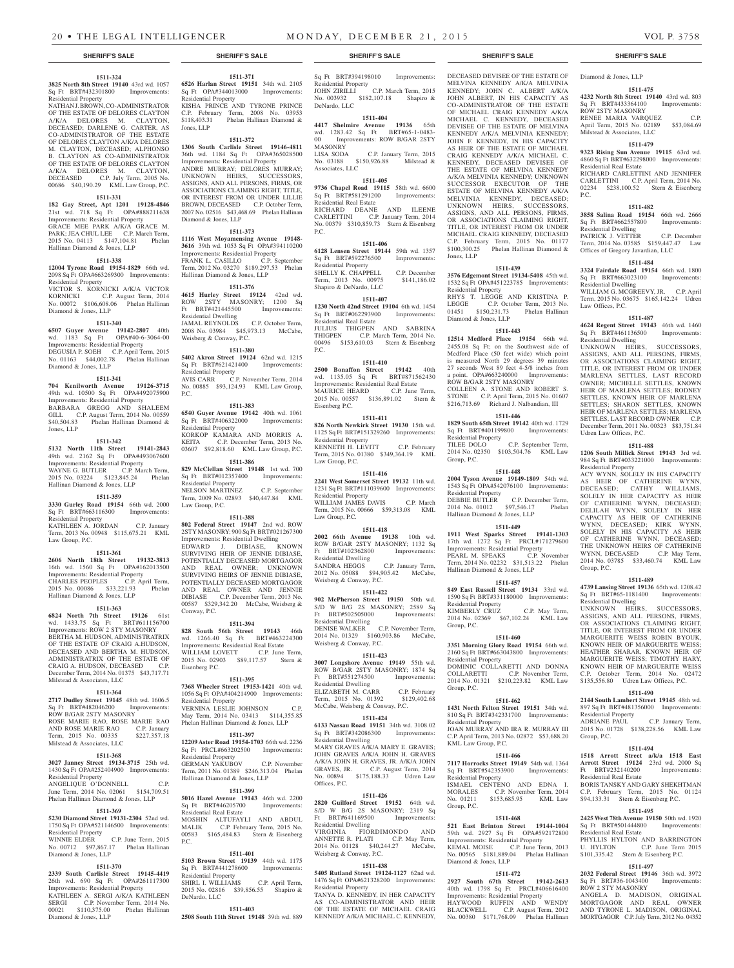**1511-371 6526 Harlan Street 19151** 34th wd. 2105 Sq Ft OPA#344013000 Improvements:

KISHA PRINCE AND TYRONE PRINCE C.P. February Term, 2008 No. 03953 \$118,403.31 Phelan Hallinan Diamond &

**1511-372 1306 South Carlisle Street 19146-4811**  36th wd. 1184 Sq Ft OPA#365028500 Improvements: Residential Property ANDRE MURRAY; DELORES MURRAY; UNKNOWN HEIRS, SUCCESSORS, ASSIGNS, AND ALL PERSONS, FIRMS, OR ASSOCIATIONS CLAIMING RIGHT, TITLE, OR INTEREST FROM OR UNDER LILLIE BROWN, DECEASED C.P. October Term, 2007 No. 02516 \$43,468.69 Phelan Hallinan

**1511-373 1116 West Moyamensing Avenue 19148- 3616** 39th wd. 1053 Sq Ft OPA#394110200 Improvements: Residential Property FRANK L. CASILLO C.P. September Term, 2012 No. 03270 \$189,297.53 Phelan Hallinan Diamond & Jones, LLP

**1511-376 4615 Hurley Street 19124** 42nd wd. ROW 2STY MASONRY; 1200 Sq Ft BRT#421445500 Improvements:

JAMAL REYNOLDS C.P. October Term, 2008 No. 03984 \$45,973.13 McCabe,

**1511-380 5402 Akron Street 19124** 62nd wd. 1215 Sq Ft BRT#621421400 Improvements:

No. 00885 \$93,124.93 KML Law Group,

**1511-383 6540 Guyer Avenue 19142** 40th wd. 1061 Sq Ft BRT#406322000 Improvements:

KORKOP KAMARA AND MORRIS A. KEITA C.P. December Term, 2013 No. 03607 \$92,818.60 KML Law Group, P.C. **1511-386 829 McClellan Street 19148** 1st wd. 700 Sq Ft BRT#012357400 Improvements:

NELSON MARTINEZ C.P. September Term, 2009 No. 02893 \$40,447.84 KML

**1511-388 802 Federal Street 19147** 2nd wd. ROW 2STY MASONRY; 900 Sq Ft BRT#021267300 Improvements: Residential Dwelling EDWARD J. DIBIASE, KNOWN SURVIVING HEIR OF JENNIE DIBIASE, POTENTIALLY DECEASED MORTGAGOR AND REAL OWNER; UNKNOWN SURVIVING HEIRS OF JENNIE DIBIASE, POTENTIALLY DECEASED MORTGAGOR AND REAL OWNER AND JENNIE DIBIASE C.P. December Term, 2013 No. 00587 \$329,342.20 McCabe, Weisberg &

**1511-394 828 South 56th Street 19143** 46th wd. 1266.40 Sq Ft BRT#463224300 Improvements: Residential Real Estate WILLIAM LOVETT C.P. June Term,

**1511-395**

VERNINA LESLIE JOHNSON C.P. May Term, 2014 No. 03413 \$114,355.85 Phelan Hallinan Diamond & Jones, LLP **1511-397 12209 Aster Road 19154-1703** 66th wd. 2236 Sq Ft PRCL#663202500 Improvements:

GERMAN YAKUBOV C.P. November Term, 2011 No. 01389 \$246,313.04 Phelan

**1511-399 5016 Hazel Avenue 19143** 46th wd. 2200 Sq Ft BRT#46205700 Improvements:

MOSHIN ALTUFAYLI AND ABDUL<br>MALIK C.P. February Term, 2015 No.<br>00583 \$165,484.83 Stern & Eisenberg MALIK C.P. February Term, 2015 No. 00583 \$165,484.83 Stern & Eisenberg

**1511-401 5103 Brown Street 19139** 44th wd. 1175 Sq Ft BRT#441278600 Improvements:

SHIRL I. WILLIAMS C.P. April Term, 2015 No. 02816 \$39,856.55 Shapiro &

**1511-403 2508 South 11th Street 19148** 39th wd. 889

Hallinan Diamond & Jones, LLP

C.P. November Term, 2014

Residential Property

Diamond & Jones, LLP

Residential Dwelling

Residential Property<br>AVIS CARR C.I

Residential Property

Residential Property

Law Group, P.C.

Conway, P.C.

Residential Property

Residential Real Estate

Residential Property

DeNardo, LLC

P.C.

P.C.

Weisberg & Conway, P.C.

Jones, LLP

**1511-324 3825 North 8th Street 19140** 43rd wd. 1057 Sq Ft BRT#432301800 Improvements:

NATHAN J. BROWN, CO-ADMINISTRATOR OF THE ESTATE OF DELORES CLAYTON A/K/A DELORES M. CLAYTON, DECEASED; DARLENE G. CARTER, AS CO-ADMINISTRATOR OF THE ESTATE OF DELORES CLAYTON A/K/A DELORES M. CLAYTON, DECEASED; ALPHONSO B. CLAYTON AS CO-ADMINISTRATOR OF THE ESTATE OF DELORES CLAYTON A/K/A DELORES M. CLAYTON, DECEASED C.P. July Term, 2005 No. 00686 \$40,190.29 KML Law Group, P.C. **1511-331 182 Gay Street, Apt 1201 19128-4846**  21st wd. 718 Sq Ft OPA#888211638 Improvements: Residential Property GRACE MEE PARK A/K/A GRACE M. PARK; JEA CHUL LEE C.P. March Term, 2015 No. 04113 \$147,104.81 Phelan

Hallinan Diamond & Jones, LLP

Residential Property

Diamond & Jones, LLP

Diamond & Jones, LLP

Jones, LLP

**1511-338 12004 Tyrone Road 19154-1829** 66th wd. 2098 Sq Ft OPA#663269300 Improvements:

VICTOR S. KORNICKI A/K/A VICTOR KORNICKI C.P. August Term, 2014 No. 00072 \$106,608.06 Phelan Hallinan

**1511-340 6507 Guyer Avenue 19142-2807** 40th wd. 1183 Sq Ft OPA#40-6-3064-00 Improvements: Residential Property DEGUSIA P. SOEH C.P. April Term, 2015 No. 01163 \$44,002.78 Phelan Hallinan

**1511-341 704 Kenilworth Avenue 19126-3715**  49th wd. 10500 Sq Ft OPA#492075900 Improvements: Residential Property BARBARA GREGG AND SHALEEM GILL C.P. August Term, 2014 No. 00559 \$40,504.83 Phelan Hallinan Diamond &

**1511-342 5132 North 11th Street 19141-2843**  49th wd. 2162 Sq Ft OPA#493067600 Improvements: Residential Property WAYNE G. BUTLER C.P. March Term, 2015 No. 03224 \$123,845.24 Phelan

**1511-359 3330 Gurley Road 19154** 66th wd. 2000 Sq Ft BRT#663116300 Improvements:

KATHLEEN A. JORDAN C.P. January Term, 2013 No. 00948 \$115,675.21 KML

**1511-361 2606 North 18th Street 19132-3813**  16th wd. 1560 Sq Ft OPA#162013500 Improvements: Residential Property CHARLES PEOPLES C.P. April Term, 2015 No. 00086 \$33,221.93 Phelan

**1511-363 6824 North 7th Street 19126** 61st wd. 1433.75 Sq Ft BRT#611156700 Improvements: ROW 2 STY MASONRY BERTHA M. HUDSON, ADMINISTRATRIX OF THE ESTATE OF CRAIG A.HUDSON, DECEASED AND BERTHA M. HUDSON,

Hallinan Diamond & Jones, LLP

Hallinan Diamond & Jones, LLP

Residential Property

Law Group, P.C.

Residential Property

Sq Ft BRT#394198010 Improvements: Residential Property JOHN ZIRILLI C.P. March Term, 2015 No. 003932 \$182,107.18 Shapiro & DeNardo, LLC

### **1511-404**

**4417 Shelmire Avenue 19136** 65th wd. 1283.42 Sq Ft BRT#65-1-0483- 00 Improvements: ROW B/GAR 2STY MASONRY LISA SODA C.P. January Term, 2015

No. 03188 \$150,926.88 Milstead & Associates, LLC

## **1511-405 9736 Chapel Road 19115** 58th wd. 6600

Sq Ft BRT#581291200 Improvements: Residential Real Estate RICHARD DEANE AND ILEENE CARLETTINI C.P. January Term, 2014 No. 00379 \$310,859.73 Stern & Eisenberg P.C.

**1511-406 6128 Lensen Street 19144** 59th wd. 1357 Sq Ft BRT#592276500 Improvements: Residential Property

SHELLY K. CHAPPELL C.P. December<br>Term, 2013 No. 00975 \$141,186.02 Term, 2013 No. 00975 Shapiro & DeNardo, LLC

## **1511-407**

**1230 North 42nd Street 19104** 6th wd. 1454 Sq Ft BRT#062293900 Residential Real Estate JULIUS THIGPEN AND SABRINA THIGPEN C.P. March Term, 2014 No. 00496 \$153,610.03 Stern & Eisenberg P.C.

## **1511-410**

**2500 Bonaffon Street 19142** 40th wd. 1135.05 Sq Ft BRT#871562430 Improvements: Residential Real Estate MAURICE HEARD C.P. June Term, 2015 No. 00557 \$136,891.02 Stern & Eisenberg P.C.

## **1511-411**

**826 North Newkirk Street 19130** 15th wd. 1125 Sq Ft BRT#151329260 Improvements: Residential Property KENNETH H. LEVITT C.P. February Term, 2015 No. 01380 \$349,364.19 KML Law Group, P.C.

## **1511-416 2241 West Somerset Street 19132** 11th wd. 1231 Sq Ft BRT#111039600 Improvements: Residential Property WILLIAM JAMES DAVIS C.P. March

Term, 2015 No. 00666 \$59,313.08 KML Law Group, P.C. **1511-418**

### **2002 66th Avenue 19138** 10th wd. ROW B/GAR 2STY MASONRY; 1132 Sq Ft BRT#102362800 Improvements: Residential Dwelling SANDRA HEGGS C.P. January Term, 2012 No. 05088 \$94,905.42 McCabe, Weisberg & Conway, P.C.

**1511-422**

**902 McPherson Street 19150** 50th wd. S/D W B/G 2S MASONRY; 2589 Sq Ft BRT#502505000 Improvements: Residential Dwelling DENISE WALKER C.P. November Term, 2014 No. 01329 \$160,903.86 McCabe,

## Weisberg & Conway, P.C. **1511-423**

**3007 Longshore Avenue 19149** 55th wd. ROW B/GAR 2STY MASONRY; 1874 Sq Ft BRT#551274500 Improvements: Residential Dwelling ELIZABETH M. CARR C.P. February Term, 2015 No. 01392 \$129,402.68 McCabe, Weisberg & Conway, P.C.

## **1511-424**

**6133 Nassau Road 19151** 34th wd. 3108.02 Sq Ft BRT#342086300 Improvements: Residential Dwelling MARY GRAVES A/K/A MARY E. GRAVES; JOHN GRAVES A/K/A JOHN H. GRAVES A/K/A JOHN H. GRAVES, JR. A/K/A JOHN GRAVES, JR. C.P. August Term, 2014 No. 00894 \$175,188.33 Udren Law Offices, P.C.

## **1511-426**

**2820 Guilford Street 19152** 64th wd. S/D W B/G 2S MASONRY; 2319 Sq Ft BRT#641169500 Improvements: Residential Dwelling VIRGINIA FIORDIMONDO AND

ANNETTE R. PLATI C.P. May Term, 2014 No. 01128 \$40,244.27 McCabe, Weisberg & Conway, P.C.

## **1511-438**

**5405 Rutland Street 19124-1127** 62nd wd. 1476 Sq Ft OPA#621328200 Improvements: Residential Property TANYA D. KENNEDY, IN HER CAPACITY

AS CO-ADMINISTRATOR AND HEIR OF THE ESTATE OF MICHAEL CRAIG KENNEDY A/K/A MICHAEL C. KENNEDY,

DECEASED DEVISEE OF THE ESTATE OF MELVINA KENNEDY A/K/A MELVINIA KENNEDY; JOHN C. ALBERT A/K/A JOHN ALBERT, IN HIS CAPACITY AS CO-ADMINISTRATOR OF THE ESTATE OF MICHAEL CRAIG KENNEDY A/K/A MICHAEL C. KENNEDY, DECEASED DEVISEE OF THE ESTATE OF MELVINA KENNEDY A/K/A MELVINIA KENNEDY; JOHN F. KENNEDY, IN HIS CAPACITY AS HEIR OF THE ESTATE OF MICHAEL CRAIG KENNEDY A/K/A MICHAEL C. KENNEDY, DECEASED DEVISEE OF THE ESTATE OF MELVINA KENNEDY A/K/A MELVINIA KENNEDY; UNKNOWN SUCCESSOR EXECUTOR OF THE ESTATE OF MELVINA KENNEDY A/K/A MELVINIA KENNEDY, DECEASED; UNKNOWN HEIRS, SUCCESSORS, ASSIGNS, AND ALL PERSONS, FIRMS, OR ASSOCIATIONS CLAIMING RIGHT, TITLE, OR INTEREST FROM OR UNDER MICHAEL CRAIG KENNEDY, DECEASED C.P. February Term, 2015 No. 01177

**1511-439**

Jones, LLP

\$100,300.25 Phelan Hallinan Diamond &

**3576 Edgemont Street 19134-5408** 45th wd. 1532 Sq Ft OPA#451223785 Improvements: Residential Property

RHYS T. LEGGE AND KRISTINA P. LEGGE C.P. October Term, 2013 No. 01451 \$150,231.73 Phelan Hallinan Diamond & Jones, LLP

## **1511-443**

**12514 Medford Place 19154** 66th wd. 2455.08 Sq Ft; on the Southwest side of Medford Place (50 feet wide) which point is measured North 29 degrees 39 minutes 27 seconds West 89 feet 4-5/8 inches from a point. OPA#663240000 Improvements: ROW B/GAR 2STY MASONRY

COLLEEN A. STONE AND ROBERT S. STONE C.P. April Term, 2015 No. 01607 \$216,713.69 Richard J. Nalbandian, III

## **1511-446**

**1829 South 65th Street 19142** 40th wd. 1729 Sq Ft BRT#401199800 Improvements: Residential Property TILEE DOLO C.P. September Term,

2014 No. 02350 \$103,504.76 KML Law Group, P.C. **1511-448**

## **2004 Tyson Avenue 19149-1809** 54th wd.

1543 Sq Ft OPA#542076100 Improvements: Residential Property DEBBIE BUTLER C.P. December Term, 2014 No. 01012 \$97,546.17 Phelan Hallinan Diamond & Jones, LLP

## **1511-449**

**1911 West Sparks Street 19141-1303**  17th wd. 1272 Sq Ft PRCL#171279600 Improvements: Residential Property PEARL M. SPEAKS C.P. November

## Term, 2014 No. 02232 \$31,513.22 Phelan Hallinan Diamond & Jones, LLP

### **1511-457 849 East Russell Street 19134** 33rd wd.

1590 Sq Ft BRT#331180000 Improvements: Residential Property KIMBERLY CRUZ C.P. May Term, 2014 No. 02369 \$67,102.24 KML Law Group, P.C.

## **1511-460 3351 Morning Glory Road 19154** 66th wd.

2160 Sq Ft BRT#663043800 Improvements: Residential Property DOMINIC COLLARETTI AND DONNA COLLARETTI C.P. November Term, 2014 No. 01321 \$210,223.82 KML Law Group, P.C.

### **1511-462**

**1431 North Felton Street 19151** 34th wd. 810 Sq Ft BRT#342331700 Improvements:

Residential Property JOAN MURRAY AND IRA R. MURRAY III C.P. April Term, 2013 No. 02872 \$53,688.20 KML Law Group, P.C.

## **1511-466**

**7117 Horrocks Street 19149** 54th wd. 1364 Sq Ft BRT#542353900 Improvements: Residential Property

ISMAEL CENTENO AND EDNA I. MORALES C.P. November Term, 2014 No. 01211 \$153,685.95 KML Law Group, P.C.

#### **1511-468**

**521 East Brinton Street 19144-1004**  59th wd. 2927 Sq Ft OPA#592172800 Improvements: Residential Property KEMAL MOISE C.P. June Term, 2013 No. 00565 \$181,889.04 Phelan Hallinan Diamond & Jones, LLP

## **1511-472**

**2927 South 67th Street 19142-2613**  40th wd. 1798 Sq Ft PRCL#406616400 Improvements: Residential Property HAYWOOD RUFFIN AND WENDY BLACKWELL C.P. August Term, 2012 No. 00380 \$171,768.09 Phelan Hallinan

## **SHERIFF'S SALE SHERIFF'S SALE SHERIFF'S SALE SHERIFF'S SALE SHERIFF'S SALE**

Diamond & Jones, LLP

## **1511-475**

**4232 North 8th Street 19140** 43rd wd. 803 Sq Ft BRT#433364100 Improvements: ROW 2STY MASONRY

RENEE MARIA VARQUEZ C.P. April Term, 2015 No. 02189 \$53,084.69 Milstead & Associates, LLC

## **1511-479**

**9323 Rising Sun Avenue 19115** 63rd wd. 4860 Sq Ft BRT#632298000 Improvements: Residential Real Estate

RICHARD CARLETTINI AND JENNIFER CARLETTINI C.P. April Term, 2014 No. 02234 \$238,100.52 Stern & Eisenberg P.C.

## **1511-482**

**3858 Salina Road 19154** 66th wd. 2666 Sq Ft BRT#662557800 Improvements: Residential Dwelling PATRICK J. VETTER C.P. December

## Term, 2014 No. 03585 \$159,447.47 Law Offices of Gregory Javardian, LLC **1511-484 3324 Fairdale Road 19154** 66th wd. 1800 Sq Ft BRT#663023100 Improvements:

Residential Dwelling WILLIAM G. MCGREEVY, JR. C.P. April Term, 2015 No. 03675 \$165,142.24 Udren Law Offices, P.C.

## **1511-487**

**4624 Regent Street 19143** 46th wd. 1460 Sq Ft BRT#461136500 Improvements: Residential Dwelling

### UNKNOWN HEIRS, SUCCESSORS, ASSIGNS, AND ALL PERSONS, FIRMS, OR ASSOCIATIONS CLAIMING RIGHT, TITLE, OR INTEREST FROM OR UNDER MARLENA SETTLES, LAST RECORD OWNER; MICHELLE SETTLES, KNOWN HEIR OF MARLENA SETTLES; RODNEY SETTLES, KNOWN HEIR OF MARLENA SETTLES; SHARON SETTLES, KNOWN HEIR OF MARLENA SETTLES; MARLENA SETTLES, LAST RECORD OWNER C.P. December Term, 2011 No. 00323 \$83,751.84 Udren Law Offices, P.C.

#### **1511-488**

**1206 South Millick Street 19143** 3rd wd. 984 Sq Ft BRT#033221000 Improvements: Residential Property

ACY WYNN, SOLELY IN HIS CAPACITY AS HEIR OF CATHERINE WYNN, DECEASED; CATHY WILLIAMS, SOLELY IN HER CAPACITY AS HEIR OF CATHERINE WYNN, DECEASED; DELILAH WYNN, SOLELY IN HER CAPACITY AS HEIR OF CATHERINE WYNN, DECEASED; KIRK WYNN, SOLELY IN HIS CAPACITY AS HEIR OF CATHERINE WYNN, DECEASED; THE UNKNOWN HEIRS OF CATHERINE WYNN, DECEASED C.P. May Term, 2014 No. 03785 \$33,460.74 KML Law Group, P.C.

#### **1511-489**

**4739 Lansing Street 19136** 65th wd. 1208.42 Sq Ft BRT#65-1181400 Improvements: Residential Dwelling

UNKNOWN HEIRS, SUCCESSORS, ASSIGNS, AND ALL PERSONS, FIRMS, OR ASSOCIATIONS CLAIMING RIGHT. TITLE, OR INTEREST FROM OR UNDER MARGUERITE WEISS ROBIN BYOUK, KNOWN HEIR OF MARGUERITE WEISS; HEATHER SHARAR, KNOWN HEIR OF MARGUERITE WEISS; TIMOTHY HARY, KNOWN HEIR OF MARGUERITE WEISS C.P. October Term, 2014 No. 02472 \$135,556.80 Udren Law Offices, P.C.

#### **1511-490**

**2144 South Lambert Street 19145** 48th wd. 897 Sq Ft BRT#481356000 Improvements: Residential Property<br>ADRIANE PAUL

C.P. January Term, 2015 No. 01728 \$138,228.56 KML Law Group, P.C.

## **1511-494**

**1518 Arrott Street a/k/a 1518 East Arrott Street 19124** 23rd wd. 2000 Sq Ft BRT#232140200 Improvements: Residential Real Estate

BORIS TANSKY AND GARY SHEKHTMAN C.P. February Term, 2015 No. 01124 \$94,133.31 Stern & Eisenberg P.C.

## **1511-495**

**2425 West 78th Avenue 19150** 50th wd. 1920  $Sq$  Ft BRT#501444800 Residential Real Estate PHYLLIS HYLTON AND BARRINGTON<br>U. HYLTON C.P. June Term 2015

C.P. June Term 2015 \$101,335.42 Stern & Eisenberg P.C.

## **1511-497**

**2032 Federal Street 19146** 36th wd. 3972 Sq Ft BRT#36-1043400 Improvements: ROW 2 STY MASONRY

ANGELA D. MADISON, ORIGINAL MORTGAGOR AND REAL OWNER AND TYRONE L. MADISON, ORIGINAL MORTGAGOR C.P. July Term, 2012 No. 04352

#### ADMINISTRATRIX OF THE ESTATE OF CRAIG A. HUDSON, DECEASED C.P. December Term, 2014 No. 01375 \$43,717.71 Milstead & Associates, LLC **1511-364 2717 Dudley Street 19145** 48th wd. 1606.5 2015 No. 02903 \$89,117.57 Stern & Eisenberg P.C. **7368 Wheeler Street 19153-1421** 40th wd. 1056 Sq Ft OPA#404214900 Improvements: Residential Property

Sq Ft BRT#482046200 Improvements: ROW B/GAR 2STY MASONRY ROSE MARIE RAO, ROSE MARIE RAO AND ROSE MARIE RAO C.P. January Term, 2015 No. 00335 \$227,357.18 Milstead & Associates, LLC

## **1511-368**

**3027 Janney Street 19134-3715** 25th wd. 1430 Sq Ft OPA#252404900 Improvements: Residential Property ANGELIQUE O'DONNELL C.P.

June Term, 2014 No. 02061 \$154,709.51 Phelan Hallinan Diamond & Jones, LLP **1511-369 5230 Diamond Street 19131-2304** 52nd wd. 1750 Sq Ft OPA#521146500 Improvements:

WINNIE ELDER C.P. June Term, 2015 No. 00712 \$97,867.17 Phelan Hallinan

**1511-370 2339 South Carlisle Street 19145-4419**  26th wd. 690 Sq Ft OPA#261117300 Improvements: Residential Property KATHLEEN A. SERGI A/K/A KATHLEEN SERGI C.P. November Term, 2014 No.<br>00021 \$110.375.00 Phelan Hallinan 00021 \$110,375.00 Phelan Hallinan

Residential Property

Diamond & Jones, LLP

Diamond & Jones, LLP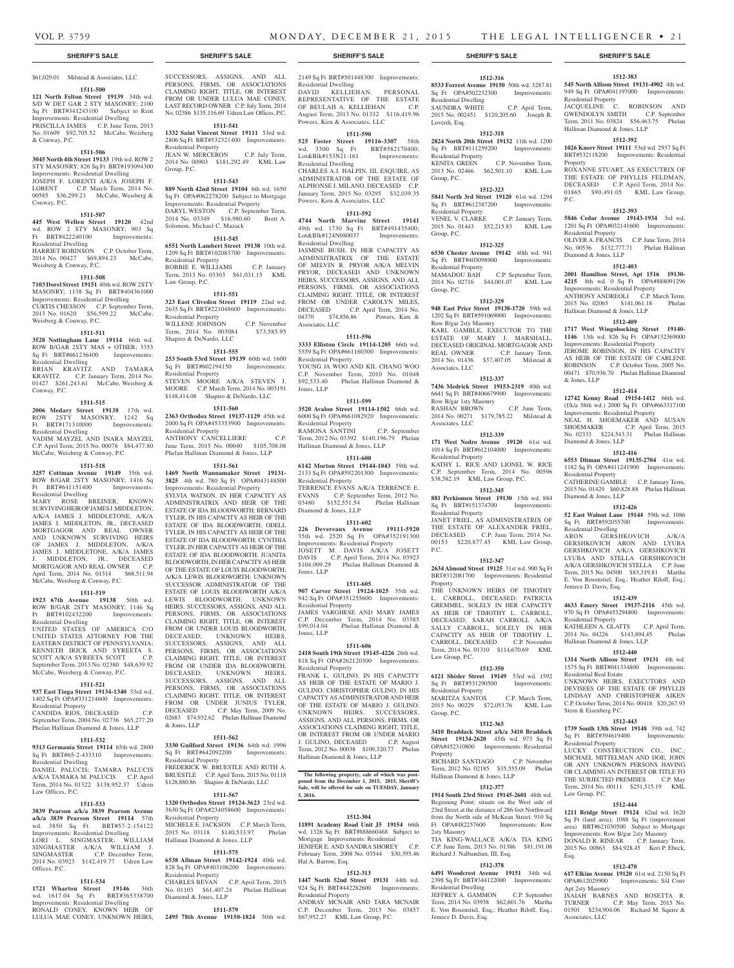### **SHERIFF'S SALE SHERIFF'S SALE SHERIFF'S SALE SHERIFF'S SALE SHERIFF'S SALE**

## \$61,029.01 Milstead & Associates, LLC

**1511-500 121 North Felton Street 19139** 34th wd. S/D W DET GAR 2 STY MASONRY; 2100 Sq Ft BRT#341243100 Subject to Rent Improvements: Residential Dwelling PRISCILLA JAMES C.P. June Term, 2013 No. 01609 \$92,705.52 McCabe, Weisberg & Conway, P.C.

#### **1511-506**

**3045 North 4th Street 19133** 19th wd. ROW 2 STY MASONRY; 826 Sq Ft BRT#193094300 Improvements: Residential Dwelling JOSEPH F. LORENTI A/K/A JOSEPH F. LORENT C.P. March Term, 2014 No. 00585 \$36,299.21 McCabe, Weisberg & Conway, P.C.

### **1511-507**

**445 West Wellen Street 19120** 42nd wd. ROW 2 STY MASONRY; 903 Sq Ft BRT#422240100 Improvements: Residential Dwelling

HARRIET ROBINSON C.P. October Term, 2014 No. 00427 \$69,894.23 McCabe, Weisberg & Conway, P.C.

## **1511-508**

**7103 Dorel Street 19151** 40th wd. ROW 2STY MASONRY; 1138 Sq Ft BRT#404361000 Improvements: Residential Dwelling CURTIS CHESSON C.P. September Term, 2013 No. 01620 \$56,599.22 McCabe,

Weisberg & Conway, P.C.

**1511-511 3528 Nottingham Lane 19114** 66th wd. ROW B/GAR 2STY MAS + OTHER; 3353 Sq Ft BRT#661236400 Improvements:

Residential Dwelling BRIAN KRAVITZ AND TAMARA KRAVITZ C.P. January Term, 2014 No. 01427 \$261,243.61 McCabe, Weisberg & Conway, P.C.

## **1511-515**

**2006 Medary Street 19138** 17th wd. ROW 2STY MASONRY; 1242 Sq Ft BRT#171310000 Improvements: Residential Dwelling VADIM MAYZEL AND INARA MAYZEL C.P. April Term, 2015 No. 00078 \$84,477.80 McCabe, Weisberg & Conway, P.C.

## **1511-518**

**3257 Cottman Avenue 19149** 35th wd. ROW B/GAR 2STY MASONRY; 1416 Sq Ft BRT#641151400 Improvements: Residential Dwelling

MARY ROSE BREINER, KNOWN SURVIVING HEIR OF JAMES J. MIDDLETON, A/K/A JAMES J. MIDDLETONE, A/K/A JAMES J. MIDDLETON, JR., DECEASED MORTGAGOR AND REAL OWNER AND UNKNOWN SURVIVING HEIRS OF JAMES J. MIDDLETON, A/K/A JAMES J. MIDDLETONE, A/K/A JAMES J. MIDDLETON, JR., DECEASED MORTGAGOR AND REAL OWNER C.P. April Term, 2014 No. 01314 \$68,511.94 McCabe, Weisberg & Conway, P.C.

## **1511-519**

**1923 67th Avenue 19138** 50th wd. ROW B/GAR 2STY MASONRY; 1146 Sq Ft BRT#102432200 Improvements: Residential Dwelling UNITED STATES OF AMERICA C/O UNITED STATES ATTORNEY FOR THE EASTERN DISTRICT OF PENNSYLVANIA; KENNETH IRICK AND SYREETA S. SCOTT A/K/A SYREETA SCOTT C.P.

September Term, 2013 No. 02380 \$48,639.92

## McCabe, Weisberg & Conway, P.C.

**1511-521 937 East Tioga Street 19134-1340** 33rd wd.

1402 Sq Ft OPA#331214600 Improvements: Residential Property

CANDIDA RIOS, DECEASED C.P. September Term, 2004 No. 02736 \$65,277.20 Phelan Hallinan Diamond & Jones, LLP

## **1511-532**

**9313 Germania Street 19114** 65th wd. 2800 Sq Ft BRT#65-2-433310 Improvements: Residential Dwelling DANIEL PALUCIS; TAMARA PALUCIS A/K/A TAMARA M. PALUCIS C.P. April Term, 2014 No. 01322 \$138,952.37 Udren

## **1511-533**

Law Offices, P.C.

Offices, P.C.

**3839 Pearson a/k/a 3839 Pearson Avenue a/k/a 3839 Pearson Street 19114** 57th wd. 3850 Sq Ft BRT#57-2-154122 Improvements: Residential Dwelling LORI L. SINGMASTER; WILLIAM SINGMASTER A/K/A WILLIAM J. SINGMASTER C.P. December Term, 2014 No. 03923 \$142,419.77 Udren Law

## **1511-534**

**1721 Wharton Street 19146** 36th wd. 1617.04 Sq Ft BRT#365338700 Improvements: Residential Dwelling RONALD CONEY, KNOWN HEIR OF LULUA MAE CONEY; UNKNOWN HEIRS, SUCCESSORS, ASSIGNS, AND ALL PERSONS, FIRMS, OR ASSOCIATIONS CLAIMING RIGHT, TITLE, OR INTEREST FROM OR UNDER LULUA MAE CONEY, LAST RECORD OWNER C.P. July Term, 2014 No. 02386 \$135,116.69 Udren Law Offices, P.C.

## **1511-541**

**1332 Saint Vincent Street 19111** 53rd wd. 2806 Sq Ft BRT#532321400 Improvements: Residential Property JEAN W. MERCERON C.P. July Term, 2014 No. 00903 \$181,292.49 KML Law Group, P.C.

### **1511-543**

**889 North 42nd Street 19104** 6th wd. 1650 Sq Ft OPA#062278200 Subject to Mortgage Improvements: Residential Property DARYL WESTON C.P. September Term, 2014 No. 03349 \$16,980.60 Brett A. Solomon, Michael C. Mazack

## **1511-545**

**6551 North Lambert Street 19138** 10th wd. 1209 Sq Ft BRT#102083700 Improvements: Residential Property BOBBIE E. WILLIAMS C.P. January Term, 2013 No. 03303 \$61,031.15 KML Law Group, P.C.

## **1511-551**

**323 East Cliveden Street 19119** 22nd wd. 2635 Sq Ft BRT#221048600 Improvements: Residential Property WILLENE JOHNSON C.P. November Term, 2014 No. 003084 \$73,585.95 Shapiro & DeNardo, LLC

## **1511-555**

**253 South 53rd Street 19139** 60th wd. 1600 Sq Ft BRT#602194150 Improvements: Residential Property STEVEN MOORE A/K/A STEVEN J. MOORE C.P. March Term, 2014 No. 003191 \$148,414.08 Shapiro & DeNardo, LLC

## **1511-560**

**2363 Orthodox Street 19137-1129** 45th wd. 2000 Sq Ft OPA#453353900 Improvements: Residential Property ANTHONY CANCELLIERE C.P. June Term, 2015 No. 00040 \$105,708.08 Phelan Hallinan Diamond & Jones, LLP

## **1511-561**

**1469 North Wannamaker Street 19131- 3825** 4th wd. 780 Sq Ft OPA#043148500 Improvements: Residential Property SYLVIA WATSON, IN HER CAPACITY AS ADMINISTRATRIX AND HEIR OF THE ESTATE OF IDA BLOODWORTH; BERNARD TYLER, IN HIS CAPACITY AS HEIR OF THE ESTATE OF IDA BLOODWORTH; ODELL TYLER, IN HIS CAPACITY AS HEIR OF THE ESTATE OF IDA BLOODWORTH; CYNTHIA TYLER, IN HER CAPACITY AS HEIR OF THE ESTATE OF IDA BLOODWORTH; JUANITA BLOODWORTH, IN HER CAPACITY AS HEIR OF THE ESTATE OF LOUIS BLOODWORTH; A/K/A LEWIS BLOODWORTH; UNKNOWN SUCCESSOR ADMINISTRATOR OF THE ESTATE OF LOUIS BLOODWORTH A/K/A LEWIS BLOODWORTH; UNKNOWN HEIRS, SUCCESSORS, ASSIGNS, AND ALL PERSONS, FIRMS, OR ASSOCIATIONS CLAIMING RIGHT, TITLE, OR INTEREST FROM OR UNDER LOUIS BLOODWORTH, DECEASED; UNKNOWN HEIRS, SUCCESSORS, ASSIGNS, AND ALL PERSONS, FIRMS, OR ASSOCIATIONS CLAIMING RIGHT, TITLE, OR INTEREST FROM OR UNDER IDA BLOODWORTH, DECEASED; UNKNOWN HEIRS, SUCCESSORS, ASSIGNS, AND ALL PERSONS, FIRMS, OR ASSOCIATIONS CLAIMING RIGHT, TITLE, OR INTEREST FROM OR UNDER JUNIUS TYLER, DECEASED C.P. May Term, 2009 No. 02683 \$74,932.62 Phelan Hallinan Diamond & Jones, LLP

## **1511-562**

**3330 Guilford Street 19136** 64th wd. 1996 Sq Ft BRT#642092200 Improvements: Residential Property FREDERICK W. BRUESTLE AND RUTH A.

BRUESTLE C.P. April Term, 2015 No. 01118 \$128,880.86 Shapiro & DeNardo, LLC **1511-567**

**1320 Orthodox Street 19124-3623** 23rd wd. 3630 Sq Ft OPA#234058600 Improvements: Residential Property MICHELE E. JACKSON C.P. March Term, 2015 No. 03118 \$140,533.97 Phelan Hallinan Diamond & Jones, LLP

## **1511-575**

**6538 Allman Street 19142-1924** 40th wd. 828 Sq Ft OPA#403106200 Improvements: Residential Property CHARLES BEVAN C.P. April Term, 2015 No. 01103 \$61,407.24 Phelan Hallinan Diamond & Jones, LLP

## **1511-579**

**2495 78th Avenue 19150-1824** 50th wd.

2149 Sq Ft BRT#501448300 Improvements:

Residential Dwelling DAVID KELLIEHAN, PERSONAL REPRESENTATIVE OF THE ESTATE OF BEULAH A. KELLIEHAN C.P. August Term, 2013 No. 01332 \$116,419.96 Powers, Kirn & Associates, LLC

## **1511-590**

**525 Foster Street 19116-3307** 58th wd. 3300 Sq Ft BRT#582170400; Lot&Blk#153N21-161 Improvements: Residential Dwelling CHARLES A.J. HALPIN, III, ESQUIRE, AS ADMINISTRATOR OF THE ESTATE OF ALPHONSE J. MILANO, DECEASED C.P. January Term, 2015 No. 03295 \$32,039.35 Powers, Kirn & Associates, LLC

### **1511-592**

**4744 North Marvine Street 19141**  49th wd. 1730 Sq Ft BRT#491435400; Lot&Blk#124N080037 Improvements: Residential Dwelling JASMINE BUSH, IN HER CAPACITY AS ADMINSITRATRIX OF THE ESTATE OF MELVIN R. PRYOR A/K/A MELVIN PRYOR, DECEASED AND UNKNOWN HEIRS, SUCCESSORS, ASSIGNS, AND ALL PERSONS, FIRMS, OR ASSOCIATIONS CLAIMING RIGHT, TITLE, OR INTEREST FROM OR UNDER CAROLYN MILES, DECEASED C.P. April Term, 2014 No. 04370 \$74,856.86 Powers, Kirn & Associates, LLC

## **1511-596**

**3333 Elliston Circle 19114-1205** 66th wd. 5559 Sq Ft OPA#661160300 Improvements: Residential Property YOUNG JA WOO AND KIL CHANG WOO C.P. November Term, 2010 No. 01048 \$92,533.40 Phelan Hallinan Diamond & Jones, LLP

## **1511-599**

**3520 Avalon Street 19114-1502** 66th wd. 6000 Sq Ft OPA#661082920 Improvements: Residential Property RAMONA SANTINI C.P. September Term, 2012 No. 03392 \$140,196.79 Phelan Hallinan Diamond & Jones, LLP

#### **1511-600**

**6142 Morton Street 19144-1043** 59th wd. 2133 Sq Ft OPA#592201300 Improvements: Residential Property TERRENCE EVANS A/K/A TERRENCE E. EVANS C.P. September Term, 2012 No. 03480 \$152,551.54 Phelan Hallinan Diamond & Jones, LLP

## **1511-602**

**226 Devereaux Avenue 19111-5920**  35th wd. 2520 Sq Ft OPA#352191300 Improvements: Residential Property JOSETT M. DAVIS A/K/A JOSETT DAVIS C.P. April Term, 2014 No. 03923 \$104,009.29 Phelan Hallinan Diamond & Jones, LLP

## **1511-605**

**907 Carver Street 19124-1025** 35th wd. 942 Sq Ft OPA#351255600 Improvements: Residential Property JAMES VARGHESE AND MARY JAMES C.P. December Term, 2014 No. 03385 \$99,014.04 Phelan Hallinan Diamond & Jones, LLP

## **1511-606**

**2418 South 19th Street 19145-4226** 26th wd. 818 Sq Ft OPA#262120300 Improvements: Residential Property FRANK L. GULINO, IN HIS CAPACITY AS HEIR OF THE ESTATE OF MARIO J. GULINO; CHRISTOPHER GULINO, IN HIS CAPACITY AS ADMINISTRATOR AND HEIR OF THE ESTATE OF MARIO J. GULINO; UNKNOWN HEIRS, SUCCESSORS, ASSIGNS, AND ALL PERSONS, FIRMS, OR ASSOCIATIONS CLAIMING RIGHT, TITLE, OR INTEREST FROM OR UNDER MARIO J. GULINO, DECEASED C.P. August Term, 2012 No. 00038 \$109,320.77 Phelan Hallinan Diamond & Jones, LLP

#### **The following property, sale of which was postponed from the December 1, 2015, 2015, Sheriff's Sale, will be offered for sale on TUESDAY, January 5, 2016.**

## **1512-304**

**11891 Academy Road Unit J5 19154** 66th wd. 1326 Sq Ft BRT#888660468 Subject to Mortgage Improvements: Residential JENIFER E. AND SANDRA SHOREY C.P. February Term, 2008 No. 03544 \$30,395.46 Hal A. Barrow, Esq.

## **1512-313**

**1447 North 52nd Street 19131** 44th wd. 924 Sq Ft BRT#442282600 Improvements: Residential Property ANDRAY MCNAIR AND TARA MCNAIR

C.P. December Term, 2013 No. 03857 \$67,952.27 KML Law Group, P.C.

## **1512-316**

**8533 Forrest Avenue 19150** 50th wd. 3287.81 Sq Ft OPA#502232300 Improvements: Residential Dwelling SAUNDRA WHITE C.P. April Term, 2015 No. 002451 \$120,205.60 Joseph R. Loverdi, Esq.

**1512-383 545 North Allison Street 19131-4902** 4th wd. 949 Sq Ft OPA#041197000 Improvements:

JACQUELINE C. ROBINSON AND GWENDOLYN SMITH C.P. September Term, 2011 No. 03824 \$56,463.75 Phelan

**1512-392 1026 Knorr Street 19111** 53rd wd. 2937 Sq Ft BRT#532118200 Improvements: Residential

ROXANNE STUART, AS EXECUTRIX OF THE ESTATE OF PHYLLIS FELDMAN, DECEASED C.P. April Term, 2014 No. 01865 \$90,491.05 KML Law Group,

**1512-393 5846 Cedar Avenue 19143-1934** 3rd wd. 1201 Sq Ft OPA#032141600 Improvements:

OLIVER A. FRANCIS C.P. June Term, 2014 No. 00536 \$132,777.71 Phelan Hallinan

**1512-403 2001 Hamilton Street, Apt 1516 19130- 4215** 8th wd. 0 Sq Ft OPA#888091296 Improvements: Residential Property ANTHONY ANDREOLI C.P. March Term, 2015 No. 02065 \$141,061.18 Phelan

**1512-409 1717 West Wingohocking Street 19140- 1146** 13th wd. 826 Sq Ft OPA#132369000 Improvements: Residential Property JEROME ROBINSON, IN HIS CAPACITY AS HEIR OF THE ESTATE OF CARLENE ROBINSON C.P. October Term, 2005 No. 00471 \$70,936.70 Phelan Hallinan Diamond

**1512-414 12742 Kenny Road 19154-1412** 66th wd. (f/k/a 58th wd.) 2000 Sq Ft OPA#663317100 Improvements: Residential Property NEAL H. SHOEMAKER AND SUSAN SHOEMAKER C.P. April Term, 2015 No. 02333 \$224,543.31 Phelan Hallinan

**1512-416 6553 Ditman Street 19135-2704** 41st wd. 1182 Sq Ft OPA#411241900 Improvements:

CATHERINE GAMBLE C.P. January Term, 2015 No. 01429 \$60,828.88 Phelan Hallinan

**1512-426 52 East Walnut Lane 19144** 59th wd. 1086 Sq Ft BRT#592055700 Improvements:

ARON GERSHKOVICH A/K/A GERSHKOVICH ARON AND LYUBA GERSHKOVICH A/K/A GERSHKOVICH LYUBA AND STELLA GERSHKOVICH A/K/A GERSHKOVICH STELLA C.P. June Term, 2015 No. 04500 \$83,319.81 Martha E. Von Rosenstiel, Esq.; Heather Riloff, Esq.;

**1512-439 4633 Emery Street 19137-2116** 45th wd. 970 Sq Ft OPA#453294800 Improvements:

KATHLEEN A. GLATTS C.P. April Term, 2014 No. 04226 \$143,894.45 Phelan

**1512-440 1314 North Allison Street 19131** 4th wd. 1575 Sq Ft BRT#041334800 Improvements:

UNKNOWN HEIRS, EXECUTORS AND DEVISEES OF THE ESTATE OF PHYLLIS LINDSAY AND CHRISTOPHER AIKEN C.P. October Term, 2014 No. 00418 \$20,267.93

**1512-443 1739 South 13th Street 19148** 39th wd. 742 Sq Ft BRT#394619400 Improvements:

**1512-444 1211 Bridge Street 19124** 62nd wd. 1620 Sq Ft (land area); 1088 Sq Ft (improvement area) BRT#621030500 Subject to Mortgage Improvements: Row B/gar 2sty Masonry DONALD R. RINEAR C.P. January Term, 2015 No. 00863 \$84,928.45 Keri P. Ebeck,

**1512-470 617 Elkins Avenue 19120** 61st wd. 2150 Sq Ft OPA#612029900 Improvements: S/d Conv

ISAIAH BARNES AND ROSETTA R. TURNER C.P. May Term, 2015 No. 01501 \$234,904.06 Richard M. Squire &

LUCKY CONSTRUCTION CO. MICHAEL MITTELMAN AND DOE, JOHN OR ANY UNKNOWN PERSONS HAVING OR CLAIMING AN INTEREST OR TITLE TO THE SUBJECTED PREMISES C.P. May Term, 2014 No. 00111 \$251,515.19 KML

Hallinan Diamond & Jones, LLP

Residential Property

Residential Property

& Jones, LLP

Diamond & Jones, LLP

Residential Property

Diamond & Jones, LLP

Residential Dwelling

Jeniece D. Davis, Esq.

Residential Property

Residential Real Estate

Stern & Eisenberg P.C.

Residential Property

Law Group, P.C.

Apt 2sty Masonry

Associates, LLC

Esq.

Hallinan Diamond & Jones, LLP

Diamond & Jones, LLP

Hallinan Diamond & Jones, LLP

Property

P.C.

## **1512-318**

**2824 North 20th Street 19132** 11th wd. 1200 Sq Ft BRT#111259200 Improvements: Residential Property<br>KENITA GREEN C.P. November Term, 2013 No. 02466 \$62,501.10 KML Law Group, P.C.

## **1512-323**

**5841 North 3rd Street 19120** 61st wd. 1294<br>Sq. Ft BRT#612387200 Improvements: Sq Ft BRT#612387200 Residential Property VENEL V. CLARKE C.P. January Term, 2015 No. 01443 \$52,215.83 KML Law Group, P.C.

## **1512-325**

**6530 Chester Avenue 19142** 40th wd. 941 Sq Ft BRT#403098900 Improvements: Residential Property MAMADOU BAH C.P. September Term, 2014 No. 02716 \$44,001.07 KML Law

## **1512-329**

Group, P.C.

**948 East Price Street 19138-1720** 59th wd. 1202 Sq Ft BRT#591069000 Improvements: Row B/gar 2sty Masonry KARL GAMBLE, EXECUTOR TO THE ESTATE OF MARY J. MARSHALL, DECEASED ORIGINAL MORTGAGOR AND REAL OWNER C.P. January Term, 2014 No. 01436 \$37,407.05 Milstead & Associates, LLC

## **1512-337**

**7436 Medrick Street 19153-2319** 40th wd. 6641 Sq Ft BRT#406679900 Improvements: Row B/gar 1sty Masonry RASHAN BROWN C.P. June Term, 2014 No. 00271 \$179,785.22 Milstead & Associates, LLC

## **1512-339**

**171 West Nedro Avenue 19120** 61st wd. 1014 Sq Ft BRT#612104000 Improvements: Residential Property KATHY L. RICE AND LIONEL W. RICE C.P. September Term, 2014 No. 00596 \$38,582.19 KML Law Group, P.C.

## **1512-345**

**881 Perkiomen Street 19130** 15th wd. 884 Sq Ft BRT#151374700 Improvements: Residential Property JANET FRIEL, AS ADMINISTRATRIX OF THE ESTATE OF ALEXANDER FRIEL, DECEASED C.P. June Term, 2014 No. 00153 \$220,877.45 KML Law Group, P.C.

#### **1512-347**

**2634 Almond Street 19125** 31st wd. 900 Sq Ft BRT#312081700 Improvements: Residential Property

THE UNKNOWN HEIRS OF TIMOTHY L. CARROLL, DECEASED; PATRICIA GREMMEL, SOLELY IN HER CAPACITY AS HEIR OF TIMOTHY L. CARROLL, DECEASED; SARAH CARROLL A/K/A SALLY CARROLL, SOLELY IN HER CAPACITY AS HEIR OF TIMOTHY L. CARROLL, DECEASED C.P. November Term, 2014 No. 01310 \$114,670.69 KML Law Group, P.C.

**1512-350 6121 Shisler Street 19149** 53rd wd. 1592 Sq Ft BRT#531290500 Improvements:

MARITZA SANTOS C.P. March Term, 2015 No. 00229 \$72,053.76 KML Law

**1512-365 3410 Braddack Street a/k/a 3410 Braddock Street 19134-2620** 45th wd. 973 Sq Ft OPA#452310800 Improvements: Residential

RICHARD SANTIAGO C.P. November Term, 2012 No. 02185 \$35,555.09 Phelan

**1512-377 1914 South 23rd Street 19145-2601** 48th wd. Beginning Point: situate on the West side of 23rd Street at the distance of 286 feet Northward from the North side of McKean Street; 910 Sq Ft OPA#482257600 Improvements: Row

TIA KING-WALLACE A/K/A TIA KING C.P. June Term, 2013 No. 01386 \$81,191.08

**1512-378 6491 Woodcrest Avenue 19151** 34th wd. 2398 Sq Ft BRT#344122000 Improvements:

JEFFREY A. GAMMON C.P. September Term, 2014 No. 03958 \$62,601.76 Martha E. Von Rosenstiel, Esq.; Heather Riloff, Esq.;

Hallinan Diamond & Jones, LLP

Richard J. Nalbandian, III, Esq.

Residential Dwelling

Jeniece D. Davis, Esq.

Residential Property

Group, P.C.

Property

2sty Masonry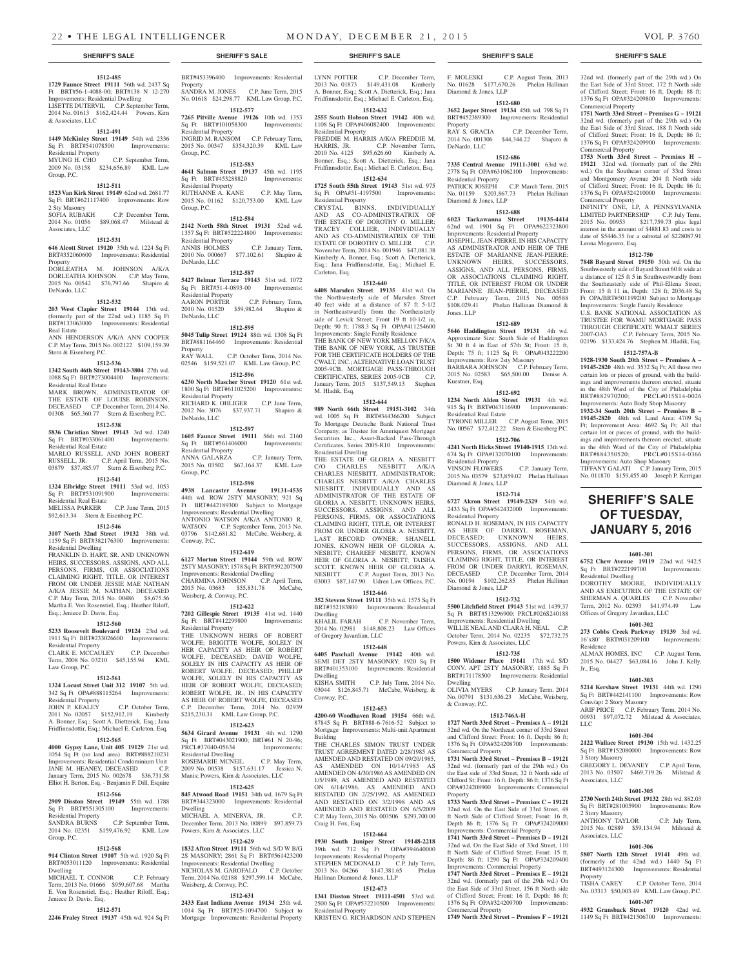32nd wd. (formerly part of the 29th wd.) On the East Side of 33rd Street, 172 ft North side of Clifford Street; Front: 16 ft, Depth: 88 ft; 1376 Sq Ft OPA#324209800 Improvements:

**1751 North 33rd Street – Premises G – 19121**  32nd wd. (formerly part of the 29th wd.) On the East Side of 33rd Street, 188 ft North side of Clifford Street; Front: 16 ft, Depth: 86 ft; 1376 Sq Ft OPA#324209900 Improvements:

**1753 North 33rd Street – Premises H – 19121** 32nd wd. (formerly part of the 29th wd.) On the Southeast corner of 33rd Street and Montgomery Avenue 204 ft North side of Clifford Street; Front: 16 ft, Depth: 86 ft; 1376 Sq Ft OPA#324210000 Improvements:

INFINITY ONE, LP, A PENNSYLVANIA LIMITED PARTNERSHIP C.P. July Term, 2015 No. 00953 \$217,759.73 plus legal interest in the amount of \$4881.83 and costs to date of \$5446.35 for a subtotal of \$228087.91

**1512-750 7848 Bayard Street 19150** 50th wd. On the Southwesterly side of Bayard Street 60 ft wide at a distance of 125 ft 5 in Southwestwardly from the Southeasterly side of Phil-Ellena Street; Front: 15 ft 11 in, Depth: 128 ft; 2036.48 Sq Ft OPA/BRT#501199200 Subject to Mortgage Improvements: Single Family Residence U.S. BANK NATIONAL ASSOCIATION AS TRUSTEE FOR WAMU MORTGAGE PASS THROUGH CERTIFICATE WMALT SERIES 2007-OA3 C.P. February Term, 2015 No. 02196 \$133,424.76 Stephen M. Hladik, Esq. **1512-757A-B 1928-1930 South 20th Street – Premises A – 19145-2820** 48th wd. 3532 Sq Ft; All those two certain lots or pieces of ground, with the buildings and improvements thereon erected, situate in the 48th Ward of the City of Philadelphia BRT#882970200; PRCL#015S14-0026 Improvements: Auto Body Shop Masonry **1932-34 South 20th Street – Premises B – 19145-2820** 48th wd. Land Area: 4709 Sq Ft; Improvement Area: 4692 Sq Ft; All that certain lot or pieces of ground, with the buildings and improvements thereon erected, situate in the 48th Ward of the City of Philadelphia BRT#884350520; PRCL#015S14-0366 Improvements: Auto Shop Masonry TIFFANY GALATI C.P. January Term, 2015 No. 011870 \$159,455.40 Joseph P. Kerrigan

**SHERIFF'S SALE OF TUESDAY, JANUARY 5, 2016**

**1601-301 6752 Chew Avenue 19119** 22nd wd. 942.5 Sq Ft BRT#222199700 Improvements:

DOROTHY MOORE, INDIVIDUALLY AND AS EXECUTRIX OF THE ESTATE OF SHERMAN A. QUARLES C.P. November Term, 2012 No. 02393 \$41,974.49 Law

**1601-302 273 Cobbs Creek Parkway 19139** 3rd wd.

ALMAX HOMES, INC C.P. August Term, 2015 No. 04427 \$63,084.16 John J. Kelly,

**1601-303 5214 Kershaw Street 19131** 44th wd. 1290 Sq Ft BRT#442141100 Improvements: Row

ARIF PRICE C.P. February Term, 2014 No. 00931 \$97,072.72 Milstead & Associates,

**1601-304 2122 Wallace Street 19130** 15th wd. 1432.25 Sq Ft BRT#152080000 Improvements: Row

GREGORY L. DEVANEY C.P. April Term, 2013 No. 03507 \$469,719.26 Milstead &

**1601-305 2730 North 24th Street 19132** 28th wd. 882.03

ANTHONY TAYLOR C.P. July Term, 2015 No. 02889 \$59,134.94 Milstead &

**1601-306 5807 North 12th Street 19141** 49th wd. (formerly of the 42nd wd.) 1440 Sq Ft BRT#493124300 Improvements: Residential

TISHA CAREY C.P. October Term, 2014 No. 03313 \$50,003.49 KML Law Group, P.C. **1601-307 4932 Gransback Street 19120** 42nd wd. 1149 Sq Ft BRT#421506700 Improvements:

Offices of Gregory Javardian, LLC

16'x80' BRT#031209100

Conv/apt 2 Story Masonry

Residence

Jr., Esq.

LLC

3 Story Masonry

Associates, LLC

2 Story Masonry

Associates, LLC

Property

Sq Ft BRT#281005900 Imp

Residential Dwelling

Commercial Property

Commercial Property

Commercial Property

Leona Mogavero, Esq.

#### **1512-485**

**1729 Faunce Street 19111** 56th wd. 2437 Sq Ft BRT#56-1-4088-00; BRT#138 N 12-270 Improvements: Residential Dwelling LISETTE DUTERVIL C.P. September Term, 2014 No. 01613 \$162,424.44 Powers, Kirn & Associates, LLC

## **1512-491**

**1449 McKinley Street 19149** 54th wd. 2336 Sq Ft BRT#541078500 Improvements: Residential Property<br>MYUNG H. CHO C.P. September Term, 2009 No. 03158 \$234,656.89 KML Law

#### **1512-511**

Group, P.C.

**1523 Van Kirk Street 19149** 62nd wd. 2681.77 Sq Ft BRT#621117400 Improvements: Row 2 Sty Masonry<br>SOFIA RUBAKH

SOFIA RUBAKH C.P. December Term, 2014 No. 01056 \$89,068.47 Milstead & Associates, LLC

## **1512-531**

**646 Alcott Street 19120** 35th wd. 1224 Sq Ft BRT#352060600 Improvements: Residential Property<br>DORLEATHA M. JOHNSON A/K/A DORLEATHA JOHNSON C.P. May Term, 2015 No. 00542 \$76,797.66 Shapiro & DeNardo, LLC

## **1512-532**

**203 West Clapier Street 19144** 13th wd. (formerly part of the 22nd wd.) 1185 Sq Ft BRT#133063000 Improvements: Residential Real Estate

ANN HENDERSON A/K/A ANN COOPER C.P. May Term, 2015 No. 002122 \$109,159.39 Stern & Eisenberg P.C.

## **1512-536**

**1342 South 46th Street 19143-3804** 27th wd. 1088 Sq Ft BRT#273004400 Improvements: Residential Real Estate

MARK BROWN, ADMINISTRATOR OF THE ESTATE OF LOUISE ROBINSON, DECEASED C.P. December Term, 2014 No. 01308 \$65,360.77 Stern & Eisenberg P.C. **1512-538**

### **5836 Christian Street 19143** 3rd wd. 1240 Sq Ft BRT#033061400 Improvements: Residential Real Estate

MARLO RUSSELL AND JOHN ROBERT RUSSELL, JR. C.P. April Term, 2015 No. 03879 \$37,485.97 Stern & Eisenberg P.C.

## **1512-541**

**1324 Elbridge Street 19111** 53rd wd. 1053 Sq Ft BRT#531091900 Improvements: Residential Real Estate MELISSA PARKER C.P. June Term, 2015 \$92,613.34 Stern & Eisenberg P.C.

### **1512-546**

**3107 North 32nd Street 19132** 38th wd. 1159 Sq Ft BRT#382176300 Improvements: Residential Dwelling

FRANKLIN D. HART, SR. AND UNKNOWN HEIRS, SUCCESSORS, ASSIGNS, AND ALL PERSONS, FIRMS, OR ASSOCIATIONS CLAIMING RIGHT, TITLE, OR INTEREST FROM OR UNDER JESSIE MAE NATHAN A/K/A JESSIE M. NATHAN, DECEASED C.P. May Term, 2015 No. 00486 \$8,675.56 Martha E. Von Rosenstiel, Esq.; Heather Riloff, Esq.; Jeniece D. Davis, Esq.

## **1512-560**

**5233 Roosevelt Boulevard 19124** 23rd wd. 1911 Sq Ft BRT#233026600 Improvements: Residential Property CLARK E. MCCAULEY C.P. December

Term, 2008 No. 03210 \$45,155.94 KML Law Group, P.C.

## **1512-561**

**1324 Locust Street Unit 312 19107** 5th wd. 342 Sq Ft OPA#888115264 Improvements: Residential Property

#### JOHN P. KEALEY C.P. October Term, 2011 No. 02057 \$152,912.19 Kimberly A. Bonner, Esq.; Scott A. Dietterick, Esq.; Jana Fridfinnsdottir, Esq.; Michael E. Carleton, Esq.

## **1512-565**

**4000 Gypsy Lane, Unit 405 19129** 21st wd. 1054 Sq Ft (no land area) BRT#888210231 Improvements: Residential Condominium Unit JANE M. HEANEY, DECEASED C.P. January Term, 2015 No. 002678 \$36,731.58 Elliot H. Berton, Esq. - Benjamin F. Dill, Esquire

## **1512-566**

**2909 Disston Street 19149** 55th wd. 1788 Sq Ft BRT#551305100 Improvements: Residential Property<br>SANDRA BURNS

C.P. September Term, 2014 No. 02351 \$159,476.92 KML Law Group, P.C.

## **1512-568**

Jeniece D. Davis, Esq.

**914 Clinton Street 19107** 5th wd. 1920 Sq Ft BRT#053011120 Improvements: Residential Dwelling

**1512-571 2246 Fraley Street 19137** 45th wd. 924 Sq Ft

## MICHAEL T. CONNOR C.P. February Term, 2013 No. 01666 \$959,607.68 Martha E. Von Rosenstiel, Esq.; Heather Riloff, Esq.;

Mortgage Improvements: Residential Property

BRT#453396400 Improvements: Residential Property SANDRA M. JONES C.P. June Term, 2015 No. 01618 \$24,298.77 KML Law Group, P.C. **1512-577**

**7265 Pitville Avenue 19126** 10th wd. 1353 Sq Ft BRT#101058300 Improvements: Residential Property INGRID M. RANSOM C.P. February Term, 2015 No. 00347 \$354,320.39 KML Law Group, P.C.

### **1512-583**

**4641 Salmon Street 19137** 45th wd. 1195 Sq Ft BRT#453288820 Improvements: Residential Property RUTHANNE A. KANE C.P. May Term, 2015 No. 01162 \$120,753.00 KML Law Group, P.C.

## **1512-584**

**2142 North 58th Street 19131** 52nd wd. 1357 Sq Ft BRT#522224800 Improvements: Residential Property<br>ANNIS HOLMES C.P. January Term, 2010 No. 000667 \$77,102.61 Shapiro & DeNardo, LLC

## **1512-587**

**5427 Belmar Terrace 19143** 51st wd. 1072 Sq Ft BRT#51-4-0893-00 Improvements: Residential Property AARON PORTER C.P. February Term, 2010 No. 01520 \$59,982.64 Shapiro & DeNardo, LLC

## **1512-595**

**5045 Tulip Street 19124** 88th wd. 1308 Sq Ft BRT#881164460 Improvements: Residential RAY WALL  $C.P.$  October Term,  $2014$  No. 02546 \$159,521.07 KML Law Group, P.C.

## **1512-596**

**6230 North Mascher Street 19120** 61st wd. 1800 Sq Ft BRT#611025200 Improvements: Residential Property RICHARD K. OHLIGER C.P. June Term,<br>2012 No. 3076 \$37,937.71 Shapiro & 2012 No. 3076 DeNardo, LLC

## **1512-597**

**1605 Faunce Street 19111** 56th wd. 2160<br>
Sq Ft BRT#561406000 Improvements:  $Sq$  Ft BRT#561406000 Residential Property ANNA GALARZA C.P. January Term, 2015 No. 03502 \$67,164.37 KML Law Group, P.C.

## **1512-598**

**4938 Lancaster Avenue 19131-4535**  44th wd. ROW 2STY MASONRY; 921 Sq Ft BRT#442189300 Subject to Mortgage Improvements: Residential Dwelling ANTONIO WATSON A/K/A ANTONIO R. WATSON C.P. September Term, 2013 No. 03796 \$142,681.82 McCabe, Weisberg, & Conway, P.C.

#### **1512-619**

**6127 Morton Street 19144** 59th wd. ROW 2STY MASONRY; 1578 Sq Ft BRT#592207500 Improvements: Residential Dwelling

### CHARMINA JOHNSON C.P. April Term, 2015 No. 03683 \$55,831.78 McCabe, Weisberg, & Conway, P.C.

## **1512-622**

**7202 Gillespie Street 19135** 41st wd. 1440 Sq Ft BRT#412299800 Improvements: Residential Property THE UNKNOWN HEIRS OF ROBERT WOLFE; BRIGITTE WOLFE, SOLELY IN HER CAPACITY AS HEIR OF ROBERT WOLFE, DECEASED; DAVID WOLFE, SOLELY IN HIS CAPACITY AS HEIR OF ROBERT WOLFE, DECEASED; PHILLIP WOLFE, SOLELY IN HIS CAPACITY AS HEIR OF ROBERT WOLFE, DECEASED; ROBERT WOLFE, JR., IN HIS CAPACITY AS HEIR OF ROBERT WOLFE, DECEASED C.P. December Term, 2014 No. 02939 \$215,230.31 KML Law Group, P.C.

## **1512-623**

**5634 Girard Avenue 19131** 4th wd. 1290 Sq Ft BRT#043021900; BRT#61 N 20-96; PRCL#37040-05634 Improvements: Residential Dwelling ROSEMARIE MCNEIL C.P. May Term, 2009 No. 00538 \$157,631.17 Jessica N. Manis; Powers, Kirn & Associates, LLC

## **1512-625**

**845 Atwood Road 19151** 34th wd. 1679 Sq Ft BRT#344323000 Improvements: Residential Dwelling MICHAEL A. MINERVA, JR. C.P.

December Term, 2013 No. 00899 \$97,859.73 Powers, Kirn & Associates, LLC **1512-629**

**1832 Afton Street 19111** 56th wd. S/D W B/G 2S MASONRY; 2861 Sq Ft BRT#561423200 Improvements: Residential Dwelling NICHOLAS M. GAROFALO C.P. October Term, 2014 No. 02188 \$297,599.14 McCabe, Weisberg, & Conway, P.C.

## **1512-631**

**2433 East Indiana Avenue 19134** 25th wd. 1014 Sq Ft BRT#25-1094700 Subject to

**SHERIFF'S SALE SHERIFF'S SALE SHERIFF'S SALE SHERIFF'S SALE SHERIFF'S SALE**

## LYNN POTTER C.P. December Term, 2013 No. 01873 \$149,431.08 Kimberly A. Bonner, Esq.; Scott A. Dietterick, Esq.; Jana Fridfinnsdottir, Esq.; Michael E. Carleton, Esq.

**1512-632 2555 South Hobson Street 19142** 40th wd. 1108 Sq Ft OPA#406082400 Improvements: Residential Property FREDDIE M. HARRIS A/K/A FREDDIE M. HARRIS, JR. C.P. November Term, 2010 No. 4125 \$95,626.60 Kimberly A. Bonner, Esq.; Scott A. Dietterick, Esq.; Jana

## Fridfinnsdottir, Esq.; Michael E. Carleton, Esq. **1512-634**

**1725 South 55th Street 19143** 51st wd. 975 Sq Ft OPA#51-4197500 Improvements: Residential Property

CRYSTAL BINNS, INDIVIDUALLY AND AS CO-ADMINISTRATRIX OF THE ESTATE OF DOROTHY O. MILLER; TRACEY COLLIER, INDIVIDUALLY AND AS CO-ADMINISTRATRIX OF THE ESTATE OF DOROTHY O. MILLER C.P. November Term, 2014 No. 001946 \$47,081.38 Kimberly A. Bonner, Esq.; Scott A. Dietterick, Esq.; Jana Fridfinnsdottir, Esq.; Michael E. Carleton, Esq.

#### **1512-640**

**6408 Marsden Street 19135** 41st wd. On the Northwesterly side of Marsden Street 40 feet wide at a distance of 87 ft 5-1/2 in Northeastwardly from the Northeasterly side of Levick Street; Front 19 ft 10-1/2 in, Depth: 90 ft; 1788.3 Sq Ft OPA#411254600 Improvements: Single Family Residence THE BANK OF NEW YORK MELLON F/K/A THE BANK OF NEW YORK, AS TRUSTEE FOR THE CERTIFICATE HOLDERS OF THE CWALT, INC.; ALTERNATIVE LOAN TRUST

2005-9CB, MORTGAGE PASS-THROUGH CERTIFICATES, SERIES 2005-9CB C.P. January Term, 2015 \$137,549.13 Stephen M. Hladik, Esq.

**1512-644 989 North 66th Street 19151-3102** 34th wd. 1005 Sq Ft BRT#344366200 Subject To Mortgage Deutsche Bank National Trust Company, as Trustee for Ameriquest Mortgage Securities Inc., Asset-Backed Pass-Through Certificates, Series 2005-R10 Improvements: Residential Dwelling THE ESTATE OF GLORIA A. NESBITT

C/O CHARLES NESBITT A/K/A CHARLES NIESBITT, ADMINISTRATOR; CHARLES NESBITT A/K/A CHARLES NIESBITT, INDIVIDUALLY AND AS ADMINISTRATOR OF THE ESTATE OF GLORIA A. NESBITT; UNKNOWN HEIRS, SUCCESSORS, ASSIGNS, AND ALL PERSONS, FIRMS, OR ASSOCIATIONS CLAIMING RIGHT, TITLE, OR INTEREST FROM OR UNDER GLORIA A. NESBITT, LAST RECORD OWNER; SHANELL JONES, KNOWN HEIR OF GLORIA A. NESBITT; CHAREEF NESBITT, KNOWN HEIR OF GLORIA A. NESBITT; TAISHA SCOTT, KNOWN HEIR OF GLORIA A. NESBITT C.P. August Term, 2013 No. 03003 \$87,147.90 Udren Law Offices, P.C.

## **1512-646 352 Stevens Street 19111** 35th wd. 1575 Sq Ft

BRT#352183800 Improvements: Residential Dwelling<br>KHALIL FARAH C.P. November Term,

2014 No. 02981 \$148,808.23 Law Offices of Gregory Javardian, LLC

## **1512-648**

**6405 Paschall Avenue 19142** 40th wd. SEMI DET 2STY MASONRY; 1920 Sq Ft BRT#401353100 Improvements: Residential

Dwelling<br>KISHA SMITH C.P. July Term, 2014 No. 03044 \$126,845.71 McCabe, Weisberg, & Conway, P.C.

#### **1512-653**

**4200-60 Woodhaven Road 19154** 66th wd. 87845 Sq Ft BRT#88-6-7616-52 Subject to Mortgage Improvements: Multi-unit Apartment Building

THE CHARLES SIMON TRUST UNDER TRUST AGREEMENT DATED 2/28/1985 AS AMENDED AND RESTATED ON 09/20/1985, AS AMENDED ON 10/14/1985 AS AMENDED ON 4/30/1986 AS AMENDED ON 1/5/1989, AS AMENDED AND RESTATED ON 6/14/1986, AS AMENDED AND RESTATED ON 2/25/1992, AS AMENDED AND RESTATED ON 3/2/1998 AND AS AMENDED AND RESTATED ON 6/5/2009 C.P. May Term, 2015 No. 003506 \$293,700.00 Craig H. Fox, Esq

#### **1512-664**

**1930 South Juniper Street 19148-2218**  39th wd. 712 Sq Ft OPA#394640000 Improvements: Residential Property

STEPHEN MCDONALD C.P. July Term, 2013 No. 04266 \$147,381.65 Phelan Hallinan Diamond & Jones, LLP

## **1512-673**

**1341 Disston Street 19111-4501** 53rd wd. 2500 Sq Ft OPA#532210500 Improvements: Residential Property

KRISTEN G. RICHARDSON AND STEPHEN

F. MOLESKI C.P. August Term, 2013 No. 01628 \$177,670.26 Phelan Hallinan Diamond & Jones, LLP **1512-680**

**3652 Jasper Street 19134** 45th wd. 798 Sq Ft BRT#452389300 Improvements: Residential

2014 No. 001306 \$44,344.22 Shapiro &

**1512-686 7335 Central Avenue 19111-3001** 63rd wd. 2778 Sq Ft OPA#631062100 Improvements:

PATRICK JOSEPH C.P. March Term, 2015 No. 01159 \$203,867.73 Phelan Hallinan

**1512-688 6023 Tackawanna Street 19135-4414**  62nd wd. 1901 Sq Ft OPA#622323800 Improvements: Residential Property JOSEPH L. JEAN-PIERRE, IN HIS CAPACITY AS ADMINISTRATOR AND HEIR OF THE ESTATE OF MARIANNE JEAN-PIERRE; UNKNOWN HEIRS, SUCCESSORS, ASSIGNS, AND ALL PERSONS, FIRMS, OR ASSOCIATIONS CLAIMING RIGHT, TITLE, OR INTEREST FROM OR UNDER MARIANNE JEAN-PIERRE, DECEASED C.P. February Term, 2015 No. 00588 \$108,029.41 Phelan Hallinan Diamond &

**1512-689 5646 Haddington Street 19131** 4th wd. Approximate Size: South Side of Haddington St 30 ft 4 in East of 57th St; Front: 15 ft, Depth: 75 ft; 1125 Sq Ft OPA#043222200

**1512-692 1234 North Alden Street 19131** 4th wd. 915 Sq Ft BRT#043116900 Improvements:

TYRONE MILLER C.P. August Term, 2015 No. 00567 \$72,412.22 Stern & Eisenberg P.C. **1512-706 4241 North Hicks Street 19140-1915** 13th wd. 674 Sq Ft OPA#132070100 Improvements:

2015 No. 03579 \$23,859.02 Phelan Hallinan

**1512-714 6727 Akron Street 19149-2329** 54th wd. 2433 Sq Ft OPA#542432000 Improvements:

RONALD H. ROSEMAN, IN HIS CAPACITY AS HEIR OF DARRYL ROSEMAN, DECEASED; UNKNOWN HEIRS, SUCCESSORS, ASSIGNS, AND ALL PERSONS, FIRMS, OR ASSOCIATIONS CLAIMING RIGHT, TITLE, OR INTEREST FROM OR UNDER DARRYL ROSEMAN, DECEASED C.P. December Term, 2014 No. 00194 \$102,262.85 Phelan Hallinan

**1512-732 5500 Litchfield Street 19143** 51st wd. 1439.37 Sq Ft BRT#513296900; PRCL#026S240188 Improvements: Residential Dwelling WILLIE NEAL AND CLARA H. NEAL C.P. October Term, 2014 No. 02235 \$72,732.75

**1512-735 1500 Widener Place 19141** 17th wd. S/D CONV. APT 2STY MASONRY; 1885 Sq Ft BRT#171178500 Improvements: Residential

OLIVIA MYERS C.P. January Term, 2014 No. 00791 \$131,636.23 McCabe, Weisberg,

**1512-746A-H 1727 North 33rd Street – Premises A – 19121**  32nd wd. On the Northeast corner of 33rd Street and Clifford Street; Front: 16 ft, Depth: 86 ft; 1376 Sq Ft OPA#324208700 Improvements:

**1731 North 33rd Street – Premises B – 19121**  32nd wd. (formerly part of the 29th wd.) On the East side of 33rd Street, 32 ft North side of Clifford St; Front: 16 ft, Depth: 86 ft; 1376 Sq Ft OPA#324208900 Improvements: Commercial

**1733 North 33rd Street – Premises C – 19121**  32nd wd. On the East Side of 33rd Street, 48 ft North Side of Clifford Street; Front: 16 ft, Depth 86 ft; 1376 Sq Ft OPA#324209000 Improvements: Commercial Property **1741 North 33rd Street – Premises D – 19121**  32nd wd. On the East Side of 33rd Street, 110 ft North Side of Clifford Street; Front: 15 ft, Depth: 86 ft; 1290 Sq Ft OPA#324209400 Improvements: Commercial Property **1747 North 33rd Street – Premises E – 19121**  32nd wd. (formerly part of the 29th wd.) On the East Side of 33rd Street, 156 ft North side of Clifford Street; Front: 16 ft, Depth: 86 ft; 1376 Sq Ft OPA#324209700 Improvements:

**1749 North 33rd Street – Premises F – 19121** 

C.P. January Term,

Improvements: Row 2sty Masonry BARBARA JOHNSON C.P. February Term, 2015 No. 02583 \$65,500.00 Denise A.

C.P. December Term,

Property<br>RAY S. GRACIA

Residential Property

Jones, LLP

Kuestner, Esq.

Residential Real Estate

Residential Property<br>VINSON FLOWERS

Diamond & Jones, LLP

Residential Property

Diamond & Jones, LLP

Dwelling

Property

& Conway, P.C.

Commercial Property

Commercial Property

Powers, Kirn & Associates, LLC

Diamond & Jones, LLP

DeNardo, LLC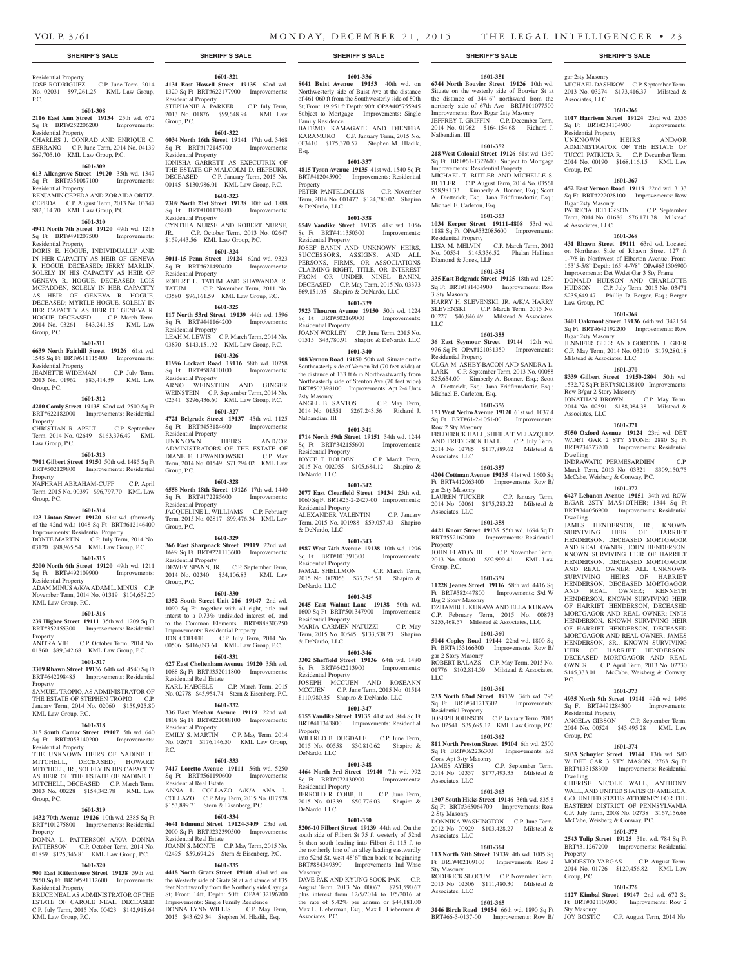Residential Property

Residential Property

Residential Property

Group, P.C.

Group, P.C.

Property

Property

Group, P.C.

Residential Property

KML Law Group, P.C.

KML Law Group, P.C.

Residential Property

Group, P.C.

Property

Residential Property

KML Law Group, P.C.

Property

Property

Law Group, P.C.

Residential Property

Sq Ft BRT#491207500 Residential Property

P.C.

No. 02031 \$97,261.25 KML Law Group,

**1601-308 2116 East Ann Street 19134** 25th wd. 672 Sq Ft BRT#252206200 Improvements:

CHARLES J. CONRAD AND ENRIQUE C. SERRANO C.P. June Term, 2014 No. 04139 \$69,705.10 KML Law Group, P.C. **1601-309 613 Allengrove Street 19120** 35th wd. 1347 Sq Ft BRT#351087100 Improvements:

BENJAMIN CEPEDA AND ZORAIDA ORTIZ-CEPEDA C.P. August Term, 2013 No. 03347 \$82,114.70 KML Law Group, P.C.

**1601-310 4941 North 7th Street 19120** 49th wd. 1218<br>Sq Ft BRT#491207500 Improvements:

DORIS E. HOGUE, INDIVIDUALLY AND IN HER CAPACITY AS HEIR OF GENEVA R. HOGUE, DECEASED; JERRY MARLIN, SOLELY IN HIS CAPACITY AS HEIR OF GENEVA R. HOGUE, DECEASED; LOIS MCFADDEN, SOLELY IN HER CAPACITY AS HEIR OF GENEVA R. HOGUE, DECEASED; MYRTLE HOGUE, SOLELY IN HER CAPACITY AS HEIR OF GENEVA R. HOGUE, DECEASED C.P. March Term, 2014 No. 03261 \$43,241.35 KML Law

**1601-311 6639 North Fairhill Street 19126** 61st wd. 1545 Sq Ft BRT#611115400 Improvements:

JEANETTE WIDEMAN C.P. July Term, 2013 No. 01962 \$83,414.39 KML Law

**1601-312 4210 Comly Street 19135** 62nd wd. 2500 Sq Ft BRT#622182000 Improvements: Residential

CHRISTIAN R. APELT C.P. September Term, 2014 No. 02649 \$163,376.49 KML

**1601-313 7911 Gilbert Street 19150** 50th wd. 1485 Sq Ft BRT#502129800 Improvements: Residential

NAFHRAH ABRAHAM-CUFF C.P. April Term, 2015 No. 00397 \$96,797.70 KML Law

**1601-314 123 Linton Street 19120** 61st wd. (formerly of the 42nd wd.) 1048 Sq Ft BRT#612146400 Improvements: Residential Property DONTE MARTIN C.P. July Term, 2014 No. 03120 \$98,965.54 KML Law Group, P.C. **1601-315 5200 North 6th Street 19120** 49th wd. 1211 Sq Ft BRT#492109900 Improvements:

ADAM MINUS A/K/A ADAM L. MINUS C.P. November Term, 2014 No. 01319 \$104,659.20

**1601-316 239 Higbee Street 19111** 35th wd. 1209 Sq Ft BRT#352155300 Improvements: Residential

ANITRA VIE C.P. October Term, 2014 No. 01860 \$89,342.68 KML Law Group, P.C. **1601-317 3309 Rhawn Street 19136** 64th wd. 4540 Sq Ft BRT#642298485 Improvements: Residential

SAMUEL TROPIO, AS ADMINISTRATOR OF THE ESTATE OF STEPHEN TROPIO C.P. January Term, 2014 No. 02060 \$159,925.80

**1601-318 315 South Camac Street 19107** 5th wd. 640 Sq Ft BRT#053140200 Improvements:

THE UNKNOWN HEIRS OF NADINE H. MITCHELL, DECEASED; HOWARD MITCHELL, JR., SOLELY IN HIS CAPACITY AS HEIR OF THE ESTATE OF NADINE H. MITCHELL, DECEASED C.P. March Term, 2013 No. 00228 \$154,342.78 KML Law

**1601-319 1432 70th Avenue 19126** 10th wd. 2385 Sq Ft BRT#101275800 Improvements: Residential

DONNA L. PATTERSON A/K/A DONNA PATTERSON C.P. October Term, 2014 No. 01859 \$125,346.81 KML Law Group, P.C. **1601-320 900 East Rittenhouse Street 19138** 59th wd.

## **SHERIFF'S SALE SHERIFF'S SALE SHERIFF'S SALE SHERIFF'S SALE SHERIFF'S SALE**

## **1601-321**

JOSE RODRIGUEZ C.P. June Term, 2014 **4131 East Howell Street 19135** 62nd wd. 1320 Sq Ft BRT#622177900 Improvements: Residential Property STEPHANIE A. PARKER C.P. July Term, 2013 No. 01876 \$99,648.94 KML Law Group, P.C.

### **1601-322**

**6034 North 16th Street 19141** 17th wd. 3468 Sq Ft BRT#172145700 Improvements: Residential Property IONISHA GARRETT, AS EXECUTRIX OF THE ESTATE OF MALCOLM D. HEPBURN,

DECEASED C.P. January Term, 2015 No. 00145 \$130,986.01 KML Law Group, P.C. **1601-323**

**7309 North 21st Street 19138** 10th wd. 1888 Sq Ft BRT#101178800 Improvements:

Residential Property CYNTHIA NURSE AND ROBERT NURSE, JR. C.P. October Term, 2013 No. 02647 \$159,443.56 KML Law Group, P.C.

## **1601-324**

**5011-15 Penn Street 19124** 62nd wd. 9323 Sq Ft BRT#621490400 Improvements: Residential Property

ROBERT L. TATUM AND SHAWANDA R. TATUM C.P. November Term, 2011 No. 03580 \$96,161.59 KML Law Group, P.C. **1601-325**

## **117 North 53rd Street 19139** 44th wd. 1596 Sq Ft BRT#441164200 Improvements: Residential Property LEAH M. LEWIS C.P. March Term, 2014 No. 03870 \$143,151.92 KML Law Group, P.C.

**1601-326**

**11996 Lockart Road 19116** 58th wd. 10258 Sq Ft BRT#582410100 Improvements: Residential Property ARNO WEINSTEIN AND GINGER WEINSTEIN C.P. September Term, 2014 No. 02341 \$296,436.60 KML Law Group, P.C.

**1601-327 4721 Belgrade Street 19137** 45th wd. 1125 Sq Ft BRT#453184600 Improvements: Residential Property

UNKNOWN HEIRS AND/OR ADMINISTRATORS OF THE ESTATE OF DIANE E. LEWANDOWSKI C.P. May Term, 2014 No. 01549 \$71,294.02 KML Law Group, P.C.

## **1601-328**

**6558 North 18th Street 19126** 17th wd. 1440 Sq Ft BRT#172285600 Improvements: Residential Property JACQUELINE L. WILLIAMS C.P. February Term, 2015 No. 02817 \$99,476.34 KML Law Group, P.C.

#### **1601-329**

**366 East Sharpnack Street 19119** 22nd wd. 1699 Sq Ft BRT#221113600 Improvements: Residential Property DEWEY SPANN, JR. C.P. September Term, 2014 No. 02340 \$54,106.83 KML Law Group, P.C.

## **1601-330**

**1352 South Street Unit 216 19147** 2nd wd. 1090 Sq Ft; together with all right, title and interst to a 0.73% undivided interest of, and to the Common Elements BRT#888303250 Improvements: Residential Property JON COFFEE C.P. July Term, 2014 No. 00506 \$416,093.64 KML Law Group, P.C.

## **1601-331**

**627 East Cheltenham Avenue 19120** 35th wd. 1088 Sq Ft BRT#352011800 Improvements: Residential Real Estate KARL HAEGELE C.P. March Term, 2015 No. 02778 \$45,954.74 Stern & Eisenberg, P.C.

**1601-332**

**336 East Meehan Avenue 19119** 22nd wd. 1808 Sq Ft BRT#222088100 Improvements: Residential Property EMILY S. MARTIN C.P. May Term, 2014 No. 02671 \$176,146.50 KML Law Group, P.C.

## **1601-333**

**7417 Loretto Avenue 19111** 56th wd. 5250 Sq Ft BRT#561190600 Improvements: Residential Real Estate ANNA L. COLLAZO A/K/A ANA L. COLLAZO C.P. May Term, 2015 No. 017528 \$153,899.71 Stern & Eisenberg, P.C.

## **1601-334**

**4641 Edmund Street 19124-3409** 23rd wd. 2000 Sq Ft BRT#232390500 Improvements: Residential Real Estate

JOANN S. MONTE C.P. May Term, 2015 No. 02495 \$59,694.26 Stern & Eisenberg, P.C.

### **1601-335 4418 North Gratz Street 19140** 43rd wd. on

2850 Sq Ft BRT#591112600 Improvements: BRUCE NEAL AS ADMINISTRATOR OF THE ESTATE OF CAROLE NEAL, DECEASED C.P. July Term, 2015 No. 00423 \$142,918.64 the Westerly side of Gratz St at a distance of 135 feet Northwardly from the Northerly side Cayuga St; Front: 14ft, Depth: 50ft OPA#132196700 Improvements: Single Family Residence<br>DONNA LYNN WILLIS C.P. May Term.

DONNA LYNN WILLIS 2015 \$43,629.34 Stephen M. Hladik, Esq.

## **1601-336**

**8041 Buist Avenue 19153** 40th wd. on Northwesterly side of Buist Ave at the distance of 461.060 ft from the Southwesterly side of 80th St; Front: 19.951 ft Depth: 90ft OPA#405755945 Subject to Mortgage Improvements: Single Family Residence BAFEMO KAMAGATE AND DJENEBA

KARAMUKO C.P. January Term, 2015 No. 003410 \$175,370.57 Stephen M. Hladik, Esq.

## **1601-337**

**4815 Tyson Avenue 19135** 41st wd. 1540 Sq Ft BRT#412045900 Improvements: Residential Property PETER PANTELOGLUS C.P. November Term, 2014 No. 001477 \$124,780.02 Shapiro

& DeNardo, LLC **1601-338**

**6549 Vandike Street 19135** 41st wd. 1056 Sq Ft BRT#411350300 Improvements: Residential Property JOSEF BANIN AND UNKNOWN HEIRS,

SUCCESSORS, ASSIGNS, AND ALL PERSONS, FIRMS, OR ASSOCIATIONS CLAIMING RIGHT, TITLE, OR INTEREST FROM OR UNDER NINEL BANIN, DECEASED C.P. May Term, 2015 No. 03373 \$69,151.05 Shapiro & DeNardo, LLC

## **1601-339**

**7923 Thouron Avenue 19150** 50th wd. 1224 Sq Ft BRT#502169000 Improvements: Residential Property JOANN WORLEY C.P. June Term, 2015 No. 01515 \$43,780.91 Shapiro & DeNardo, LLC

## **1601-340**

**908 Vernon Road 19150** 50th wd. Situate on the Southeasterly side of Vernon Rd (70 feet wide) at the distance of 133 ft 6 in Northeastwardly from Northeasterly side of Stenton Ave (70 feet wide) BRT#502398100 Improvements: Apt 2-4 Unts 2sty Masonry ANGEL B. SANTOS C.P. May Term,

2014 No. 01551 \$267,243.56 Richard J. Nalbandian, III

## **1601-341**

**1714 North 59th Street 19151** 34th wd. 1244 Sq Ft BRT#342155600 Improvements: Residential Property JOYCE T. BOLDEN C.P. March Term, 2015 No. 002055 \$105,684.12 Shapiro & DeNardo, LLC

## **1601-342**

**2077 East Clearfield Street 19134** 25th wd. 1060 Sq Ft BRT#25-2-2427-00 Improvements: Residential Property ALEXANDER VALENTIN C.P. January Term, 2015 No. 001988 \$59,057.43 Shapiro & DeNardo, LLC

## **1601-343**

**1987 West 74th Avenue 19138** 10th wd. 1296 Sq Ft BRT#101391300 Improvements: Residential Property JAMAL SHELLMON C.P. March Term, 2015 No. 002056 \$77,295.51 Shapiro & DeNardo, LLC

### **1601-345**

**2045 East Walnut Lane 19138** 50th wd. 1600 Sq Ft BRT#501347900 Improvements: Residential Property MARIA CARMEN NATUZZI C.P. May Term, 2015 No. 00545 \$133,538.23 Shapiro & DeNardo, LLC

## **1601-346**

**3302 Sheffield Street 19136** 64th wd. 1480 Sq Ft BRT#642213900 Improvements: Residential Property JOSEPH MCCUEN AND ROSEANN MCCUEN C.P. June Term, 2015 No. 01514 \$110,980.35 Shapiro & DeNardo, LLC

## **1601-347**

**6155 Vandike Street 19135** 41st wd. 864 Sq Ft BRT#411343800 Improvements: Residential Property WILFRED B. DUGDALE C.P. June Term,

2015 No. 00558 \$30,810.62 Shapiro & DeNardo, LLC **1601-348**

## **4464 North 3rd Street 19140** 7th wd. 992

Sq Ft BRT#072130900 Improvements: Residential Property JERROLD R. COBB, II C.P. June Term, 2015 No. 01339 \$50,776.03 Shapiro & DeNardo, LLC

## **1601-350**

**5206-10 Filbert Street 19139** 44th wd. On the south side of Filbert St 75 ft westerly of 52nd St then south leading into Filbert St 115 ft to the northerly line of an alley leading eastwardly into 52nd St, west 48'6" then back to beginning BRT#884349390 Improvements: Ind Whse Masonry

DAVE PAK AND KYUNG SOOK PAK C.P. August Term, 2013 No. 00067 \$751,590.67 plus interest from 12/5/2014 to 1/5/2016 at the rate of 5.42% per annum or \$44,181.00 Max L. Lieberman, Esq.; Max L. Lieberman & Associates, P.C.

## **1601-351**

**6744 North Bouvier Street 19126** 10th wd. Situate on the westerly side of Bouvier St at the distance of 344'6" northward from the northerly side of 67th Ave BRT#101077500 Improvements: Row B/gar 2sty Masonry JEFFREY T. GRIFFIN C.P. December Term, 2014 No. 01962 \$164,154.68 Richard J. Nalbandian, III

gar 2sty Masonry

Associates, LLC

Residential Property

B/gar 2sty Masonry

& Associates, LLC

Law Group, PC

B/gar 2sty Masonry

Milstead & Associates, LLC

Row B/gar 2 Story Masonry

Associates, LLC

Dwelling

Dwelling

P.C.

Residential Property

Group, P.C.

Dwelling

Property

Group, P.C.

Sty Masonry

Group, P.C.

MICHAEL DASHKOV C.P. September Term, 2013 No. 03274 \$173,416.37 Milstead &

**1601-366 1017 Harrison Street 19124** 23rd wd. 2556 Sq Ft BRT#234134900 Improvements:

UNKNOWN HEIRS AND/OR ADMINISTRATOR OF THE ESTATE OF TUCCI, PATRICIA R. C.P. December Term, 2014 No. 00190 \$168,116.15 KML Law

**1601-367 452 East Vernon Road 19119** 22nd wd. 3133 Sq Ft BRT#222028100 Improvements: Row

PATRICIA JEFFERSON C.P. September Term, 2014 No. 01686 \$76,171.38 Milstead

**1601-368 431 Rhawn Street 19111** 63rd wd. Located on Northeast Side of Rhawn Street 127 ft 1-7/8 in Northwest of Elberton Avenue; Front: 153'5-5/8" Depth: 165' 4-7/8" OPA#631306900 Improvements: Det W/det Gar 3 Sty Frame DONALD HUDSON AND CHARLOTTE HUDSON C.P. July Term, 2015 No. 03471 \$235,649.47 Phillip D. Berger, Esq.; Berger

**1601-369 3401 Oakmont Street 19136** 64th wd. 3421.54 Sq Ft BRT#642192200 Improvements: Row

JENNIFER GEER AND GORDON J. GEER C.P. May Term, 2014 No. 03210 \$179,280.18

**1601-370 8339 Gilbert Street 19150-2804** 50th wd. 1532.72 Sq Ft BRT#502138100 Improvements:

JONATHAN BROWN C.P. May Term, 2014 No. 02591 \$188,084.38 Milstead &

**1601-371 5050 Oxford Avenue 19124** 23rd wd. DET W/DET GAR 2 STY STONE; 2880 Sq Ft BRT#234273200 Improvements: Residential

INDRAWATIC PERMESARDIEN C.P. March Term, 2013 No. 03321 \$309,150.75

**1601-372 6427 Lebanon Avenue 19151** 34th wd. ROW B/GAR 2STY MAS+OTHER; 1344 Sq Ft BRT#344056900 Improvements: Residential

JAMES HENDERSON, JR., KNOWN SURVIVING HEIR OF HARRIET HENDERSON, DECEASED MORTGAGOR AND REAL OWNER; JOHN HENDERSON, KNOWN SURVIVING HEIR OF HARRIET HENDERSON, DECEASED MORTGAGOR AND REAL OWNER; ALL UNKNOWN SURVIVING HEIRS OF HARRIET HENDERSON, DECEASED MORTGAGOR AND REAL OWNER; KENNETH HENDERSON, KNOWN SURVIVING HEIR OF HARRIET HENDERSON, DECEASED MORTGAGOR AND REAL OWNER; INNIS HENDERSON, KNOWN SURVIVING HEIR OF HARRIET HENDERSON, DECEASED MORTGAGOR AND REAL OWNER; JAMES HENDERSON, SR., KNOWN SURVIVING HEIR OF HARRIET HENDERSON, DECEASED MORTGAGOR AND REAL OWNER C.P. April Term, 2013 No. 02730 \$145,333.01 McCabe, Weisberg & Conway,

**1601-373 4935 North 9th Street 19141** 49th wd. 1496 Sq Ft BRT#491284300 Improvements:

ANGELA GIBSON C.P. September Term, 2014 No. 00524 \$43,495.28 KML Law

**1601-374 5033 Schuyler Street 19144** 13th wd. S/D W DET GAR 3 STY MASON; 2763 Sq Ft BRT#133158300 Improvements: Residential

CHERISE NICOLE WALL, ANTHONY WALL, AND UNITED STATES OF AMERICA, C/O UNITED STATES ATTORNEY FOR THE EASTERN DISTRICT OF PENNSYLVANIA C.P. July Term, 2008 No. 02738 \$167,156.68 McCabe, Weisberg & Conway, P.C. **1601-375 2543 Tulip Street 19125** 31st wd. 784 Sq Ft BRT#311267200 Improvements: Residential

MODESTO VARGAS C.P. August Term, 2014 No. 01726 \$120,456.82 KML Law

**1601-376 1127 Kimbal Street 19147** 2nd wd. 672 Sq Ft BRT#021106900 Improvements: Row 2

JOY BOSTIC C.P. August Term, 2014 No.

McCabe, Weisberg & Conway, P.C.

#### **1601-352**

**218 West Colonial Street 19126** 61st wd. 1360 Sq Ft BRT#61-1322600 Subject to Mortgage Improvements: Residential Property MICHAEL T. BUTLER AND MICHELLE S. BUTLER C.P. August Term, 2014 No. 03561 \$58,981.33 Kimberly A. Bonner, Esq.; Scott A. Dietterick, Esq.; Jana Fridfinnsdottir, Esq.; Michael E. Carleton, Esq.

## **1601-353**

**1034 Kerper Street 19111-4808** 53rd wd. 1188 Sq Ft OPA#532085600 Improvements: Residential Property LISA M. MELVIN C.P. March Term, 2012

No. 00534 \$145,336.52 Phelan Hallinan Diamond & Jones, LLP **1601-354**

## **335 East Belgrade Street 19125** 18th wd. 1280

Sq Ft BRT#181434900 Improvements: Row 3 Sty Masonry HARRY H. SLEVENSKI, JR. A/K/A HARRY SLEVENSKI C.P. March Term, 2015 No. 00227 \$46,846.49 Milstead & Associates, LLC

## **1601-355**

**36 East Seymour Street 19144** 12th wd. 976 Sq Ft OPA#121031350 Improvements: Residential Property OLGA M. ASHBY-BACON AND SANDRA L.

LARK C.P. September Term, 2013 No. 00088 \$25,654.00 Kimberly A. Bonner, Esq.; Scott A. Dietterick, Esq.; Jana Fridfinnsdottir, Esq.; Michael E. Carleton, Esq.

## **1601-356**

**151 West Nedro Avenue 19120** 61st wd. 1037.4 Sq Ft BRT#61-2-1051-00 Improvements: Row 2 Sty Masonry FREDERICK HALL, SHEILA T. VELAZQUEZ AND FREDERICK HALL C.P. July Term, 2014 No. 02785 \$117,889.62 Milstead & Associates, LLC

## **1601-357**

**4204 Cottman Avenue 19135** 41st wd. 1600 Sq Ft BRT#412063400 Improvements: Row B/ gar 2sty Masonry LAUREN TUCKER C.P. January Term, 2014 No. 02061 \$175,283.22 Milstead & Associates, LLC

### **1601-358 4421 Knorr Street 19135** 55th wd. 1694 Sq Ft

BRT#552162900 Improvements: Residential Property JOHN FLATON III C.P. November Term,

2013 No. 00400 \$92,999.41 KML Law Group, P.C. **1601-359**

**11228 Jeanes Street 19116** 58th wd. 4416 Sq Ft BRT#582447800 Improvements: S/d W B/g 2 Story Masonry DZHAMBUL KUKAVA AND ELLA KUKAVA

C.P. February Term, 2015 No. 00873 \$255,468.57 Milstead & Associates, LLC **1601-360**

## **5044 Copley Road 19144** 22nd wd. 1800 Sq Ft BRT#133166300 Improvements: Row B/

gar 2 Story Masonry ROBERT BALAZS C.P. May Term, 2015 No. 01776 \$102,814.39 Milstead & Associates, LLC

## **1601-361**

**233 North 62nd Street 19139** 34th wd. 796 Sq Ft BRT#341213302 Improvements: Residential Property JOSEPH JOHNSON C.P. January Term, 2015 No. 02541 \$39,699.12 KML Law Group, P.C.

## **1601-362**

**811 North Preston Street 19104** 6th wd. 2500 Sq Ft BRT#062236300 Improvements: S/d Conv Apt 3sty Masonry JAMES AYERS C.P. September Term, 2014 No. 02357 \$177,493.35 Milstead & Associates, LLC

## **1601-363**

**1307 South Hicks Street 19146** 36th wd. 835.8 Sq Ft BRT#365064700 Improvements: Row 2 Sty Masonry

## DONNIKA WASHINGTON C.P. June Term, 2012 No. 00929 \$103,428.27 Milstead & Associates, LLC

## **1601-364**

**113 North 59th Street 19139** 4th wd. 1005 Sq Ft BRT#402109100 Improvements: Row 2 Sty Masonry RODERICK SLOCUM C.P. November Term, 2013 No. 02506 \$111,480.30 Milstead & Associates, LLC

**1601-365 3146 Birch Road 19154** 66th wd. 1890 Sq Ft BRT#66-3-0137-00 Improvements: Row B/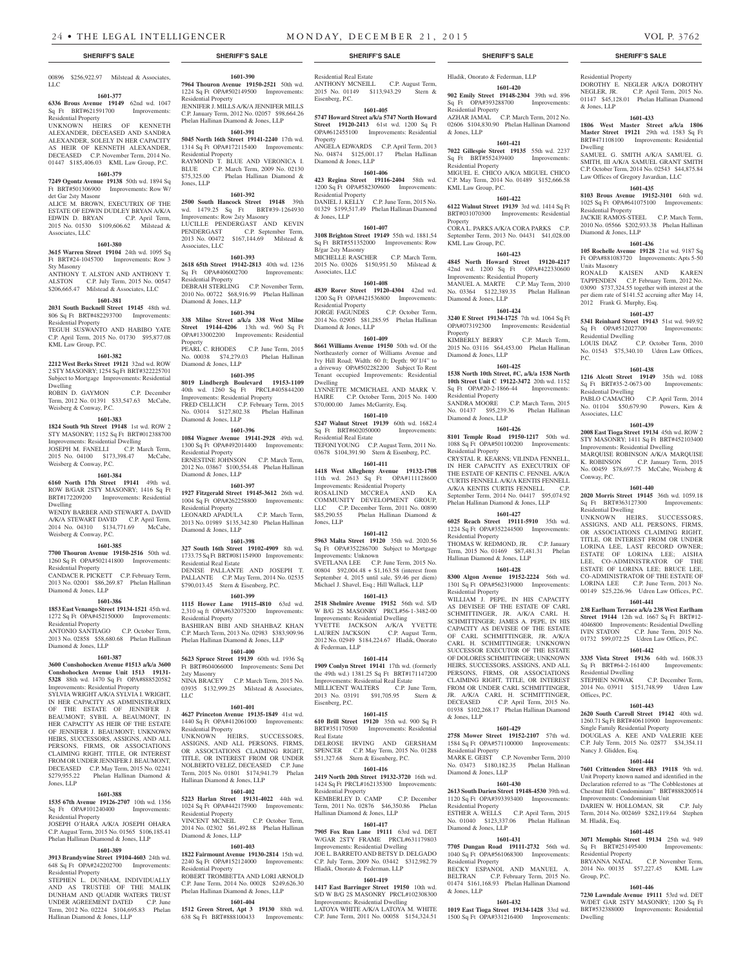#### 00896 \$256,922.97 Milstead & Associates, LLC

## **1601-377**

**6336 Brous Avenue 19149** 62nd wd. 1047 Sq Ft BRT#621591700 Improvements:

## Residential Property

UNKNOWN HEIRS OF KENNETH ALEXANDER, DECEASED AND SANDRA ALEXANDER, SOLELY IN HER CAPACITY AS HEIR OF KENNETH ALEXANDER, DECEASED C.P. November Term, 2014 No. 01447 \$185,406.03 KML Law Group, P.C.

## **1601-379**

**7249 Ogontz Avenue 19138** 50th wd. 1894 Sq Ft BRT#501306900 Improvements: Row W/ det Gar 2sty Masonr

ALICE M. BROWN, EXECUTRIX OF THE ESTATE OF EDWIN DUDLEY BRYAN A/K/A EDWIN D. BRYAN C.P. April Term, 2015 No. 01530 \$109,606.62 Milstead & Associates, LLC

### **1601-380**

**3615 Warren Street 19104** 24th wd. 1095 Sq Ft BRT#24-1045700 Improvements: Row 3 Sty Masonry

ANTHONY T. ALSTON AND ANTHONY T. ALSTON C.P. July Term, 2015 No. 00547 **2618 65th Street 19142-2813** 40th wd. 1236 Sq Ft OPA#406002700 Improvements: Residential Property

#### \$206,665.47 Milstead & Associates, LLC **1601-381** DEBRAH STERLING C.P. November Term, 2010 No. 00722 \$68,916.99 Phelan Hallinan Diamond & Jones, LLP

**2031 South Bucknell Street 19145** 48th wd. 806 Sq Ft BRT#482293700 Improvements: Residential Property

TEGUH SUSWANTO AND HABIBO YATE C.P. April Term, 2015 No. 01730 \$95,877.08 KML Law Group, P.C.

## **1601-382**

**2212 West Berks Street 19121** 32nd wd. ROW 2 STY MASONRY; 1254 Sq Ft BRT#322225701 Subject to Mortgage Improvements: Residential Dwelling

ROBIN D. GAYMON C.P. December Term, 2012 No. 01391 \$33,547.63 McCabe,

## Weisberg & Conway, P.C.

## **1601-383**

**1824 South 9th Street 19148** 1st wd. ROW 2 STY MASONRY; 1152 Sq Ft BRT#012388700 Improvements: Residential Dwelling JOSEPH M. FANELLI C.P. March Term, 2015 No. 04100 \$173,398.47 McCabe,

Weisberg & Conway, P.C. **1601-384**

### **6160 North 17th Street 19141** 49th wd. ROW B/GAR 2STY MASONRY; 1416 Sq Ft BRT#172209200 Improvements: Residential Dwelling WENDY BARBER AND STEWART A. DAVID

A/K/A STEWART DAVID C.P. April Term, 2014 No. 04310 \$134,771.69 McCabe, Weisberg & Conway, P.C.

## **1601-385**

**7700 Thouron Avenue 19150-2516** 50th wd. 1260 Sq Ft OPA#502141800 Improvements: Residential Property CANDACE R. PICKETT C.P. February Term,

2013 No. 02001 \$86,269.87 Phelan Hallinan Diamond & Jones, LLP

#### **1601-386 1853 East Venango Street 19134-1521** 45th wd.

1272 Sq Ft OPA#452150000 Improvements: Residential Property ANTONIO SANTIAGO C.P. October Term, 2,310 sq ft OPA#632075200 Improvements: Residential Property BASHIRAN BIBI AND SHAHBAZ KHAN C.P. March Term, 2013 No. 02983 \$383,909.96

2013 No. 02858 \$58,680.68 Phelan Hallinan Diamond & Jones, LLP

### **1601-387**

**3600 Conshohocken Avenue #1513 a/k/a 3600 Conshohocken Avenue Unit 1513 19131- 5328** 88th wd. 1470 Sq Ft OPA#888520582 Improvements: Residential Property

SYLVIA WRIGHT A/K/A SYLVIA I. WRIGHT, IN HER CAPACITY AS ADMINISTRATRIX OF THE ESTATE OF JENNIFER J. BEAUMONT; SYBIL A. BEAUMONT, IN HER CAPACITY AS HEIR OF THE ESTATE OF JENNIFER J. BEAUMONT; UNKNOWN HEIRS, SUCCESSORS, ASSIGNS, AND ALL PERSONS, FIRMS, OR ASSOCIATIONS CLAIMING RIGHT, TITLE, OR INTEREST FROM OR UNDER JENNIFER J. BEAUMONT, DECEASED C.P. May Term, 2015 No. 02241<br>\$279,955.22 Phelan Hallinan Diamond & Phelan Hallinan Diamond & Jones, LLP

## **1601-388**

**1535 67th Avenue 19126-2707** 10th wd. 1356 Sq Ft OPA#101240400 Improvements: Residential Property

JOSEPH O'HARA A/K/A JOSEPH OHARA C.P. August Term, 2015 No. 01565 \$106,185.41 Phelan Hallinan Diamond & Jones, LLP

## **1601-389**

**3913 Brandywine Street 19104-4603** 24th wd. 648 Sq Ft OPA#242202700 Improvements: Residential Property

STEPHEN L. DUNHAM, INDIVIDUALLY AND AS TRUSTEE OF THE MALIK DUNHAM AND QUADIR WATERS TRUST UNDER AGREEMENT DATED C.P. June Term, 2012 No. 02224 \$104,695.83 Phelan Hallinan Diamond & Jones, LLP

# Residential Real Estate

**1601-390 7964 Thouron Avenue 19150-2521** 50th wd. 1224 Sq Ft OPA#502149500 Improvements:

JENNIFER J. MILLS A/K/A JENNIFER MILLS C.P. January Term, 2012 No. 02057 \$98,664.26 Phelan Hallinan Diamond & Jones, LLP **1601-391 5045 North 16th Street 19141-2240** 17th wd. 1314 Sq Ft OPA#172115400 Improvements:

RAYMOND T. BLUE AND VERONICA I. BLUE C.P. March Term, 2009 No. 02130 \$75,325.00 Phelan Hallinan Diamond &

**1601-392 2500 South Hancock Street 19148** 39th wd. 1479.25 Sq Ft BRT#39-1264930

LUCILLE PENDERGAST AND KEVIN<br>PENDERGAST C.P. September Term,

2013 No. 00472 \$167,144.69 Milstead &

**1601-393**

**1601-394 338 Milne Street a/k/a 338 West Milne Street 19144-4206** 13th wd. 960 Sq Ft OPA#133002200 Improvements: Residential

PEARL C. RHODES C.P. June Term, 2015 No. 00038 \$74,279.03 Phelan Hallinan

**1601-395 8019 Lindbergh Boulevard 19153-1109**  40th wd. 1260 Sq Ft PRCL#405844200 Improvements: Residential Property FRED CELLICH C.P. February Term, 2015 No. 03014 \$127,802.38 Phelan Hallinan

**1601-396 1084 Wagner Avenue 19141-2928** 49th wd. 1300 Sq Ft OPA#492014400 Improvements:

ERNESTINE JOHNSON C.P. March Term, 2012 No. 03867 \$100,554.48 Phelan Hallinan

**1601-397 1927 Fitzgerald Street 19145-3612** 26th wd. 1004 Sq Ft OPA#262258800 Improvements:

LEONARD APADULA C.P. March Term, 2013 No. 01989 \$135,342.80 Phelan Hallinan

**1601-398 327 South 16th Street 19102-4909** 8th wd. 1733.75 Sq Ft BRT#081154900 Improvements:

DENISE PALLANTE AND JOSEPH T. PALLANTE C.P. May Term, 2014 No. 02535 \$790,013.45 Stern & Eisenberg, P.C. **1601-399 1115 Hower Lane 19115-4810** 63rd wd.

Phelan Hallinan Diamond & Jones, LLP **1601-400 5623 Spruce Street 19139** 60th wd. 1936 Sq Ft BRT#604066000 Improvements: Semi Det

NINA BRACEY C.P. March Term, 2015 No.<br>03935 \$132,999.25 Milstead & Associates,  $$132,999.25$  Milstead & Associates,

**1601-401 4627 Princeton Avenue 19135-1849** 41st wd. 1440 Sq Ft OPA#412061000 Improvements:

UNKNOWN HEIRS, SUCCESSORS, ASSIGNS, AND ALL PERSONS, FIRMS, OR ASSOCIATIONS CLAIMING RIGHT, TITLE, OR INTEREST FROM OR UNDER NOLBERTO VELEZ, DECEASED C.P. June Term, 2015 No. 01801 \$174,941.79 Phelan

**1601-402 5223 Harlan Street 19131-4022** 44th wd. 1024 Sq Ft OPA#442175900 Improvements:

VINCENT MCNEIL C.P. October Term, 2014 No. 02302 \$61,492.88 Phelan Hallinan

**1601-403 1822 Fairmount Avenue 19130-2814** 15th wd. 2240 Sq Ft OPA#152124000 Improvements:

ROBERT TROMBETTA AND LORI ARNOLD C.P. June Term, 2014 No. 00028 \$249,626.30 Phelan Hallinan Diamond & Jones, LLP **1601-404 1512 Green Street, Apt 3 19130** 88th wd. 638 Sq Ft BRT#888100433 Improvements:

C.P. September Term,

Improvements: Row 2sty Masonry

Residential Property

Residential Property

Jones, LLP

Associates, LLC

Property

Diamond & Jones, LLP

Diamond & Jones, LLP

Residential Property

Diamond & Jones, LLP

Residential Property

Diamond & Jones, LLP

Residential Real Estate

2sty Masonry

Residential Property

Residential Property

Diamond & Jones, LLP

Residential Property

Hallinan Diamond & Jones, LLP

 $LI$ 

ANTHONY MCNEILL C.P. August Term,<br>2015 No. 01149 \$113,943.29 Stern & 2015 No. 01149 \$113,943.29 Eisenberg, P.C.

**1601-405 5747 Howard Street a/k/a 5747 North Howard Street 19120-2413** 61st wd. 1200 Sq Ft OPA#612455100 Improvements: Residential Property

ANGELA EDWARDS C.P. April Term, 2013 No. 04874 \$125,001.17 Phelan Hallinan Diamond & Jones, LLP

## **1601-406**

**423 Regina Street 19116-2404** 58th wd. 1200 Sq Ft OPA#582309600 Improvements: Residential Property DANIEL J. KELLY C.P. June Term, 2015 No.

01329 \$199,517.49 Phelan Hallinan Diamond & Jones, LLP **1601-407**

## **3108 Brighton Street 19149** 55th wd. 1881.54

Sq Ft BRT#551352000 Improvements: Row B/gar 2sty Masonry MICHELLE RASCHER C.P. March Term 2015 No. 03026 \$150,951.50 Milstead & Associates, LLC

## **1601-408**

**4839 Rorer Street 19120-4304** 42nd wd. 1200 Sq Ft OPA#421536800 Improvements: Residential Property JORGE FAGUNDES C.P. October Term, 2014 No. 02905 \$81,285.95 Phelan Hallinan Diamond & Jones, LLP

## **1601-409**

**8661 Williams Avenue 19150** 50th wd. Of the Northeasterly corner of Williams Avenue and Ivy Hill Road; Width: 60 ft; Depth: 90'1/4" to a driveway OPA#502282200 Subject To Rent Tenant occupied Improvements: Residential Dwelling

LYNNETTE MCMICHAEL AND MARK V. HAIRE C.P. October Term, 2015 No. 1400 \$70,000.00 James McGarrity, Esq. **1601-410**

**5247 Walnut Street 19139** 60th wd. 1682.4 Sq Ft BRT#602050000 Residential Real Estate TEFONI YOUNG C.P. August Term, 2011 No. 03678 \$104,391.90 Stern & Eisenberg, P.C.

## **1601-411**

**1418 West Allegheny Avenue 19132-1708**  11th wd. 2613 Sq Ft OPA#111128600 Improvements: Residential Property ROSALIND MCCREA AND KA COMMUNITY DEVELOPMENT GROUP, LLC C.P. December Term, 2011 No. 00890 \$85,290.55 Phelan Hallinan Diamond & Jones, LLP

#### **1601-412**

**5963 Malta Street 19120** 35th wd. 2020.56 Sq Ft OPA#352286700 Subject to Mortgage Improvements: Unknown SVETLANA LEE C.P. June Term, 2015 No. 00804 \$92,004.48 + \$1,163.58 (interest from

September 4, 2015 until sale, \$9.46 per diem) Michael J. Shavel, Esq.; Hill Wallack, LLP **1601-413**

**2518 Shelmire Avenue 19152** 56th wd. S/D W B/G 2S MASONRY PRCL#56-1-3482-00 Improvements: Residential Dwelling YVETTE JACKSON A/K/A YVETTE

LAUREN JACKSON C.P. August Term, 2012 No. 02949 \$184,224.67 Hladik, Onorato & Federman, LLP **1601-414**

**1909 Conlyn Street 19141** 17th wd. (formerly the 49th wd.) 1381.25 Sq Ft BRT#171147200 Improvements: Residential Real Estate<br>MILLICENT WALTERS C.P. June Term, MILLICENT WALTERS 2013 No. 03191 \$91,705.95 Stern & Eisenberg, P.C.

## **1601-415**

**610 Brill Street 19120** 35th wd. 900 Sq Ft BRT#351170500 Improvements: Residential Real Estate DELROSE IRVING AND GERSHAM<br>SPENCER C.P. May Term. 2015 No. 01288 SPENCER C.P. May Term, 2015 No. 01288<br>\$51.327.68 Stern & Eisenberg, P.C. Stern & Eisenberg, P.C.

## **1601-416**

**2419 North 20th Street 19132-3720** 16th wd. 1424 Sq Ft PRCL#162135300 Improvements: Residential Property KEMBERLEY D. CAMP C.P. December<br>Term. 2011 No. 02876 \$46,350.86 Phelan

## 2011 No. 02 Hallinan Diamond & Jones, LLP

## **7905 Fox Run Lane 19111** 63rd wd. DET W/GAR 2STY FRAME PRCL#631179803 Improvements: Residential Dwelling

JOE L. BARRETO AND BETSY D. DELGADO C.P. July Term, 2009 No. 03442 \$312,982.79 Hladik, Onorato & Federman, LLP

**1601-417**

#### **1601-419**

**1417 East Barringer Street 19150** 10th wd. S/D W B/G 2S MASONRY PRCL#102308300 Improvements: Residential Dwelling LATOYA WHITE A/K/A LATOYA M. WHITE C.P. June Term, 2011 No. 00058 \$154,324.51

### **SHERIFF'S SALE SHERIFF'S SALE SHERIFF'S SALE SHERIFF'S SALE SHERIFF'S SALE**

Residential Property

& Jones, LLP

Dwelling

Residential Property

Diamond & Jones, LLP

2012 Frank G. Murphy, Esq.

Residential Dwelling<br>LOUIS DIAZ

Sq Ft BRT#35-2-0673-00 Residential Dwelling

Sq Ft BRT#363127300 Residential Dwelling

Residential Dwelling

Nancy J. Glidden, Esq.

M. Hladik, Esq.

Residential Property

Group, P.C.

Dwelling

Offices, P.C.

Associates, LLC

Conway, P.C.

P.C.

Units Masonry

DOROTHY E. NEGLER A/K/A DOROTHY<br>NEGLER JR. C.P. April Term. 2015 No.

01147 \$45,128.01 Phelan Hallinan Diamond

**1601-433 1806 West Master Street a/k/a 1806 Master Street 19121** 29th wd. 1583 Sq Ft BRT#471108100 Improvements: Residential

SAMUEL G. SMITH A/K/A SAMUEL G. SMITH, III A/K/A SAMUEL GRANT SMITH C.P. October Term, 2014 No. 02543 \$44,875.84 Law Offices of Gregory Javardian, LLC **1601-435 8103 Brous Avenue 19152-3101** 64th wd. 1025 Sq Ft OPA#641075100 Improvements:

JACKIE RAMOS-STEEL C.P. March Term, 2010 No. 05566 \$202,933.38 Phelan Hallinan

**1601-436 105 Rochelle Avenue 19128** 21st wd. 9187 Sq Ft OPA#881083720 Improvements: Apts 5-50

RONALD KAISEN AND KAREN TAPPENDEN C.P. February Term, 2012 No. 03090 \$737,324.55 together with interest at the per diem rate of \$141.52 accruing after May 14,

**1601-437 5341 Reinhard Street 19143** 51st wd. 949.92 Sq Ft OPA#512027700 Improvements:

No. 01543 \$75,340.10 Udren Law Offices,

**1601-438 1216 Alcott Street 19149** 35th wd. 1088<br>Sq Ft BRT#35-2-0673-00 Improvements:

PABLO CAMACHO C.P. April Term, 2014 No. 01104 \$50,679.90 Powers, Kirn &

**1601-439 2008 East Tioga Street 19134** 45th wd. ROW 2 STY MASONRY; 1411 Sq Ft BRT#452103400 Improvements: Residential Dwelling MARQUISE ROBINSON A/K/A MARQUISE K. ROBINSON C.P. January Term, 2015 No. 00459 \$78,697.75 McCabe, Weisberg &

**1601-440 2020 Morris Street 19145** 36th wd. 1059.18<br>
Sq Ft BRT#363127300 Improvements:

UNKNOWN HEIRS, SUCCESSORS, ASSIGNS, AND ALL PERSONS, FIRMS, OR ASSOCIATIONS CLAIMING RIGHT, TITLE, OR INTEREST FROM OR UNDER LORINA LEE, LAST RECORD OWNER; ESTATE OF LORINA LEE; AISHA LEE, CO-ADMINISTRATOR OF THE ESTATE OF LORINA LEE; BRUCE LEE, CO-ADMINISTRATOR OF THE ESTATE OF LORINA LEE C.P. June Term, 2013 No. 00149 \$25,226.96 Udren Law Offices, P.C. **1601-441 238 Earlham Terrace a/k/a 238 West Earlham Street 19144** 12th wd. 1667 Sq Ft BRT#12- 4046800 Improvements: Residential Dwelling IVIN STATON C.P. June Term, 2015 No. 01732 \$99,072.25 Udren Law Offices, P.C. **1601-442 3335 Vista Street 19136** 64th wd. 1608.33 Sq Ft BRT#64-2-161400 Improvements:

STEPHEN NOWAK C.P. December Term, 2014 No. 03911 \$151,748.99 Udren Law

**1601-443 2620 South Carroll Street 19142** 40th wd. 1260.71 Sq Ft BRT#406110900 Improvements:

**1601-444 7601 Crittenden Street #B3 19118** 9th wd. Unit Property known named and identified in the Declaration referred to as "The Cobblestones at Chestnut Hill Condominium" BRT#888200514

Term, 2014 No. 002469 \$282,119.64 Stephen

**1601-445 3071 Memphis Street 19134** 25th wd. 949 Sq Ft BRT#251495400 Improvements:

BRYANNA NATAL C.P. November Term, 2014 No. 00135 \$57,227.45 KML Law

**1601-446 7230 Lawndale Avenue 19111** 53rd wd. DET W/DET GAR 2STY MASONRY; 1200 Sq Ft BRT#532388000 Improvements: Residential

Single Family Residential Property DOUGLAS A. KEE AND VALERIE KEE C.P. July Term, 2015 No. 02877 \$34,354.11

Improvements: Condominium Unit DARIEN W. HOLLOMAN, SR

C.P. October Term, 2010

C.P. April Term, 2015 No.

## Hladik, Onorato & Federman, LLP

**1601-420 902 Emily Street 19148-2304** 39th wd. 896 Sq Ft OPA#393288700 Residential Property

AZHAR JAMAL C.P. March Term, 2012 No. 02606 \$104,830.90 Phelan Hallinan Diamond & Jones, LLP

#### **1601-421 7022 Gillespie Street 19135** 55th wd. 2237

Sq Ft BRT#552439400 Improvements: Residential Property MIGUEL E. CHICO A/K/A MIGUEL CHICO C.P. May Term, 2014 No. 01489 \$152,666.58 KML Law Group, P.C.

## **1601-422**

**6122 Walnut Street 19139** 3rd wd. 1414 Sq Ft BRT#031070300 Improvements: Residential **Property** CORA L. PARKS A/K/A CORA PARKS C.P. September Term, 2013 No. 04431 \$41,028.00

KML Law Group, P.C. **1601-423**

## **4845 North Howard Street 19120-4217**

42nd wd. 1200 Sq Ft OPA#422330600 Improvements: Residential Property

MANUEL A. MARTE C.P. May Term, 2010 No. 03364 \$122,389.35 Phelan Hallinan Diamond & Jones, LLP

## **1601-424**

**3240 E Street 19134-1725** 7th wd. 1064 Sq Ft OPA#073192300 Improvements: Residential Property KIMBERLY BERRY C.P. March Term,

2015 No. 03116 \$64,453.00 Phelan Hallinan Diamond & Jones, LLP **1601-425**

**1538 North 10th Street, #C, a/k/a 1538 North 10th Street Unit C 19122-3472** 20th wd. 1152 Sq Ft OPA#20-2-1866-44 Improvements: Residential Property SANDRA MOORE C.P. March Term, 2015

No. 01437 \$95,239.36 Phelan Hallinan Diamond & Jones, LLP

## **1601-426**

**8101 Temple Road 19150-1217** 50th wd. 1088 Sq Ft OPA#501100200 Improvements: Residential Property

CRYSTAL R. KEARNS; VILINDA FENNELL, IN HER CAPACITY AS EXECUTRIX OF THE ESTATE OF KENTIS C. FENNEL A/K/A CURTIS FENNELL A/K/A KENTIS FENNELL A/K/A KENTIS CURTIS FENNELL C.P. September Term, 2014 No. 04417 \$95,074.92 Phelan Hallinan Diamond & Jones, LLP

## **1601-427**

**6025 Reach Street 19111-5910** 35th wd. 1224 Sq Ft OPA#352244500 Improvements: Residential Property

THOMAS W. REDMOND, JR. C.P. January Term, 2015 No. 01469 \$87,481.31 Phelan Hallinan Diamond & Jones, LLP

**8300 Algon Avenue 19152-2224** 56th wd. 1301 Sq Ft OPA#562319000 Improvements:

WILLIAM J. PEPE, IN HIS CAPACITY AS DEVISEE OF THE ESTATE OF CARL SCHMITTINGER, JR. A/K/A CARL H. SCHMITTINGER; JAMES A. PEPE, IN HIS CAPACITY AS DEVISEE OF THE ESTATE OF CARL SCHMITTINGER, JR. A/K/A CARL H. SCHMITTINGER; UNKNOWN SUCCESSOR EXECUTOR OF THE ESTATE OF DOLORES SCHMITTINGER; UNKNOWN HEIRS, SUCCESSORS, ASSIGNS, AND ALL PERSONS, FIRMS, OR ASSOCIATIONS CLAIMING RIGHT, TITLE, OR INTEREST FROM OR UNDER CARL SCHMITTINGER, JR. A/K/A CARL H. SCHMITTINGER. DECEASED C.P. April Term, 2015 No. 01938 \$102,268.17 Phelan Hallinan Diamond

**1601-429 2758 Mower Street 19152-2107** 57th wd. 1584 Sq Ft OPA#571100000 Improvements:

MARK E. GEIST C.P. November Term, 2010 No. 03473 \$180,182.35 Phelan Hallinan

**1601-430 2613 South Darien Street 19148-4530** 39th wd. 1120 Sq Ft OPA#393393400 Improvements:

ESTHER A. WELLS C.P. April Term, 2015 No. 01040 \$123,337.06 Phelan Hallinan

**1601-431 7705 Dungan Road 19111-2732** 56th wd. 1040 Sq Ft OPA#561068300 Improvements:

BECKY ESPANOL AND MANUEL A. BELTRAN C.P. February Term, 2015 No. 01474 \$161,168.93 Phelan Hallinan Diamond

**1601-432 1019 East Tioga Street 19134-1428** 33rd wd. 1500 Sq Ft OPA#331216400 Improvements:

## **1601-428**

Residential Property

& Jones, LLP

Residential Property

Peridential Prop

Diamond & Jones, LLP

Diamond & Jones, LLP

Residential Property

& Jones, LLP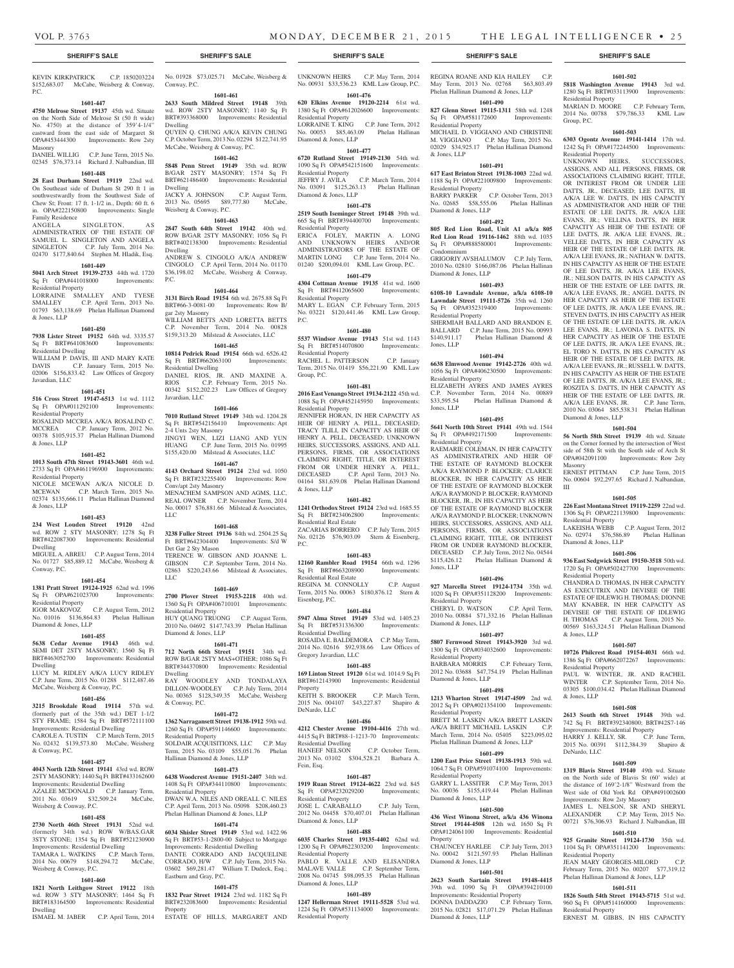## **SHERIFF'S SALE SHERIFF'S SALE SHERIFF'S SALE SHERIFF'S SALE SHERIFF'S SALE**

KEVIN KIRKPATRICK C.P. 1850203224 \$152,683.07 McCabe, Weisberg & Conway, P.C.

#### **1601-447**

**4750 Melrose Street 19137** 45th wd. Situate on the North Side of Melrose St (50 ft wide) No. 4750) at the distance of 359'4-1/4" eastward from the east side of Margaret St OPA#453444300 Improvements: Row 2sty Masonry

## DANIEL WILLIG C.P. June Term, 2015 No. 02345 \$76,373.14 Richard J. Nalbandian, III **1601-448**

**28 East Durham Street 19119** 22nd wd. On Southeast side of Durham St 290 ft 1 in southwestwardly from the Southwest Side of Chew St; Front: 17 ft. 1-1/2 in., Depth: 60 ft. 6 in. OPA#222150800 Improvements: Single Family Residence

## ANGELA SINGLETON, ADMINISTRATRIX OF THE ESTATE OF

SAMUEL L. SINGLETON AND ANGELA<br>SINGLETON CP July Term 2014 No C.P. July Term, 2014 No. 02470 \$177,840.64 Stephen M. Hladik, Esq. **1601-449**

**5041 Arch Street 19139-2733** 44th wd. 1720 Sq Ft OPA#441018000 Improvements: Residential Property LORRAINE SMALLEY AND TYESE

SMALLEY C.P. April Term, 2013 No. 01793 \$63,138.69 Phelan Hallinan Diamond & Jones, LLP

## **1601-450**

**7938 Lister Street 19152** 64th wd. 3335.57 Sq Ft BRT#641083600 Improvements: Residential Dwelling

WILLIAM P. DAVIS, III AND MARY KATE<br>DAVIS C.P. January Term. 2015 No. C.P. January Term, 2015 No. 02006 \$156,833.42 Law Offices of Gregory Javardian, LLC

#### **1601-451**

**516 Cross Street 19147-6513** 1st wd. 1112 Sq Ft OPA#011292100 Residential Property

ROSALIND MCCREA A/K/A ROSALIND C. MCCREA C.P. January Term, 2012 No. 00378 \$105,915.37 Phelan Hallinan Diamond & Jones, LLP

## **1601-452**

**1013 South 47th Street 19143-3601** 46th wd. 2733 Sq Ft OPA#461196900 Improvements: Residential Property NICOLE MCEWAN A/K/A NICOLE D.<br>MCEWAN CP March Term 2015 No. C.P. March Term, 2015 No.

02374 \$135,666.11 Phelan Hallinan Diamond & Jones, LLP

## **1601-453**

**234 West Louden Street 19120** 42nd wd. ROW 2 STY MASONRY; 1278 Sq Ft BRT#422087300 Improvements: Residential Dwelling

MIGUEL A. ABREU C.P. August Term, 2014 No. 01727 \$85,889.12 McCabe, Weisberg & Conway, P.C.

## **1601-454**

**1381 Pratt Street 19124-1925** 62nd wd. 1996 Sq Ft OPA#621023700 Improvements: Residential Property IGOR MAKOVOZ C.P. August Term, 2012

No. 01016 \$136,864.83 Phelan Hallinan Diamond & Jones, LLP

## **1601-455**

**5638 Cedar Avenue 19143** 46th wd. SEMI DET 2STY MASONRY; 1560 Sq Ft BRT#463052700 Improvements: Residential Dwelling LUCY M. RIDLEY A/K/A LUCY RIDLEY C.P. June Term, 2015 No. 01288 \$112,487.46

## McCabe, Weisberg & Conway, P.C. **1601-456**

**3215 Brookdale Road 19114** 57th wd. (formerly part of the 35th wd.) DET 1-1/2 STY FRAME; 1584 Sq Ft BRT#572111100 Improvements: Residential Dwelling CAROLE A. TUSTIN C.P. March Term, 2015 No. 02432 \$139,573.80 McCabe, Weisberg & Conway, P.C.

## **1601-457**

**4043 North 12th Street 19141** 43rd wd. ROW 2STY MASONRY; 1440 Sq Ft BRT#433162600 Improvements: Residential Dwelling AZALEE MCDONALD C.P. January Term, 2011 No. 03619 \$32,509.24 McCabe,

## Weisberg & Conway, P.C. **1601-458**

### **2730 North 46th Street 19131** 52nd wd. (formerly 34th wd.) ROW W/BAS.GAR 3STY STONE; 1354 Sq Ft BRT#521230900 Improvements: Residential Dwelling TAMARA L. WATKINS C.P. March Term, 2014 No. 00679 \$148,294.72 McCabe, Weisberg & Conway, P.C.

## **1601-460**

**1821 North Leithgow Street 19122** 18th wd. ROW 3 STY MASONRY; 1464 Sq Ft BRT#183164500 Improvements: Residential Dwelling ISMAEL M. JABER C.P. April Term, 2014 No. 01928 \$73,025.71 McCabe, Weisberg & Conway, P.C.

## **1601-461**

**2633 South Mildred Street 19148** 39th wd. ROW 2STY MASONRY; 1140 Sq Ft BRT#393368000 Improvements: Residential Dwelling QUYEN Q. CHUNG A/K/A KEVIN CHUNG C.P. October Term, 2013 No. 02294 \$122,741.95 McCabe, Weisberg & Conway, P.C.

## **1601-462**

**5848 Penn Street 19149** 35th wd. ROW B/GAR 2STY MASONRY; 1574 Sq Ft BRT#621486400 Improvements: Residential Dwelling JACKY A. JOHNSON C.P. August Term, 2013 No. 05695 \$89,777.80 McCabe,

## **1601-463**

Weisberg & Conway, P.C.

**2847 South 64th Street 19142** 40th wd. ROW B/GAR 2STY MASONRY; 1056 Sq Ft BRT#402138300 Improvements: Residential Dwelling ANDREW S. CINGOLO A/K/A ANDREW CINGOLO C.P. April Term, 2014 No. 01170 \$36,198.02 McCabe, Weisberg & Conway, P.C.

## **1601-464**

**3131 Birch Road 19154** 6th wd. 2675.88 Sq Ft BRT#66-3-0081-00 Improvements: Row B/ gar 2sty Masonry WILLIAM BETTS AND LORETTA BETTS C.P. November Term, 2014 No. 00828 \$159,313.20 Milstead & Associates, LLC

## **1601-465**

**10814 Pedrick Road 19154** 66th wd. 6526.42<br>Sq Ft BRT#662063100 Improvements: Sq Ft BRT#662063100 Residential Dwelling DANIEL RIOS, JR. AND MAXINE A. RIOS C.P. February Term, 2015 No.

00342 \$152,202.23 Law Offices of Gregory Javardian, LLC **1601-466 7010 Rutland Street 19149** 34th wd. 1204.28

Sq Ft BRT#542156410 Improvements: Apt 2-4 Unts 2sty Masonry JINGYI WEN, LIZI LIANG AND YUN HUANG C.P. June Term, 2015 No. 01995 \$155,420.00 Milstead & Associates, LLC

**1601-467 4143 Orchard Street 19124** 23rd wd. 1050 Sq Ft BRT#232255400 Improvements: Row Conv/apt 2sty Masonry MENACHEM SAMPSON AND AGMS, LLC, REAL OWNER C.P. November Term, 2014 No. 00017 \$76,881.66 Milstead & Associates, LLC

#### **1601-468**

**3238 Fuller Street 19136** 84th wd. 2504.25 Sq Ft BRT#642304400 Improvements: S/d W Det Gar 2 Sty Mason TERENCE W. GIBSON AND JOANNE L. GIBSON C.P. September Term, 2014 No. 02863 \$220,243.66 Milstead & Associates, LLC

## **1601-469**

**2700 Plover Street 19153-2218** 40th wd. 1360 Sq Ft OPA#406710101 Improvements: Residential Property HUY QUANG TRUONG C.P. August Term, 2010 No. 04692 \$147,743.39 Phelan Hallinan Diamond & Jones, LLP

#### **1601-471**

**712 North 66th Street 19151** 34th wd. ROW B/GAR 2STY MAS+OTHER; 1086 Sq Ft BRT#344370800 Improvements: Residential Dwelling RAY WOODLEY AND TONDALAYA<br>DILLON-WOODLEY C.P. July Term, 2014 DILLON-WOODLEY C.P. July Term, 2014 No. 00365 \$128,349.35 McCabe, Weisberg & Conway, P.C.

#### **1601-472**

**1362 Narragansett Street 19138-1912** 59th wd. 1260 Sq Ft OPA#591146600 Improvements: Residential Property SOLDAIR ACQUISITIONS, LLC C.P. May

Term, 2015 No. 03109 \$55,051.76 Phelan Hallinan Diamond & Jones, LLP **1601-473**

**6438 Woodcrest Avenue 19151-2407** 34th wd. 1408 Sq Ft OPA#344110800 Improvements: Residential Property DWAN W.A. NILES AND OREALL C. NILES April Term, 2013 No. 05098

## Phelan Hallinan Diamond & Jones, LLP

**1601-474 6034 Shisler Street 19149** 53rd wd. 1422.96 Sq Ft BRT#53-1-2800-00 Subject to Mortgage Improvements: Residential Dwelling DANTE CORRADO AND JACQUELINE CORRADO, H/W C.P. July Term, 2015 No. 03602 \$69,281.47 William T. Dudeck, Esq.; Eastburn and Gray, P.C.

## **1601-475**

**1832 Pear Street 19124** 23rd wd. 1182 Sq Ft BRT#232083600 Improvements: Residential Property ESTATE OF HILLS, MARGARET AND UNKNOWN HEIRS C.P. May Term, 2014 No. 00931 \$33,536.23 KML Law Group, P.C. **1601-476**

**620 Elkins Avenue 19120-2214** 61st wd. 1380 Sq Ft OPA#612026600 Improvements: Residential Property LORRAINE T. KING C.P. June Term, 2012 No. 00053 \$85,463.09 Phelan Hallinan Diamond & Jones, LLP

**1601-477 6720 Rutland Street 19149-2130** 54th wd.

1090 Sq Ft OPA#542151600 Improvements: Residential Property<br>JEFFRY J. AVILA C.P. March Term, 2014 No. 03091 \$125,263.13 Phelan Hallinan Diamond & Jones, LLP

## **1601-478**

**2519 South Iseminger Street 19148** 39th wd. 665 Sq Ft BRT#394400700 Improvements: Residential Property ERICA FOLEY, MARTIN A. LONG AND UNKNOWN HEIRS AND/OR ADMINISTRATORS OF THE ESTATE OF

MARTIN LONG C.P. June Term, 2014 No. 01240 \$200,094.01 KML Law Group, P.C. **1601-479**

**4304 Cottman Avenue 19135** 41st wd. 1600 Sq Ft BRT#412065600 Residential Property MARY L. EGAN C.P. February Term, 2015 No. 03221 \$120,441.46 KML Law Group,

P.C.

**1601-480 5537 Windsor Avenue 19143** 51st wd. 1143 Sq Ft BRT#514070800 Residential Property

RACHEL L. PATTERSON C.P. January Term, 2015 No. 01419 \$56,221.90 KML Law Group, P.C. **1601-481**

**2016 East Venango Street 19134-2122** 45th wd. 1088 Sq Ft OPA#452145950 Improvements: Residential Property JENNIFER HORAN, IN HER CAPACITY AS HEIR OF HENRY A. PELL, DECEASED; TRACY TLILI, IN CAPACITY AS HEIR OF HENRY A. PELL, DECEASED; UNKNOWN HEIRS, SUCCESSORS, ASSIGNS, AND ALL. PERSONS, FIRMS, OR ASSOCIATIONS CLAIMING RIGHT, TITLE, OR INTEREST FROM OR UNDER HENRY A. PELL,

## 04164 \$81,639.08 Phelan Hallinan Diamond & Jones, LLP

## **1601-482**

**1241 Orthodox Street 19124** 23rd wd. 1685.55 Sq Ft BRT#234062800 Improvements: Residential Real Estate ZACARIAS BORRERO C.P. July Term, 2015

DECEASED C.P. April Term, 2013 No.

No. 02126 \$76,903.09 Stern & Eisenberg, P.C. **1601-483**

**12160 Rambler Road 19154** 66th wd. 1296 Sq Ft BRT#663208900 Improvements: Residential Real Estate REGINA M. CONNOLLY C.P. August Term, 2015 No. 00063 \$180,876.12 Stern &

Eisenberg, P.C. **1601-484**

**5947 Alma Street 19149** 53rd wd. 1405.23 Sq Ft BRT#531336300 Improvements: Residential Dwelling ROSAIDA E. BALDEMORA C.P. May Term, 2014 No. 02616 \$92,938.66 Law Offices of Gregory Javardian, LLC

## **1601-485**

**169 Linton Street 19120** 61st wd. 1014.9 Sq Ft BRT#612143900 Improvements: Residential Property KEITH S. BROOKER C.P. March Term, 2015 No. 004107 \$43,227.87 Shapiro & DeNardo, LLC

## **1601-486**

**4212 Chester Avenue 19104-4416** 27th wd. 4415 Sq Ft BRT#88-1-1213-70 Improvements: Residential Dwelling HANEEF NELSON C.P. October Term, 2013 No. 03102 \$304,528.21 Barbara A. Fein, Esq.

## **1601-487**

**1919 Ruan Street 19124-4622** 23rd wd. 845 Sq Ft OPA#232029200 Improvements: Residential Property OSE L. CARABALLO 2012 No. 04458 \$70,407.01 Phelan Hallinan Diamond & Jones, LLP

## **1601-488**

**6035 Charles Street 19135-4402** 62nd wd. 1200 Sq Ft OPA#622303200 Improvements: Residential Property PABLO R. VALLE AND ELISANDRA MALAVE VALLE C.P. September Term, 2008 No. 04745 \$98,095.35 Phelan Hallinan Diamond & Jones, LLP

## **1601-489**

**1247 Hellerman Street 19111-5528** 53rd wd. 1224 Sq Ft OPA#531134000 Improvements: Residential Property

## REGINA ROANE AND KIA HAILEY C.P. May Term, 2013 No. 02768 \$63,803.49

**1601-502 5818 Washington Avenue 19143** 3rd wd. 1280 Sq Ft BRT#033113900 Improvements:

MARIAN D. MOORE C.P. February Term, 2014 No. 00788 \$79,786.33 KML Law

**1601-503 6303 Ogontz Avenue 19141-1414** 17th wd. 1242 Sq Ft OPA#172244500 Improvements:

UNKNOWN HEIRS, SUCCESSORS, ASSIGNS, AND ALL PERSONS, FIRMS, OR ASSOCIATIONS CLAIMING RIGHT, TITLE, OR INTEREST FROM OR UNDER LEE DATTS, JR., DECEASED; LEE DATTS, III A/K/A LEE W. DATTS, IN HIS CAPACITY AS ADMINISTRATOR AND HEIR OF THE ESTATE OF LEE DATTS, JR. A/K/A LEE EVANS, JR.; VELLINA DATTS, IN HER CAPACITY AS HEIR OF THE ESTATE OF LEE DATTS, JR. A/K/A LEE EVANS, JR.; VELLEE DATTS, IN HER CAPACITY AS HEIR OF THE ESTATE OF LEE DATTS, JR. A/K/A LEE EVANS, JR.; NATHAN W. DATTS, IN HIS CAPACITY AS HEIR OF THE ESTATE OF LEE DATTS, JR. A/K/A LEE EVANS, JR.; NELSON DATTS, IN HIS CAPACITY AS HEIR OF THE ESTATE OF LEE DATTS, JR. A/K/A LEE EVANS, JR.; ANGEL DATTS, IN HER CAPACITY AS HEIR OF THE ESTATE OF LEE DATTS, JR. A/K/A LEE EVANS, JR.; STEVEN DATTS, IN HIS CAPACITY AS HEIR OF THE ESTATE OF LEE DATTS, JR. A/K/A LEE EVANS, JR.; LAVONIA S. DATTS, IN HER CAPACITY AS HEIR OF THE ESTATE OF LEE DATTS, JR. A/K/A LEE EVANS, JR.; EL TORO N. DATTS, IN HIS CAPACITY AS HEIR OF THE ESTATE OF LEE DATTS, JR. A/K/A LEE EVANS, JR.; RUSSELL W. DATTS, IN HIS CAPACITY AS HEIR OF THE ESTATE OF LEE DATTS, JR. A/K/A LEE EVANS, JR.; ROSZITA S. DATTS, IN HER CAPACITY AS HEIR OF THE ESTATE OF LEE DATTS, JR. A/K/A LEE EVANS, JR. C.P. June Term, 2010 No. 03064 \$85,538.31 Phelan Hallinan

Residential Property

Residential Property

Diamond & Jones, LLP

Residential Property

Diamond & Jones, LLP

Residential Property

& Jones, LLP

& Jones, LLP

DeNardo, LLC

Residential Property

Residential Property

Residential Property

Masonry

III

**1601-504 56 North 58th Street 19139** 4th wd. Situate on the Corner formed by the intersection of West side of 58th St with the South side of Arch St<br>OPA#042091100 Improvements: Row 2sty

ERNEST PITTMAN C.P. June Term, 2015 No. 00604 \$92,297.65 Richard J. Nalbandian,

**1601-505 226 East Montana Street 19119-2259** 22nd wd. 1306 Sq Ft OPA#221139800 Improvements:

LAKEISHA WEBB C.P. August Term, 2012 No. 02974 \$76,586.89 Phelan Hallinan

**1601-506 936 East Sedgwick Street 19150-3518** 50th wd. 1720 Sq Ft OPA#502427700 Improvements:

CHANDRA D. THOMAS, IN HER CAPACITY AS EXECUTRIX AND DEVISEE OF THE ESTATE OF IDLEWIG H. THOMAS; DIONNE MAY KNABER, IN HER CAPACITY AS DEVISEE OF THE ESTATE OF IDLEWIG H. THOMAS C.P. August Term, 2015 No. 00569 \$163,324.51 Phelan Hallinan Diamond

**1601-507 10726 Philcrest Road 19154-4031** 66th wd. 1386 Sq Ft OPA#662072267 Improvements:

PAUL W. WINTER, JR. AND RACHEL WINTER C.P. September Term, 2014 No. 03305 \$100,034.42 Phelan Hallinan Diamond

**1601-508 2613 South 6th Street 19148** 39th wd. 742 Sq Ft BRT#392340800; BRT#42S7-146 Improvements: Residential Property HARRY J. KELLY, SR. C.P. June Term, 2015 No. 00391 \$112,384.39 Shapiro &

**1601-509 1319 Blavis Street 19140** 49th wd. Situate on the North side of Blavis St (60' wide) at the distance of 169'2-1/8" Westward from the West side of Old York Rd OPA#491002600

JAMES L. NELSON, SR AND SHERYL ALEXANDER C.P. May Term, 2015 No. 00721 \$76,306.93 Richard J. Nalbandian, III **1601-510 925 Granite Street 19124-1730** 35th wd. 1104 Sq Ft OPA#351141200 Improvements:

JEAN MARY GEORGES-MILORD C.P. February Term, 2015 No. 00207 \$77,319.12 Phelan Hallinan Diamond & Jones, LLP **1601-511 1826 South 54th Street 19143-5715** 51st wd. 960 Sq Ft OPA#514160000 Improvements:

ERNEST M. GIBBS, IN HIS CAPACITY

Improvements: Row 2sty Masonry

Improvements: Row 2sty

Group, P.C.

Phelan Hallinan Diamond & Jones, LLP **1601-490 827 Glenn Street 19115-1311** 58th wd. 1248<br>
Sq Ft OPA#581172600 Improvements: Sq Ft OPA#581172600 Residential Property

MICHAEL D. VIGGIANO AND CHRISTINE M. VIGGIANO C.P. May Term, 2015 No. 02029 \$34,925.17 Phelan Hallinan Diamond

**1601-491 617 East Brinton Street 19138-1003** 22nd wd. 1188 Sq Ft OPA#221009800 Improvements:

BARRY PARKER C.P. October Term, 2013 No. 02685 \$58,555.06 Phelan Hallinan

**1601-492 805 Red Lion Road, Unit A1 a/k/a 805 Red Lion Road 19116-1462** 88th wd. 1035<br>Sq Ft OPA#888580001 Improvements:

GRIGORIY AVSHALUMOV C.P. July Term, 2010 No. 02810 \$166,087.06 Phelan Hallinan

**1601-493 6108-10 Lawndale Avenue, a/k/a 6108-10 Lawndale Street 19111-5726** 35th wd. 1260 Sq Ft OPA#352319400 Improvements:

SHERMIAH BALLARD AND BRANDON E. BALLARD C.P. June Term, 2015 No. 00993<br>\$140.911.17 Phelan Hallinan Diamond &

**1601-494 6638 Elmwood Avenue 19142-2726** 40th wd. 1056 Sq Ft OPA#406230500 Improvements:

ELIZABETH AYRES AND JAMES AYRES C.P. November Term, 2014 No. 00889<br>\$33,595.54 Phelan Hallinan Diamond &

**1601-495 5641 North 10th Street 19141** 49th wd. 1544 Sq Ft OPA#492171500 Improvements:

RAEMARIE COLEMAN, IN HER CAPACITY AS ADMINISTRATRIX AND HEIR OF THE ESTATE OF RAYMOND BLOCKER A/K/A RAYMOND P. BLOCKER; CLARICE BLOCKER, IN HER CAPACITY AS HEIR OF THE ESTATE OF RAYMOND BLOCKER A/K/A RAYMOND P. BLOCKER; RAYMOND BLOCKER, JR., IN HIS CAPACITY AS HEIR OF THE ESTATE OF RAYMOND BLOCKER A/K/A RAYMOND P. BLOCKER; UNKNOWN HEIRS, SUCCESSORS, ASSIGNS, AND ALL PERSONS, FIRMS, OR ASSOCIATIONS CLAIMING RIGHT, TITLE, OR INTEREST FROM OR UNDER RAYMOND BLOCKER, DECEASED C.P. July Term, 2012 No. 04544 \$115,426.12 Phelan Hallinan Diamond &

**1601-496 927 Marcella Street 19124-1734** 35th wd. 1020 Sq Ft OPA#351128200 Improvements:

CHERYL D. WATSON C.P. April Term, 2010 No. 00884 \$71,332.16 Phelan Hallinan

**1601-497 5807 Fernwood Street 19143-3920** 3rd wd. 1300 Sq Ft OPA#034032600 Improvements:

BARBARA MORRIS C.P. February Term, 2012 No. 03688 \$47,754.19 Phelan Hallinan

**1601-498 1213 Wharton Street 19147-4509** 2nd wd. 2012 Sq Ft OPA#021354100 Improvements:

BRETT M. LASKIN A/K/A BRETT LASKIN A/K/A BRETT MICHAEL LASKIN C.P. March Term, 2014 No. 05405 \$223,095.02 Phelan Hallinan Diamond & Jones, LLP **1601-499 1200 East Price Street 19138-1913** 59th wd. 1064.7 Sq Ft OPA#591074100 Improvements:

GARRY L. LASSITER C.P. May Term, 2013 No. 00036 \$155,419.44 Phelan Hallinan

**1601-500 436 West Winona Street, a/k/a 436 Winona Street 19144-4508** 12th wd. 1650 Sq Ft OPA#124061100 Improvements: Residential

CHAUNCEY HARLEE C.P. July Term, 2013 No. 00042 \$121,597.93 Phelan Hallinan

**1601-501 2623 South Sartain Street 19148-4415**  39th wd. 1090 Sq Ft OPA#394210100 Improvements: Residential Property DONNA DADDAZIO C.P. February Term, 2015 No. 02821 \$17,071.29 Phelan Hallinan

Phelan Hallinan Diamond  $\&$ 

Phelan Hallinan Diamond &

& Jones, LLP

Residential Property

Diamond & Jones, LLP

Sq Ft OPA#888580001

Diamond & Jones, LLP

Residential Property

Residential Property

Residential Property

Jones, LLP

Jones, LLP

Jones, LLP

Residential Property

Diamond & Jones, LLP

Residential Property

Diamond & Jones, LLP

Residential Property

Residential Property

Diamond & Jones, LLP

Diamond & Jones, LLP

Diamond & Jones, LLP

Property

Condominium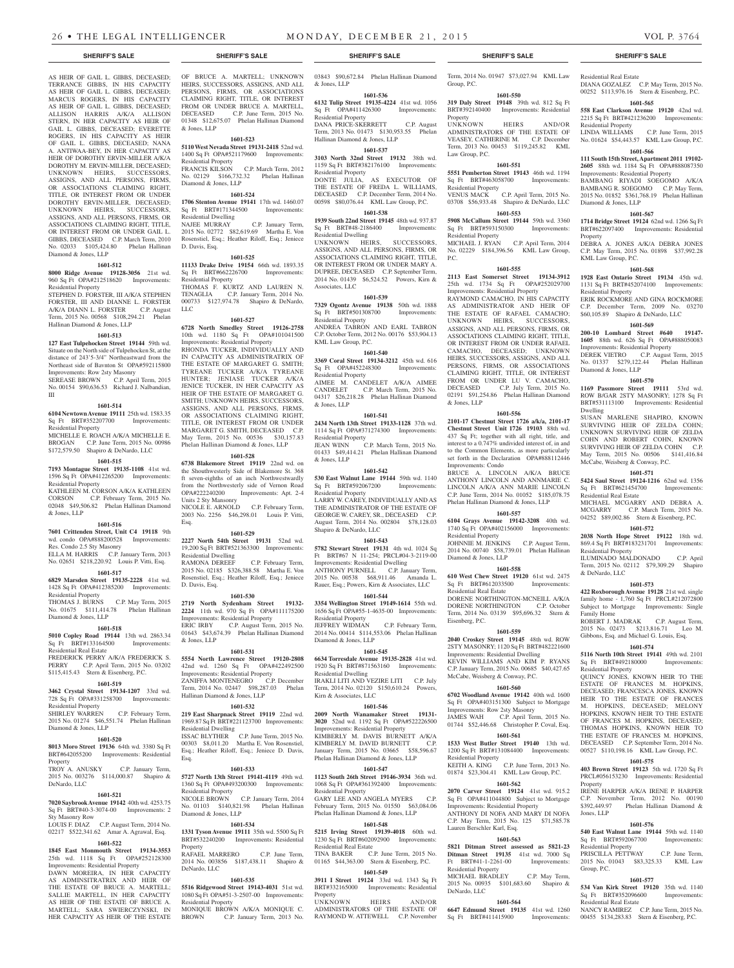03843 \$90,672.84 Phelan Hallinan Diamond

AS HEIR OF GAIL L. GIBBS, DECEASED; TERRANCE GIBBS, IN HIS CAPACITY AS HEIR OF GAIL L. GIBBS, DECEASED; MARCUS ROGERS, IN HIS CAPACITY AS HEIR OF GAIL L. GIBBS, DECEASED; ALLISON HARRIS A/K/A ALLISON STERN, IN HER CAPACITY AS HEIR OF GAIL L. GIBBS, DECEASED; EVERETTE ROGERS, IN HIS CAPACITY AS HEIR OF GAIL L. GIBBS, DECEASED; NANA A. ANTIWAA-BEY, IN HER CAPACITY AS HEIR OF DOROTHY ERVIN-MILLER A/K/A DOROTHY M. ERVIN-MILLER, DECEASED; UNKNOWN HEIRS, SUCCESSORS, ASSIGNS, AND ALL PERSONS, FIRMS, OR ASSOCIATIONS CLAIMING RIGHT, TITLE, OR INTEREST FROM OR UNDER DOROTHY ERVIN-MILLER, DECEASED; UNKNOWN HEIRS, SUCCESSORS, ASSIGNS, AND ALL PERSONS, FIRMS, OR ASSOCIATIONS CLAIMING RIGHT, TITLE, OR INTEREST FROM OR UNDER GAIL L. GIBBS, DECEASED C.P. March Term, 2010 No. 02033 \$105,424.80 Phelan Hallinan Diamond & Jones, LLP

#### **1601-512**

**8000 Ridge Avenue 19128-3056** 21st wd. 960 Sq Ft OPA#212518620 Improvements: Residential Property

STEPHEN D. FORSTER, III A/K/A STEPHEN FORSTER, III AND DIANNE L. FORSTER A/K/A DIANN L. FORSTER C.P. August Term, 2015 No. 00568 \$108,294.21 Phelan Hallinan Diamond & Jones, LLP

### **1601-513**

**127 East Tulpehocken Street 19144** 59th wd. Situate on the North side of Tulpehocken St, at the distance of 243'5-3/4" Northeastward from the Northeast side of Bavnton St OPA#592115800 Improvements: Row 2sty Masonry

SEREASE BROWN C.P. April Term, 2015 No. 00154 \$90,636.53 Richard J. Nalbandian, III

### **1601-514**

**6104 Newtown Avenue 19111** 25th wd. 1583.35 Sq Ft BRT#352207700 Improvements: Residential Property

MICHELLE E. ROACH A/K/A MICHELLE E. BROGAN C.P. June Term, 2015 No. 00986 \$172,579.50 Shapiro & DeNardo, LLC

#### **1601-515**

**7193 Montague Street 19135-1108** 41st wd. 1596 Sq Ft OPA#412265200 Improvements: Residential Property KATHLEEN M. CORSON A/K/A KATHLEEN CORSON C.P. February Term, 2015 No. 02048 \$49,506.82 Phelan Hallinan Diamond

## **1601-516**

& Jones, LLP

**7601 Crittenden Street, Unit C4 19118** 9th wd. condo OPA#888200528 Improvements: Res. Condo 2.5 Sty Masonry ELLA M. HARRIS C.P. January Term, 2013 No. 02651 \$218,220.92 Louis P. Vitti, Esq.

## **1601-517**

**6829 Marsden Street 19135-2228** 41st wd. 1428 Sq Ft OPA#412385200 Improvements: Residential Property THOMAS J. BURNS C.P. May Term, 2015

No. 01675 \$111,414.78 Phelan Hallinan Diamond & Jones, LLP **1601-518**

## **5010 Copley Road 19144** 13th wd. 2863.34 Sq Ft BRT#133164500 Improvements:

Residential Real Estate FREDERICK PERRY A/K/A FREDERICK S. PERRY C.P. April Term, 2015 No. 03202 \$115,415.43 Stern & Eisenberg, P.C.

## **1601-519**

**3462 Crystal Street 19134-1207** 33rd wd. 728 Sq Ft OPA#331258700 Improvements: Residential Property

SHIRLEY WARREN C.P. February Term, 2015 No. 01274 \$46,551.74 Phelan Hallinan Diamond & Jones, LLP

## **1601-520**

**8013 Moro Street 19136** 64th wd. 3380 Sq Ft BRT#642055200 Improvements: Residential Property TROY A. ANUSKY C.P. January Term,

2015 No. 003276 \$114,000.87 Shapiro & DeNardo, LLC

## **1601-521**

**7020 Saybrook Avenue 19142** 40th wd. 4253.75 Sq Ft BRT#40-3-3074-00 Improvements: 2 Sty Masonry Row

LOUIS F. DIAZ C.P. August Term, 2014 No. 02217 \$522,341.62 Amar A. Agrawal, Esq. **1601-522**

## **1845 East Monmouth Street 19134-3553**

25th wd. 1118 Sq Ft OPA#252128300 Improvements: Residential Property DAWN MOREIRA, IN HER CAPACITY AS ADMINSITRATRIX AND HEIR OF THE ESTATE OF BRUCE A. MARTELL; SALLIE MARTELL, IN HER CAPACITY AS HEIR OF THE ESTATE OF BRUCE A. MARTELL; SARA SWIERCZYNSKI, IN

HER CAPACITY AS HEIR OF THE ESTATE

OF BRUCE A. MARTELL; UNKNOWN HEIRS, SUCCESSORS, ASSIGNS, AND ALL PERSONS, FIRMS, OR ASSOCIATIONS CLAIMING RIGHT, TITLE, OR INTEREST FROM OR UNDER BRUCE A. MARTELL, DECEASED C.P. June Term, 2015 No. 01348 \$12,675.07 Phelan Hallinan Diamond & Jones, LLP

## **1601-523**

**5110 West Nevada Street 19131-2418** 52nd wd. 1400 Sq Ft OPA#521179600 Improvements: Residential Property FRANCIS KILSON C.P. March Term, 2012

## No. 02129 \$166,732.32 Phelan Hallinan Diamond & Jones, LLP **1601-524**

**1706 Stenton Avenue 19141** 17th wd. 1460.07<br>
Sq Ft BRT#171344500 Improvements: Sq Ft BRT#171344500 Residential Dwelling NAJEE MURRAY C.P. January Term,

## 2015 No. 02772 \$82,619.69 Martha E. Von Rosenstiel, Esq.; Heather Riloff, Esq.; Jeniece D. Davis, Esq.

## **1601-525**

**11133 Drake Drive 19154** 66th wd. 1893.35 Sq Ft BRT#662226700 Improvements: Residential Property THOMAS F. KURTZ AND LAUREN N. TENAGLIA C.P. January Term, 2014 No. 000733 \$127,974.78 Shapiro & DeNardo,

**1601-527**

LLC

**6728 North Smedley Street 19126-2758**  10th wd. 1180 Sq Ft OPA#101041500 Improvements: Residential Property RHONDA TUCKER, INDIVIDUALLY AND IN CAPACITY AS ADMINISTRATRIX OF THE ESTATE OF MARGARET G. SMITH; TYREANE TUCKER A/K/A TYREANE HUNTER; JENIASE TUCKER A/K/A JENICE TUCKER, IN HER CAPACITY AS HEIR OF THE ESTATE OF MARGARET G. SMITH; UNKNOWN HEIRS, SUCCESSORS, ASSIGNS, AND ALL PERSONS, FIRMS, OR ASSOCIATIONS CLAIMING RIGHT, TITLE, OR INTEREST FROM OR UNDER MARGARET G. SMITH, DECEASED C.P. May Term, 2015 No. 00536 \$30,157.83 Phelan Hallinan Diamond & Jones, LLP

#### **1601-528**

**6738 Blakemore Street 19119** 22nd wd. on the Shouthwesterly Side of Blakemore St. 368 ft seven-eighths of an inch Northwestwardly from the Northwesterly side of Vernon Road OPA#222240200 Improvements: Apt. 2-4 Units 2 Sty Mansonry NICOLE E. ARNOLD C.P. February Term, 2003 No. 2256 \$46,298.01 Louis P. Vitti, Esq.

## **1601-529**

**2227 North 54th Street 19131** 52nd wd. 19,200 Sq Ft BRT#521363300 Improvements: Residential Dwelling

RAMONA DEREEF C.P. February Term, 2015 No. 02185 \$326,388.58 Martha E. Von Rosenstiel, Esq.; Heather Riloff, Esq.; Jeniece D. Davis, Esq.

#### **1601-530**

**2719 North Sydenham Street 19132- 2224** 11th wd. 970 Sq Ft OPA#111175200 Improvements: Residential Property ERIC IRBY C.P. August Term, 2015 No. 01643 \$43,674.39 Phelan Hallinan Diamond & Jones, LLP

## **1601-531**

**5554 North Lawrence Street 19120-2808**  42nd wd. 1260 Sq Ft OPA#422492500 Improvements: Residential Property ZANIFFA MONTENEGRO C.P. December Term, 2014 No. 02447 \$98,287.03 Phelan Hallinan Diamond & Jones, LLP

#### **1601-532**

**219 East Sharpnack Street 19119** 22nd wd. 1969.87 Sq Ft BRT#221123700 Improvements: Residential Dwelling ISSAC BLYTHER C.P. June Term, 2015 No. 00303 \$8,011.20 Martha E. Von Rosenstiel, Esq.; Heather Riloff, Esq.; Jeniece D. Davis, Esq.

### **1601-533**

**5727 North 13th Street 19141-4119** 49th wd. 1360 Sq Ft OPA#493200300 Improvements: Residential Property C.P. January Term, 2014 0. 01103 \$140,821.98 Phelan Hallinar Diamond & Jones, LLP

## **1601-534**

**1331 Tyson Avenue 19111** 35th wd. 5500 Sq Ft BRT#532240200 Improvements: Residential Property RAFAEL MARRERO C.P. June Term,

## 2014 No. 003856 \$187,438.11 Shapiro & DeNardo, LLC **1601-535**

**5516 Ridgewood Street 19143-4031** 51st wd. 1080 Sq Ft OPA#51-3-2507-00 Improvements: Residential Property

MONIQUE BROWN A/K/A MONIQUE C.<br>BROWN C.P. January Term. 2013 No. C.P. January Term, 2013 No.

**SHERIFF'S SALE SHERIFF'S SALE SHERIFF'S SALE SHERIFF'S SALE SHERIFF'S SALE**

## & Jones, LLP **1601-536 6132 Tulip Street 19135-4224** 41st wd. 1056

Sq Ft OPA#411426300 Improvements: Residential Property

DANA PRICE-SKERRETT C.P. August Term, 2013 No. 01473 \$130,953.55 Phelan Hallinan Diamond & Jones, LLP

**1601-537 3103 North 32nd Street 19132** 38th wd. 1159 Sq Ft BRT#382176100 Improvements: Residential Property DONTE JULIA, AS EXECUTOR OF THE ESTATE OF FREDA L. WILLIAMS,

DECEASED C.P. December Term, 2014 No. 00598 \$80,076.44 KML Law Group, P.C. **1601-538**

**1939 South 22nd Street 19145** 48th wd. 937.87 Sq Ft BRT#48-2186400 Improvements: Residential Dwelling

UNKNOWN HEIRS, SUCCESSORS, ASSIGNS, AND ALL PERSONS, FIRMS, OR ASSOCIATIONS CLAIMING RIGHT, TITLE, OR INTEREST FROM OR UNDER MARY A. DUPREE, DECEASED C.P. September Term, 2014 No. 01439 \$6,524.52 Powers, Kirn & Associates, LLC

## **1601-539**

**7329 Ogontz Avenue 19138** 50th wd. 1888 Sq Ft BRT#501308700 Residential Property ANDREA TABRON AND EARL TABRON C.P. October Term, 2012 No. 00176 \$53,904.13 KML Law Group, P.C.

#### **1601-540**

**3369 Coral Street 19134-3212** 45th wd. 616<br>
Sq Ft OPA#452248300 Improvements: Sq Ft OPA#452248300 Residential Property

AIMEE M. CANDELET A/K/A AIMEE<br>CANDELET C.P. March Term, 2015 No. C.P. March Term, 2015 No. 04317 \$26,218.28 Phelan Hallinan Diamond & Jones, LLP **1601-541**

**2434 North 13th Street 19133-1128** 37th wd. 1114 Sq Ft OPA#371274300 Improvements: Residential Property<br>JEAN WINN

 $C.P.$  March Term, 2015 No. 01433 \$49,414.21 Phelan Hallinan Diamond & Jones, LLP

## **1601-542**

**530 East Walnut Lane 19144** 59th wd. 1140 Sq Ft BRT#592067200 Improvements: Residential Property LARRY W. CAREY, INDIVIDUALLY AND AS THE ADMINISTRATOR OF THE ESTATE OF

GEORGE W. CAREY, SR., DECEASED C.P. August Term, 2014 No. 002804 \$78,128.03 Shapiro & DeNardo, LLC

## **1601-543**

**5782 Stewart Street 19131** 4th wd. 1024 Sq Ft BRT#67 N 11-254; PRCL#04-3-2119-00 Improvements: Residential Dwelling ANTHONY PURNELL C.P. January Term,

2015 No. 00538 \$68,911.46 Amanda L. Rauer, Esq.; Powers, Kirn & Associates, LLC **1601-544**

## **3354 Wellington Street 19149-1614** 55th wd.

1656 Sq Ft OPA#55-1-4635-00 Improvements: Residential Property JEFFREY WIDMAN C.P. February Term, 2014 No. 00414 \$114,553.06 Phelan Hallinan

Diamond & Jones, LLP **1601-545**

## **6634 Torresdale Avenue 19135-2828** 41st wd. 1920 Sq Ft BRT#871563160 Improvements: Residential Dwelling IRAKLI LITI AND VEZIRE LITI C.P. July

Term, 2014 No. 02120 \$150,610.24 Powers, Kirn & Associates, LLC

## **1601-546**

**2009 North Wanamaker Street 19131- 3020** 52nd wd. 1192 Sq Ft OPA#522226500 Improvements: Residential Property KIMBERLY M. DAVIS BURNETT A/K/A KIMBERLY M. DAVID BURNETT C.P. January Term, 2015 No. 03665 \$58,596.67 Phelan Hallinan Diamond & Jones, LLP

#### **1601-547**

**1123 South 26th Street 19146-3934** 36th wd. 1068 Sq Ft OPA#361392400 Improvements: Residential Property GARY LEE AND ANGELA MYERS C.P. Ferm, 2015 No. 01550 \$63,084.06 Phelan Hallinan Diamond & Jones, LLP

## **1601-548**

**5215 Irving Street 19139-4018** 60th wd. 1230 Sq Ft BRT#602092900 Improvements: Residential Real Estate TINA BAKER C.P. June Term, 2015 No. 01165 \$44,363.00 Stern & Eisenberg, P.C.

## **1601-549**

**3911 I Street 19124** 33rd wd. 1343 Sq Ft BRT#332165000 Improvements: Residential Property<br>UNKNOWN UNKNOWN HEIRS AND/OR ADMINISTRATORS OF THE ESTATE OF RAYMOND W. ATTEWELL C.P. November

Term, 2014 No. 01947 \$73,027.94 KML Law

Residential Real Estate

Residential Property

Diamond & Jones, LLP

KML Law Group, P.C.

Residential Property

Property

DIANA GOZALEZ C.P. May Term, 2015 No. 00252 \$113,976.16 Stern & Eisenberg, P.C. **1601-565 558 East Clarkson Avenue 19120** 42nd wd. 2215 Sq Ft BRT#421236200 Improvements:

LINDA WILLIAMS C.P. June Term, 2015 No. 01624 \$54,443.57 KML Law Group, P.C. **1601-566 111 South 15th Street, Apartment 2011 19102- 2605** 88th wd. 1184 Sq Ft OPA#888087350 Improvements: Residential Property

BAMBANG RIYADI SOEGOMO A/K/A BAMBANG R. SOEGOMO C.P. May Term, 2015 No. 01852 \$361,768.19 Phelan Hallinan

**1601-567 1714 Bridge Street 19124** 62nd wd. 1266 Sq Ft BRT#622097400 Improvements: Residential

DEBRA A. JONES A/K/A DEBRA JONES C.P. May Term, 2015 No. 01898 \$37,992.28

**1601-568 1928 East Ontario Street 19134** 45th wd. 1131 Sq Ft BRT#452074100 Improvements:

ERIK ROCKMORE AND GINA ROCKMORE December Term, 2009 No. 03270

**1601-570 1169 Passmore Street 19111** 53rd wd. ROW B/GAR 2STY MASONRY; 1278 Sq Ft BRT#531113100 Improvements: Residential

SUSAN MARLENE SHAPIRO, KNOWN SURVIVING HEIR OF ZELDA COHN; UNKNOWN SURVIVING HEIR OF ZELDA COHN AND ROBERT COHN, KNOWN SURVIVING HEIR OF ZELDA COHN C.P. May Term, 2015 No. 00506 \$141,416.84 McCabe, Weisberg & Conway, P.C. **1601-571 5424 Saul Street 19124-1216** 62nd wd. 1356 Sq Ft BRT#621454700 Improvements:

MICHAEL MCGARRY AND DEBRA A. MCGARRY C.P. March Term, 2015 No. 04252 \$89,002.86 Stern & Eisenberg, P.C. **1601-572 2038 North Hope Street 19122** 18th wd. 869.4 Sq Ft BRT#183231701 Improvements:

ILUMINADO MALDONADO C.P. April Term, 2015 No. 02112 \$79,309.29 Shapiro

**1601-573 422 Roxborough Avenue 19128** 21st wd. single family home - 1,760 Sq Ft PRCL#212072800 Subject to Mortgage Improvements: Single

ROBERT J. MADRAK C.P. August Term, 2015 No. 02473 \$213,816.71 Leo M. Gibbons, Esq. and Michael G. Louis, Esq. **1601-574 5116 North 10th Street 19141** 49th wd. 2101<br>
Sq Ft BRT#492180000 Improvements:

QUINCY JONES, KNOWN HEIR TO THE ESTATE OF FRANCES M. HOPKINS, DECEASED; FRANCESCA JONES, KNOWN HEIR TO THE ESTATE OF FRANCES M. HOPKINS, DECEASED; MELONY HOPKINS, KNOWN HEIR TO THE ESTATE OF FRANCES M. HOPKINS, DECEASED; THOMAS HOPKINS, KNOWN HEIR TO THE ESTATE OF FRANCES M. HOPKINS, DECEASED C.P. September Term, 2014 No. 00527 \$110,198.16 KML Law Group, P.C. **1601-575 403 Brown Street 19123** 5th wd. 1720 Sq Ft PRCL#056153230 Improvements: Residential

IRENE HARPER A/K/A IRENE P. HARPER C.P. November Term, 2012 No. 00190 \$392,449.97 Phelan Hallinan Diamond &

**1601-576 540 East Walnut Lane 19144** 59th wd. 1140 Sq Ft BRT#592067700 Improvements:

PRISCILLA PETTWAY C.P. June Term, 2015 No. 01043 \$83,325.33 KML Law

**1601-577 534 Van Kirk Street 19120** 35th wd. 1140 Sq Ft BRT#352096600 Improvements:

NANCY RAMIREZ C.P. June Term, 2015 No. 00455 \$134,283.83 Stern & Eisenberg, P.C.

\$60,105.89 Shapiro & DeNardo, LLC **1601-569 200-10 Lombard Street #640 19147- 1605** 88th wd. 626 Sq Ft OPA#888050083

Improvements: Residential Property DEREK VIETRO C.P. August Term, 2015 No. 01337 \$279,122.44 Phelan Hallinan

Diamond & Jones, LLP

Residential Real Estate

Residential Property

& DeNardo, LLC

Family Home

Property

Jones, LLP

Group, P.C.

Residential Property

Residential Real Estate

Sq Ft BRT#492180000 Residential Property

Dwelling

Group, P.C. **1601-550 319 Daly Street 19148** 39th wd. 812 Sq Ft BRT#392140400 Improvements: Residential

Property UNKNOWN HEIRS AND/OR ADMINISTRATORS OF THE ESTATE OF

Sq Ft BRT#463058700 Residential Property

Residential Property

& Jones, LLP

Improvements: Condo

Residential Property

Diamond & Jones, LLP

Residential Real Estate

Eisenberg, P.C.

P.C.

VEASEY, CATHERINE M. C.P. December Term, 2013 No. 00453 \$119,245.82 KML Law Group, P.C. **1601-551**

**5551 Pemberton Street 19143** 46th wd. 1194<br>
Sq Ft BRT#463058700 Improvements:

VENUS MACK C.P. April Term, 2015 No. 03708 \$56,933.48 Shapiro & DeNardo, LLC **1601-553 5908 McCallum Street 19144** 59th wd. 3360 Sq Ft BRT#593150300 Improvements:

MICHAEL J. RYAN C.P. April Term, 2014 No. 02229 \$184,396.56 KML Law Group,

**1601-555 2113 East Somerset Street 19134-3912**  25th wd. 1734 Sq Ft OPA#252029700 Improvements: Residential Property RAYMOND CAMACHO, IN HIS CAPACITY AS ADMINISTRATOR AND HEIR OF THE ESTATE OF RAFAEL CAMACHO; UNKNOWN HEIRS, SUCCESSORS, ASSIGNS, AND ALL PERSONS, FIRMS, OR ASSOCIATIONS CLAIMING RIGHT, TITLE, OR INTEREST FROM OR UNDER RAFAEL CAMACHO, DECEASED; UNKNOWN HEIRS, SUCCESSORS, ASSIGNS, AND ALL PERSONS, FIRMS, OR ASSOCIATIONS CLAIMING RIGHT, TITLE, OR INTEREST FROM OR UNDER LU V. CAMACHO. DECEASED C.P. July Term, 2015 No. 02191 \$91,254.86 Phelan Hallinan Diamond

**1601-556 2101-17 Chestnut Street 1726 a/k/a, 2101-17 Chestnut Street Unit 1726 19103** 88th wd. 437 Sq Ft; together with all right, title, and interest to a 0.747% undivided interest of, in and to the Common Elements, as more particularly set forth in the Declaration OPA#888112446

BRUCE A. LINCOLN A/K/A BRUCE ANTHONY LINCOLN AND ANNMARIE C. LINCOLN A/K/A ANN MARIE LINCOLN C.P. June Term, 2014 No. 01052 \$185,078.75 Phelan Hallinan Diamond & Jones, LLP **1601-557 6104 Grays Avenue 19142-3208** 40th wd. 1740 Sq Ft OPA#402156000 Improvements:

JOHNNIE M. JENKINS C.P. August Term, 2014 No. 00740 \$58,739.01 Phelan Hallinan

**1601-558 610 West Chew Street 19120** 61st wd. 2475 Sq Ft BRT#612033500 Improvements:

DORENE NORTHINGTON-MCNEILL A/K/A DORENE NORTHINGTON C.P. October Term, 2014 No. 03139 \$95,696.32 Stern &

**1601-559 2040 Croskey Street 19145** 48th wd. ROW 2STY MASONRY; 1120 Sq Ft BRT#482221600 Improvements: Residential Dwelling KEVIN WILLIAMS AND KIM P. RYANS C.P. January Term, 2015 No. 00685 \$40,427.65 McCabe, Weisberg & Conway, P.C. **1601-560 6702 Woodland Avenue 19142** 40th wd. 1600 Sq Ft OPA#403151300 Subject to Mortgage

Improvements: Row 2sty Masonry

Residential Property

Lauren Berschler Karl, Esq.

Residential Property

DeNardo, LLC

JAMES WAH C.P. April Term, 2015 No. 01744 \$52,446.68 Christopher P. Coval, Esq. **1601-561 1533 West Butler Street 19140** 13th wd. 1200 Sq Ft BRT#131084400 Improvements:

KEITH A. KING C.P. June Term, 2013 No. 01874 \$23,304.41 KML Law Group, P.C. **1601-562 2070 Carver Street 19124** 41st wd. 915.2 Sq Ft OPA#411044800 Subject to Mortgage nante: Residential Pro ANTHONY DI NOFA AND MARY DI NOFA C.P. May Term, 2015 No. 125 \$71,585.78

**1601-563 5821 Ditman Street assessed as 5821-23 Ditman Street 19135** 41st wd. 7000 Sq Ft BRT#41-1-2261-00 Improvements:

MICHAEL BRADLEY C.P. May Term, 2015 No. 00935 \$101,683.60 Shapiro &

**1601-564 6647 Edmund Street 19135** 41st wd. 1260 Sq Ft BRT#411415900 Improvements: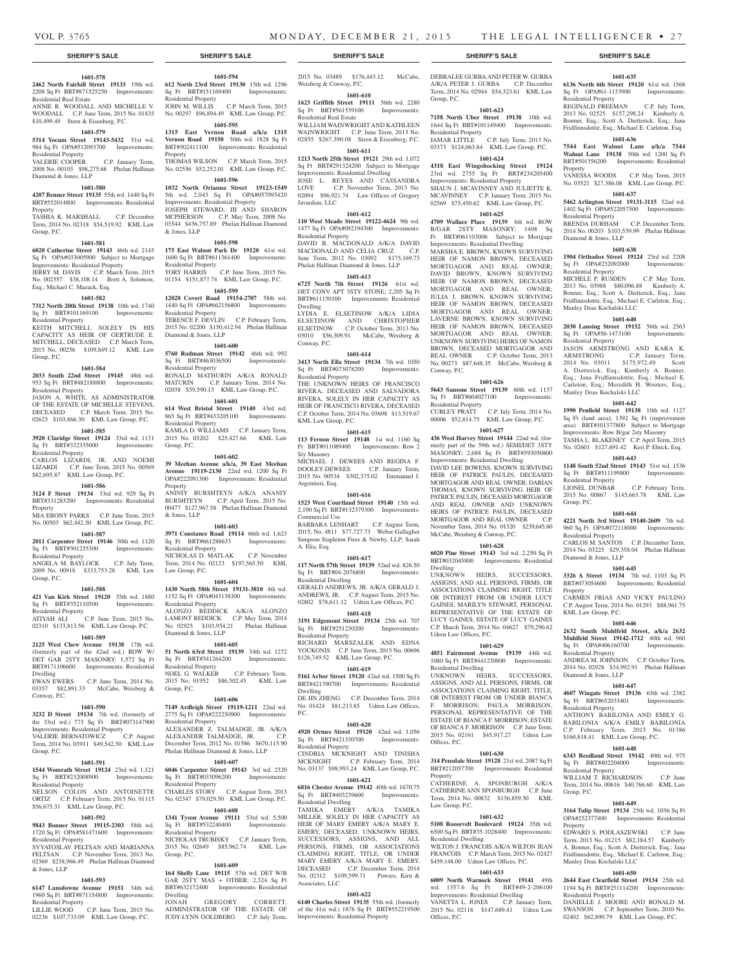Residential Real Estate

Residential Property

Diamond & Jones, LLP

Property

Group, P.C.

**1601-578 2462 North Fairhill Street 19133** 19th wd. 2208 Sq Ft BRT#871525250 Improvements:

ANNIE R. WOODALL AND MICHELLE V. WOODALL C.P. June Term, 2015 No. 01835 \$10,499.49 Stern & Eisenberg, P.C. **1601-579 5314 Yocum Street 19143-5432** 51st wd. 984 Sq Ft OPA#512093700 Improvements:

2008 No. 00103 \$98,275.68 Phelan Hallinan

**1601-580 4207 Benner Street 19135** 55th wd. 1440 Sq Ft BRT#552014800 Improvements: Residential

TASHIA K. MARSHALL C.P. December Term, 2014 No. 02318 \$54,519.92 KML Law

**1601-581 6020 Catherine Street 19143** 46th wd. 2145 Sq Ft OPA#033005900 Subject to Mortgage Improvements: Residential Property JERRY M. DAVIS C.P. March Term, 2015 No. 002557 \$38,108.14 Brett A. Solomon,

**1601-582 7312 North 20th Street 19138** 10th wd. 1740 Sq Ft BRT#101169100 Improvements:

KEITH MITCHELL SOLELY IN HIS CAPACITY AS HEIR OF GERTRUDE E. MITCHELL, DECEASED C.P. March Term, 2015 No. 00256 \$109,849.12 KML Law

**1601-584 2033 South 22nd Street 19145** 48th wd. 953 Sq Ft BRT#482188800 Improvements:

JASON A. WHITE, AS ADMINISTRATOR OF THE ESTATE OF MICHELLE STEVENS, DECEASED C.P. March Term, 2015 No. 02623 \$103,866.30 KML Law Group, P.C. **1601-585 3920 Claridge Street 19124** 33rd wd. 1131 Sq Ft BRT#332335000 Improvements:

CARLOS LIZARDI, JR. AND NOEMI LIZARDI C.P. June Term, 2015 No. 00569 \$82,695.87 KML Law Group, P.C. **1601-586 3124 F Street 19134** 33rd wd. 929 Sq Ft BRT#331283200 Improvements: Residential

MIA EBONY PARKS C.P. June Term, 2015 No. 00503 \$62,442.50 KML Law Group, P.C. **1601-587 2011 Carpenter Street 19146** 30th wd. 1120 Sq Ft BRT#301235300 Improvements:

ANGELA M. BAYLOCK C.P. July Term, 2009 No. 00918 \$333,753.28 KML Law

**1601-588 421 Van Kirk Street 19120** 35th wd. 1880 Sq Ft BRT#352110500 Improvements:

ATIYAH ALI C.P. June Term, 2015 No. 02310 \$133,813.56 KML Law Group, P.C. **1601-589 2125 West Chew Avenue 19138** 17th wd. (formerly part of the 42nd wd.) ROW W/ DET GAR 2STY MASONRY; 1,572 Sq Ft BRT#171106600 Improvements: Residential

EWAN EWERS C.P. June Term, 2014 No. 03357 \$82,891.33 McCabe, Weisberg &

**1601-590 3232 D Street 19134** 7th wd. (formerly of the 33rd wd.) 773 Sq Ft BRT#073147900

**1601-591 1544 Womrath Street 19124** 23rd wd. 1,121 Sq Ft BRT#232008900 Improvements:

NELSON COLON AND ANTOINETTE ORTIZ C.P. February Term, 2015 No. 01115 \$56,675.31 KML Law Group, P.C. **1601-592 9843 Bonner Street 19115-2303** 58th wd. 1720 Sq Ft OPA#581471600 Improvements:

SVYATOSLAV FELTSAN AND MARIANNA FELTSAN C.P. November Term, 2013 No. 02369 \$238,966.49 Phelan Hallinan Diamond

**1601-593 6147 Lansdowne Avenue 19151** 34th wd. 1960 Sq Ft BRT#871154800 Improvements:

LILLIE WOOD C.P. June Term, 2015 No. 02236 \$107,733.09 KML Law Group, P.C.

Improvements: Residential Property VALERIE BERNATOWICZ C.P. August Term, 2014 No. 03911 \$49,542.50 KML Law

Esq.; Michael C. Mazack, Esq.

Residential Property

Residential Property

Residential Property

Residential Property

Residential Property

Group, P.C.

Dwelling

Conway, P.C.

Group, P.C.

Residential Property

Residential Property

Residential Property

& Jones, LLP

Property

Group, P.C.

C.P. January Term,

## **SHERIFF'S SALE SHERIFF'S SALE SHERIFF'S SALE SHERIFF'S SALE SHERIFF'S SALE**

## **1601-594**

**612 North 23rd Street 19130** 15th wd. 1296 Sq Ft BRT#151169400 Improvements: Residential Property JOHN M. WILLIS C.P. March Term, 2015 No. 00297 \$96,894.49 KML Law Group, P.C.

## **1601-595**

**1315 East Vernon Road a/k/a 1315 Vernon Road 19150** 50th wd. 1828 Sq Ft BRT#502411100 Improvements: Residential Property

THOMAS WILSON C.P. March Term, 2015 No. 02556 \$52,252.01 KML Law Group, P.C. **1601-596**

**1032 North Orianna Street 19123-1549**  5th wd. 2,043 Sq Ft OPA#057095420 Improvements: Residential Property JOSEPH STEWARD, III AND SHARON MCPHERSON C.P. May Term, 2008 No. 03544 \$436,757.89 Phelan Hallinan Diamond & Jones, LLP

### **1601-598**

**175 East Walnut Park Dr 19120** 61st wd. 1600 Sq Ft BRT#611361400 Improvements: Residential Property TORY HARRIS C.P. June Term, 2015 No. 01154 \$151,877.74 KML Law Group, P.C.

## **1601-599 12028 Covert Road 19154-2707** 58th wd. 1440 Sq Ft OPA#662156800 Improvements:

Residential Property TERENCE F. DEVLIN C.P. February Term, 2015 No. 02200 \$150,412.94 Phelan Hallinan

## **1601-600**

Diamond & Jones, LLP

**5760 Rodman Street 19142** 46th wd. 992 Sq Ft BRT#463036500 Improvements:

Residential Property RONALD MATHURIN A/K/A RONALD MATURIN C.P. January Term, 2014 No. 02038 \$59,590.13 KML Law Group, P.C.

## **1601-601**

**614 West Bristol Street 19140** 43rd wd. 865 Sq Ft BRT#433205100 Improvements: Residential Property KAMLA D. WILLIAMS C.P. January Term, 2015 No. 03202 \$25,427.66 KML Law Group, P.C.

**1601-602**

### **39 Meehan Avenue a/k/a, 39 East Meehan Avenue 19119-2130** 22nd wd. 1200 Sq Ft OPA#222091300 Improvements: Residential Property ANINIY BURSHTEYN A/K/A ANANIY

BURSHTEYN C.P. April Term, 2015 No. 00477 \$127,967.58 Phelan Hallinan Diamond & Jones, LLP **1601-603**

**3971 Constance Road 19114** 66th wd. 1,623 Sq Ft BRT#661288633 Improvements: Residential Property Residential Property<br>NICHOLAS D. MATLAK C.P. November Term, 2014 No. 02123 \$197,565.50 KML Law Group, P.C.

## **1601-604**

**1430 North 58th Street 19131-3810** 4th wd. 1152 Sq Ft OPA#043138300 Improvements: Residential Property ALONZO REDDICK A/K/A ALONZO LAMONT REDDICK C.P. May Term, 2014 No. 02925 \$103,954.21 Phelan Hallinan Diamond & Jones, LLP

## **1601-605**

**51 North 63rd Street 19139** 34th wd. 1272 Sq Ft BRT#341264200 Improvements: Residential Property Residential Property<br>NOEL G. WALKER C.P. February Term, 2015 No. 01952 \$86,502.45 KML Law Group, P.C.

## **1601-606**

**7149 Ardleigh Street 19119-1211** 22nd wd. 2775 Sq Ft OPA#222250900 Improvements: Residential Property ALEXANDER Z. TALMADGE, JR. A/K/A

ALEXANDER TALMADGE, JR. C.P. December Term, 2012 No. 01586 \$670,115.90 Phelan Hallinan Diamond & Jones, LLP **1601-607**

**6046 Carpenter Street 19143** 3rd wd. 2320 Sq Ft BRT#033096200 Improvements: Residential Property CHARLES STORY C.P. August Term, 2013 No. 02347 \$79,029.50 KML Law Group, P.C.

## **1601-608**

**1341 Tyson Avenue 19111** 53rd wd. 5,500 Sq Ft BRT#532240400 Improvements: Residential Property NICHOLAS TRUBISKY C.P. January Term, 2015 No. 02649 \$85,962.74 KML Law Group, P.C.

## **1601-609**

**164 Shelly Lane 19115** 57th wd. DET W/B GAR 2STY MAS + OTHER; 2,324 Sq Ft BRT#632172400 Improvements: Residential Dwelling

JONAH GREGORY CORBETT, ADMINISTRATOR OF THE ESTATE OF JUDY-LYNN GOLDBERG C.P. July Term,

2015 No. 03489 \$176,443.12 McCabe, DEBRALEE GURBA AND PETER W. GURBA Weisberg & Conway, P.C.

#### **1601-610 1623 Griffith Street 19111** 56th wd. 2280 Sq Ft BRT#561539100 Improvements: Residential Real Estate

WILLIAM WAINWRIGHT AND KATHLEEN WAINWRIGHT C.P. June Term, 2013 No. 02855 \$267,390.08 Stern & Eisenberg, P.C. **1601-611**

**1213 North 25th Street 19121** 29th wd. 1,072 Sq Ft BRT#291324200 Subject to Mortgage Improvements: Residential Dwelling JOSE L. REYES AND CASSANDRA

LOVE C.P. November Term, 2013 No. 02094 \$96,921.74 Law Offices of Gregory Javardian, LLC **1601-612**

## **110 West Meade Street 19122-4624** 9th wd. 1477 Sq Ft OPA#092194300 Improvements: Residential Property

DAVID B. MACDONALD A/K/A DAVID MACDONALD AND CELIA CRUZ C.P. June Term, 2012 No. 03092 \$175,169.73 Phelan Hallinan Diamond & Jones, LLP

## **1601-613**

**6725 North 7th Street 19126** 61st wd. DET CONV APT 3STY STONE; 2,205 Sq Ft BRT#611150100 Improvements: Residential Dwelling LYDIA E. ELSETINOW A/K/A LIDIA

ELSETINOW AND CHRISTOPHER ELSETINOW C.P. October Term, 2013 No. 03010 \$56,309.91 McCabe, Weisberg & Conway, P.C.

## **1601-614**

**3413 North Ella Street 19134** <sup>7th</sup> wd. 1050 Sq Ft BRT#073078200 Improvements: Residential Property

THE UNKNOWN HEIRS OF FRANCISCO RIVERA, DECEASED AND SALVADORA RIVERA, SOLELY IN HER CAPACITY AS HEIR OF FRANCISCO RIVERA, DECEASED C.P. October Term, 2014 No. 03698 \$13,519.67 KML Law Group, P.C.

## **1601-615**

**113 Fernon Street 19148** 1st wd. 1160 Sq Ft BRT#011089400 Improvements: Row 2 Sty Masonry MICHAEL J. DEWEES AND REGINA F.

DOOLEY-DEWEES C.P. January Term, 2015 No. 00534 \$302,375.02 Emmanuel J. Argentieri, Esq.

## **1601-616**

**1523 West Courtland Street 19140** 13th wd. 2,190 Sq Ft BRT#132379300 Improvements: Commercial Use BARBARA LENHART C.P. August Term,

2015; No. 4811 \$77,727.73 Weber Gallagher Simpson Stapleton Fires & Newby, LLP; Sarah A. Elia, Esq.

#### **1601-617**

**117 North 57th Street 19139** 52nd wd. 826.50 Sq Ft BRT#04-2076800 Improvements: Residential Dwelling

GERALD ANDREWS, JR. A/K/A GERALD J. ANDREWS, JR. C.P. August Term, 2015 No. 02802 \$78,611.12 Udren Law Offices, P.C.

## **1601-618 3191 Edgemont Street 19134** 25th wd. 707

Sq Ft BRT#251230200 Improvements: Residential Property RICHARD MARSZALEK AND EDNA YOUKONIS C.P. June Term, 2015 No. 00696

\$126,749.52 KML Law Group, P.C. **1601-619**

**5161 Arbor Street 19120** 42nd wd. 1500 Sq Ft BRT#421390700 Improvements: Residential Dwelling DE JIN ZHENG C.P. December Term, 2014 No. 01424 \$81,213.85 Udren Law Offices,

P.C. **1601-620**

**4920 Ormes Street 19120** 42nd wd. 1,056 Sq Ft BRT#421330700 Improvements: Residential Property CINDRIA MCKNIGHT AND TINISHA MCKNIGHT C.P. February Term, 2014 No. 03137 \$98,993.24 KML Law Group, P.C.

## **1601-621**

**6816 Chester Avenue 19142** 40th wd. 1670.75 Sq Ft BRT#403239600 Improvements: Residential Dwelling TAMIKA EMERY A/K/A TAMIKA MILLER, SOLELY IN HER CAPACITY AS HEIR OF MARY EMERY A/K/A MARY E. EMERY, DECEASED; UNKNOWN HEIRS, SUCCESSORS, ASSIGNS, AND ALL PERSONS, FIRMS, OR ASSOCIATIONS CLAIMING RIGHT, TITLE, OR UNDER MARY EMERY A/K/A MARY E. EMERY, DECEASED C.P. December Term, 2014 No. 02312 \$109,599.71 Powers, Kirn & Associates, LLC

## **1601-622**

**6140 Charles Street 19135** 55th wd. (formerly of the 41st wd.) 1876 Sq Ft BRT#552219500 Improvements: Residential Property

A/K/A PETER J. GURBA C.P. December Term, 2014 No. 02944 \$54,323.61 KML Law Group, P.C.

## **1601-623**

**7158 North Uber Street 19138** 10th wd. 1644 Sq Ft BRT#101149400 Improvements: Residential Property JAMAR LITTLE C.P. July Term, 2013 No.

03373 \$124,063.84 KML Law Group, P.C. **1601-624**

## **4318 East Wingohocking Street 19124**

23rd wd. 2755 Sq Ft BRT#234205400 Improvements: Residential Property SHAUN J. MCAVINNEY AND JULIETTE K. MCAVINNEY C.P. January Term, 2015 No. 02569 \$75,450.62 KML Law Group, P.C.

## **1601-625**

**4709 Wallace Place 19139** 6th wd. ROW B/GAR 2STY MASONRY; 1408 Sq Ft BRT#061103006 Subject to Mortgage Improvements: Residential Dwelling

MARSHA E. BROWN, KNOWN SURVIVING HEIR OF NAMON BROWN, DECEASED MORTGAGOR AND REAL OWNER; DAVID BROWN, KNOWN SURVIVING HEIR OF NAMON BROWN, DECEASED MORTGAGOR AND REAL OWNER; JULIA J. BROWN, KNOWN SURVIVING HEIR OF NAMON BROWN, DECEASED MORTGAGOR AND REAL OWNER; LAVERNE BROWN, KNOWN SURVIVING HEIR OF NAMON BROWN, DECEASED MORTGAGOR AND REAL OWNER; UNKNOWN SURVIVING HEIRS OF NAMON BROWN, DECEASED MORTGAGOR AND REAL OWNER C.P. October Term, 2013 No. 00273 \$87,648.35 McCabe, Weisberg & Conway, P.C.

## **1601-626**

**5643 Sansom Street 19139** 60th wd. 1137 Sq Ft BRT#604027100 Improvements: Residential Property

CURLEY PRATT C.P. July Term, 2014 No. 00006 \$52,814.75 KML Law Group, P.C.

## **1601-627**

**436 West Harvey Street 19144** 22nd wd. (formerly part of the 59th wd.) SEMI/DET 3STY MASONRY; 2,688 Sq Ft BRT#593050800 Improvements: Residential Dwelling DAVID LEE BOWENS, KNOWN SURVIVING HEIR OF PATRICE PAULIN, DECEASED MORTGAGOR AND REAL OWNER; DARIAN THOMAS, KNOWN SURVIVING HEIR OF PATRICE PAULIN, DECEASED MORTGAGOR AND REAL OWNER AND UNKNOWN HEIRS OF PATRICE PAULIN, DECEASED MORTGAGOR AND REAL OWNER C.P. November Term, 2014 No. 01320 \$239,645.60 McCabe, Weisberg & Conway, P.C.

## **1601-628**

**6020 Pine Street 19143** 3rd wd. 2,250 Sq Ft BRT#032045800 Improvements: Residential Dwelling

UNKNOWN HEIRS, SUCCESSORS, ASSIGNS, AND ALL PERSONS, FIRMS, OR ASSOCIATIONS CLAIMING RIGHT, TITLE OR INTEREST FROM OR UNDER LUCY GAINES; MARILYN STEWART, PERSONAL REPRESENTATIVE OF THE ESTATE OF LUCY GAINES; ESTATE OF LUCY GAINES C.P. March Term, 2014 No. 04627 \$79,290.62 Udren Law Offices, P.C.

## **1601-629**

**4851 Fairmount Avenue 19139** 44th wd. 1080 Sq Ft BRT#441230800 Improvements: Residential Dwelling UNKNOWN HEIRS, SUCCESSORS. ASSIGNS, AND ALL PERSONS, FIRMS, OR ASSOCIATIONS CLAIMING RIGHT, TITLE, OR INTEREST FROM OR UNDER BIANCA F. MORRISON; PAULA MORRISON, PERSONAL REPRESENTATIVE OF THE ESTATE OF BIANCA F. MORRISON; ESTATE OF BIANCA F. MORRISON C.P. June Term, 2015 No. 02161 \$45,917.27 Udren Law Offices, P.C.

## **1601-630**

**314 Pensdale Street 19128** 21st wd. 2087 Sq Ft BRT#212057700 Improvements: Residential Property CATHERINE A. SPONBURGH A/K/A

CATHERINE ANN SPONBURGH C.P. June Term, 2014 No. 00832 \$136,859.30 KML Law Group, P.C.

## **1601-632**

**5108 Roosevelt Boulevard 19124** 35th wd. 6500 Sq Ft BRT#35-1028400 Improvements: Residential Dwelling WILTON J. FRANCOIS A/K/A WILTON JEAN FRANCOIS C.P. March Term, 2015 No. 02427 \$459,148.00 Udren Law Offices, P.C.

## **1601-633**

**6009 North Warnock Street 19141** 49th wd. 1357.6 Sq Ft Improvements: Residential Dwelling VANETTA L. JONES C.P. January Term, 2015 No. 02118 \$147,689.41 Udren Law Offices, P.C.

## **1601-635**

**6136 North 6th Street 19120** 61st wd. 1568 Sq Ft OPA#61-1133900 Improvements: Residential Property REGINALD FREEMAN C.P. July Term, 2013 No. 02525 \$157,298.24 Kimberly A. Bonner, Esq.; Scott A. Dietterick, Esq.; Jana Fridfinnsdottir, Esq.; Michael E. Carleton, Esq.

## **1601-636 7544 East Walnut Lane a/k/a 7544 Walnut Lane 19138** 50th wd. 1200 Sq Ft BRT#501356200 Improvements: Residential

Property VANESSA WOODS C.P. May Term, 2015 No. 03521 \$27,386.08 KML Law Group, P.C. **1601-637**

**5462 Arlington Street 19131-3115** 52nd wd. 1402 Sq Ft OPA#522057500 Improvements:

BRENDA DURHAM C.P. December Term, 2014 No. 00203 \$103,539.99 Phelan Hallinan

**1601-638 1904 Orthodox Street 19124** 23rd wd. 2208 Sq Ft OPA#232092000 Improvements:

MICHELE P. RUSDEN C.P. May Term, 2013 No. 03988 \$80,096.88 Kimberly A. Bonner, Esq.; Scott A. Dietterick, Esq.; Jana Fridfinnsdottir, Esq.; Michael E. Carleton, Esq.;

**1601-640 2030 Lansing Street 19152** 56th wd. 2563 Sq Ft OPA#56-1473100 Improvements:

JASON ARMSTRONG AND KARA K. ARMSTRONG C.P. January Term, 2014 No. 03011 \$175,972.49 Scott A. Dietterick, Esq.; Kimberly A. Bonner, Esq.; Jana Fridfinnsdottir, Esq.; Michael E. Carleton, Esq.; Meredith H. Wooters, Esq.;

**1601-642 1990 Penfield Street 19138** 10th wd. 1127 Sq Ft (land area): 1392 Sq Ft (improvement area) BRT#101377800 Subject to Mortgage Improvements: Row B/gar 2sty Masonry TASHA L. BLAKENEY C.P. April Term, 2015 No. 02601 \$127,691.42 Keri P. Ebeck, Esq. **1601-643 1148 South 52nd Street 19143** 51st wd. 1536 Sq Ft BRT#511199800 Improvements:

LIONEL DUNBAR C.P. February Term, 2015 No. 00867 \$145,663.78 KML Law

**1601-644 4221 North 3rd Street 19140-2609** 7th wd. 960 Sq Ft OPA#072118000 Improvements:

CARLOS M. SANTOS C.P. December Term, 2014 No. 03225 \$29,358.04 Phelan Hallinan

**1601-645 3326 A Street 19134** 7th wd. 1103 Sq Ft BRT#073054600 Improvements: Residential

CARMEN FRIAS AND VICKY PAULINO C.P. August Term, 2014 No. 01293 \$88,961.75

**1601-646 2632 South Muhlfeld Street, a/k/a 2632 Muhlfeld Street 19142-1712** 40th wd. 960 Sq Ft OPA#406160700 Improvements:

ANDREA M. JOHNSON C.P. October Term, 2014 No. 02928 \$34,992.91 Phelan Hallinan

**1601-647 4607 Wingate Street 19136** 65th wd. 2382 Sq Ft BRT#652033401 Improvements:

ANTHONY BABILONIA AND EMILY G. BABILONIA A/K/A EMILY BABILONIA C.P. February Term, 2015 No. 01386 \$160,818.41 KML Law Group, P.C. **1601-648 6343 Reedland Street 19142** 40th wd. 975 Sq Ft BRT#402204000 Improvements:

WILLIAM T. RICHARDSON C.P. June Term, 2014 No. 00616 \$40,766.60 KML Law

**1601-649 3164 Tulip Street 19134** 25th wd. 1036 Sq Ft OPA#252377400 Improvements: Residential

EDWARD S. PODLASZEWSKI C.P. June Term, 2013 No. 01215 \$82,184.57 Kimberly A. Bonner, Esq.; Scott A. Dietterick, Esq.; Jana Fridfinnsdottir, Esq.; Michael E. Carleton, Esq.;

**1601-650 2644 East Clearfield Street 19134** 25th wd. 1194 Sq Ft BRT#251114200 Improvements:

DANIELLE J. MOORE AND RONALD M. SWANSON C.P. September Term, 2010 No. 02402 \$62,890.79 KML Law Group, P.C.

Residential Property

Diamond & Jones, LLP

Residential Property<br>MICHELE P. RUSDEN

Manley Deas Kochalski LLC

Manley Deas Kochalski LLC

Residential Property

Residential Property

Residential Property

Diamond & Jones, LLP

KML Law Group, P.C.

Residential Property

Diamond & Jones, LLP

Residential Property

Residential Property

Manley Deas Kochalski LLC

Residential Property

Group, P.C.

Property

Group, P.C.

Property